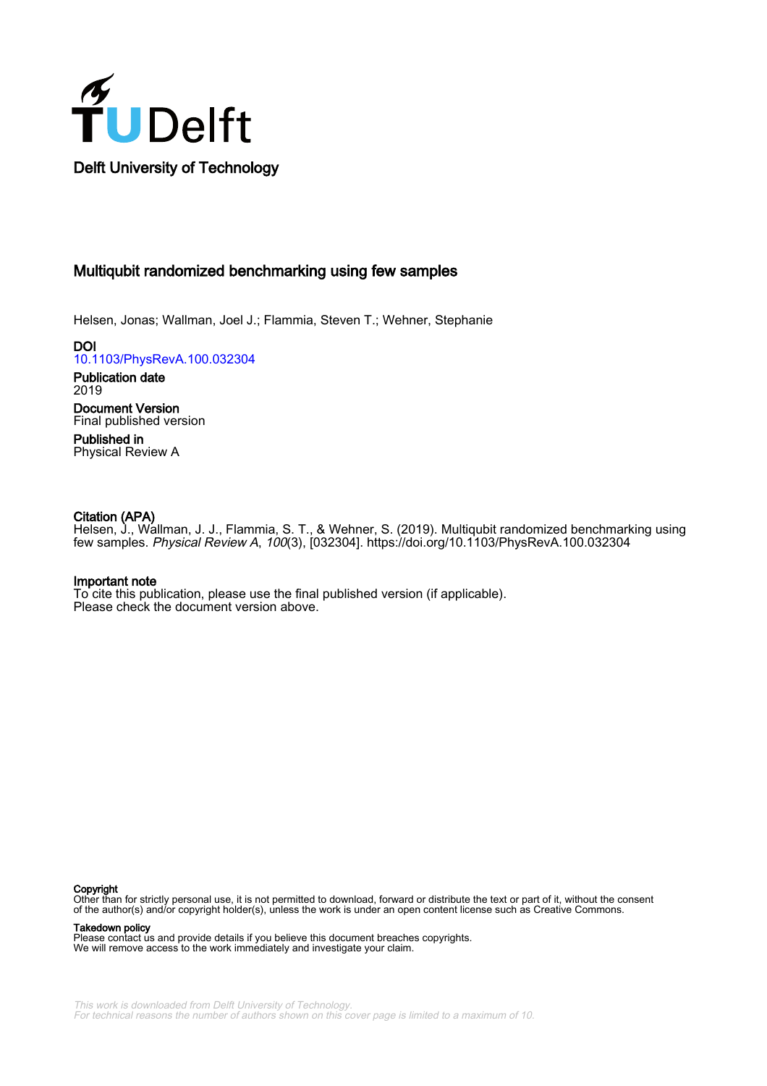

# Multiqubit randomized benchmarking using few samples

Helsen, Jonas; Wallman, Joel J.; Flammia, Steven T.; Wehner, Stephanie

DOI [10.1103/PhysRevA.100.032304](https://doi.org/10.1103/PhysRevA.100.032304)

Publication date 2019 Document Version

Final published version Published in

Physical Review A

# Citation (APA)

Helsen, J., Wallman, J. J., Flammia, S. T., & Wehner, S. (2019). Multiqubit randomized benchmarking using few samples. Physical Review A, 100(3), [032304]. <https://doi.org/10.1103/PhysRevA.100.032304>

# Important note

To cite this publication, please use the final published version (if applicable). Please check the document version above.

#### Copyright

Other than for strictly personal use, it is not permitted to download, forward or distribute the text or part of it, without the consent of the author(s) and/or copyright holder(s), unless the work is under an open content license such as Creative Commons.

Takedown policy

Please contact us and provide details if you believe this document breaches copyrights. We will remove access to the work immediately and investigate your claim.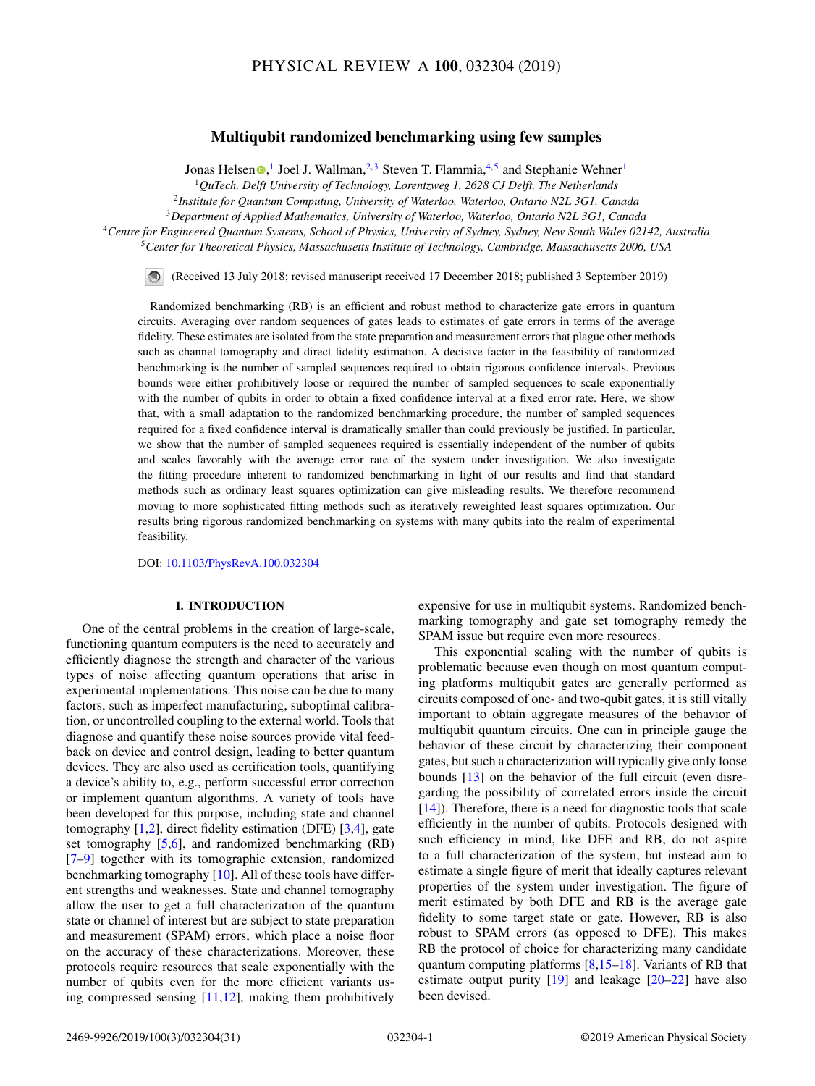# **Multiqubit randomized benchmarking using few samples**

Jo[n](https://orcid.org/0000-0001-7218-2585)as Helsen  $\bullet$ ,<sup>1</sup> Joel J. Wallman,<sup>2,3</sup> Steven T. Flammia,<sup>4,5</sup> and Stephanie Wehner<sup>1</sup>

<sup>1</sup>*QuTech, Delft University of Technology, Lorentzweg 1, 2628 CJ Delft, The Netherlands*

<sup>2</sup>*Institute for Quantum Computing, University of Waterloo, Waterloo, Ontario N2L 3G1, Canada*

<sup>3</sup>*Department of Applied Mathematics, University of Waterloo, Waterloo, Ontario N2L 3G1, Canada*

<sup>4</sup>*Centre for Engineered Quantum Systems, School of Physics, University of Sydney, Sydney, New South Wales 02142, Australia* <sup>5</sup>*Center for Theoretical Physics, Massachusetts Institute of Technology, Cambridge, Massachusetts 2006, USA*

(Received 13 July 2018; revised manuscript received 17 December 2018; published 3 September 2019)

Randomized benchmarking (RB) is an efficient and robust method to characterize gate errors in quantum circuits. Averaging over random sequences of gates leads to estimates of gate errors in terms of the average fidelity. These estimates are isolated from the state preparation and measurement errors that plague other methods such as channel tomography and direct fidelity estimation. A decisive factor in the feasibility of randomized benchmarking is the number of sampled sequences required to obtain rigorous confidence intervals. Previous bounds were either prohibitively loose or required the number of sampled sequences to scale exponentially with the number of qubits in order to obtain a fixed confidence interval at a fixed error rate. Here, we show that, with a small adaptation to the randomized benchmarking procedure, the number of sampled sequences required for a fixed confidence interval is dramatically smaller than could previously be justified. In particular, we show that the number of sampled sequences required is essentially independent of the number of qubits and scales favorably with the average error rate of the system under investigation. We also investigate the fitting procedure inherent to randomized benchmarking in light of our results and find that standard methods such as ordinary least squares optimization can give misleading results. We therefore recommend moving to more sophisticated fitting methods such as iteratively reweighted least squares optimization. Our results bring rigorous randomized benchmarking on systems with many qubits into the realm of experimental feasibility.

DOI: [10.1103/PhysRevA.100.032304](https://doi.org/10.1103/PhysRevA.100.032304)

## **I. INTRODUCTION**

One of the central problems in the creation of large-scale, functioning quantum computers is the need to accurately and efficiently diagnose the strength and character of the various types of noise affecting quantum operations that arise in experimental implementations. This noise can be due to many factors, such as imperfect manufacturing, suboptimal calibration, or uncontrolled coupling to the external world. Tools that diagnose and quantify these noise sources provide vital feedback on device and control design, leading to better quantum devices. They are also used as certification tools, quantifying a device's ability to, e.g., perform successful error correction or implement quantum algorithms. A variety of tools have been developed for this purpose, including state and channel tomography [\[1,2\]](#page-29-0), direct fidelity estimation (DFE) [\[3,4\]](#page-29-0), gate set tomography [\[5,6\]](#page-29-0), and randomized benchmarking (RB) [\[7–](#page-29-0)[9\]](#page-30-0) together with its tomographic extension, randomized benchmarking tomography [\[10\]](#page-30-0). All of these tools have different strengths and weaknesses. State and channel tomography allow the user to get a full characterization of the quantum state or channel of interest but are subject to state preparation and measurement (SPAM) errors, which place a noise floor on the accuracy of these characterizations. Moreover, these protocols require resources that scale exponentially with the number of qubits even for the more efficient variants using compressed sensing  $[11,12]$ , making them prohibitively

expensive for use in multiqubit systems. Randomized benchmarking tomography and gate set tomography remedy the SPAM issue but require even more resources.

This exponential scaling with the number of qubits is problematic because even though on most quantum computing platforms multiqubit gates are generally performed as circuits composed of one- and two-qubit gates, it is still vitally important to obtain aggregate measures of the behavior of multiqubit quantum circuits. One can in principle gauge the behavior of these circuit by characterizing their component gates, but such a characterization will typically give only loose bounds [\[13\]](#page-30-0) on the behavior of the full circuit (even disregarding the possibility of correlated errors inside the circuit [\[14\]](#page-30-0)). Therefore, there is a need for diagnostic tools that scale efficiently in the number of qubits. Protocols designed with such efficiency in mind, like DFE and RB, do not aspire to a full characterization of the system, but instead aim to estimate a single figure of merit that ideally captures relevant properties of the system under investigation. The figure of merit estimated by both DFE and RB is the average gate fidelity to some target state or gate. However, RB is also robust to SPAM errors (as opposed to DFE). This makes RB the protocol of choice for characterizing many candidate quantum computing platforms [\[8,15–18\]](#page-30-0). Variants of RB that estimate output purity  $[19]$  and leakage  $[20-22]$  have also been devised.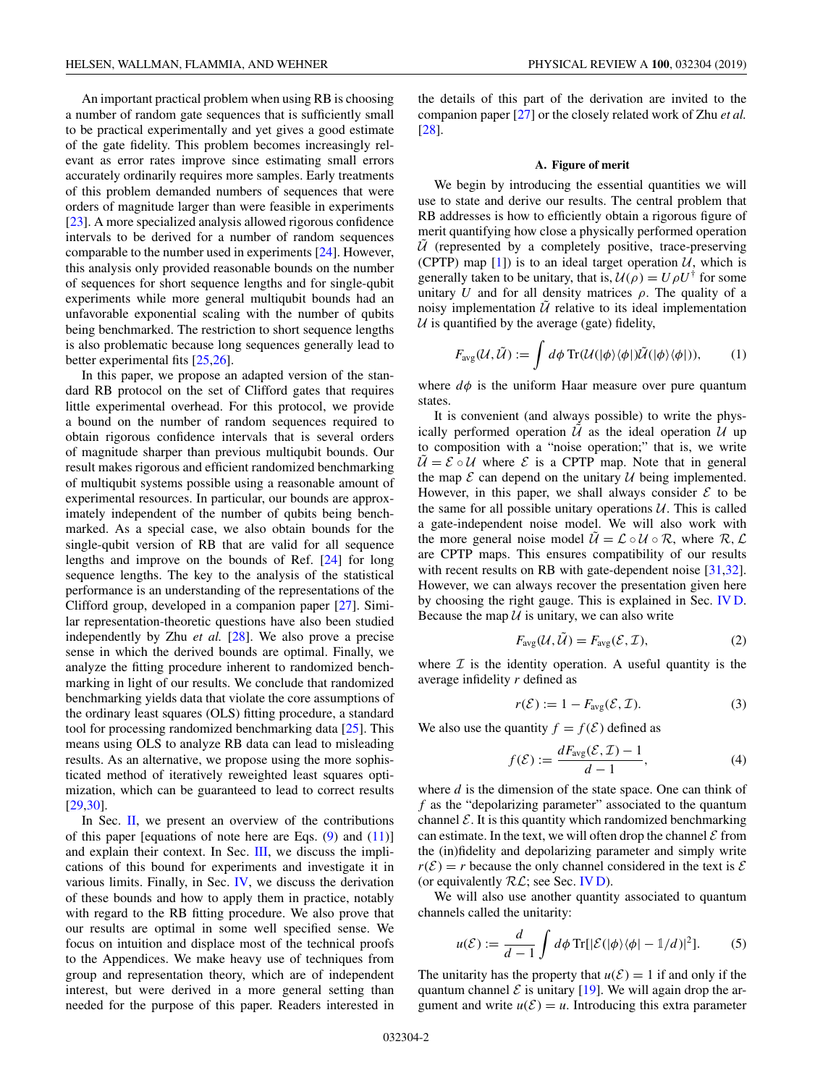<span id="page-2-0"></span>An important practical problem when using RB is choosing a number of random gate sequences that is sufficiently small to be practical experimentally and yet gives a good estimate of the gate fidelity. This problem becomes increasingly relevant as error rates improve since estimating small errors accurately ordinarily requires more samples. Early treatments of this problem demanded numbers of sequences that were orders of magnitude larger than were feasible in experiments [\[23\]](#page-30-0). A more specialized analysis allowed rigorous confidence intervals to be derived for a number of random sequences comparable to the number used in experiments [\[24\]](#page-30-0). However, this analysis only provided reasonable bounds on the number of sequences for short sequence lengths and for single-qubit experiments while more general multiqubit bounds had an unfavorable exponential scaling with the number of qubits being benchmarked. The restriction to short sequence lengths is also problematic because long sequences generally lead to better experimental fits [\[25,26\]](#page-30-0).

In this paper, we propose an adapted version of the standard RB protocol on the set of Clifford gates that requires little experimental overhead. For this protocol, we provide a bound on the number of random sequences required to obtain rigorous confidence intervals that is several orders of magnitude sharper than previous multiqubit bounds. Our result makes rigorous and efficient randomized benchmarking of multiqubit systems possible using a reasonable amount of experimental resources. In particular, our bounds are approximately independent of the number of qubits being benchmarked. As a special case, we also obtain bounds for the single-qubit version of RB that are valid for all sequence lengths and improve on the bounds of Ref. [\[24\]](#page-30-0) for long sequence lengths. The key to the analysis of the statistical performance is an understanding of the representations of the Clifford group, developed in a companion paper [\[27\]](#page-30-0). Similar representation-theoretic questions have also been studied independently by Zhu *et al.* [\[28\]](#page-30-0). We also prove a precise sense in which the derived bounds are optimal. Finally, we analyze the fitting procedure inherent to randomized benchmarking in light of our results. We conclude that randomized benchmarking yields data that violate the core assumptions of the ordinary least squares (OLS) fitting procedure, a standard tool for processing randomized benchmarking data [\[25\]](#page-30-0). This means using OLS to analyze RB data can lead to misleading results. As an alternative, we propose using the more sophisticated method of iteratively reweighted least squares optimization, which can be guaranteed to lead to correct results [\[29,30\]](#page-30-0).

In Sec. [II,](#page-4-0) we present an overview of the contributions of this paper [equations of note here are Eqs.  $(9)$  and  $(11)$ ] and explain their context. In Sec. [III,](#page-6-0) we discuss the implications of this bound for experiments and investigate it in various limits. Finally, in Sec. [IV,](#page-9-0) we discuss the derivation of these bounds and how to apply them in practice, notably with regard to the RB fitting procedure. We also prove that our results are optimal in some well specified sense. We focus on intuition and displace most of the technical proofs to the Appendices. We make heavy use of techniques from group and representation theory, which are of independent interest, but were derived in a more general setting than needed for the purpose of this paper. Readers interested in

the details of this part of the derivation are invited to the companion paper [\[27\]](#page-30-0) or the closely related work of Zhu *et al.* [\[28\]](#page-30-0).

#### **A. Figure of merit**

We begin by introducing the essential quantities we will use to state and derive our results. The central problem that RB addresses is how to efficiently obtain a rigorous figure of merit quantifying how close a physically performed operation  $\hat{U}$  (represented by a completely positive, trace-preserving (CPTP) map [\[1\]](#page-29-0)) is to an ideal target operation  $U$ , which is generally taken to be unitary, that is,  $U(\rho) = U \rho U^{\dagger}$  for some unitary *U* and for all density matrices  $\rho$ . The quality of a noisy implementation  $\tilde{U}$  relative to its ideal implementation  $U$  is quantified by the average (gate) fidelity,

$$
F_{\text{avg}}(\mathcal{U}, \tilde{\mathcal{U}}) := \int d\phi \operatorname{Tr}(\mathcal{U}(|\phi\rangle\langle\phi|)\tilde{\mathcal{U}}(|\phi\rangle\langle\phi|)), \qquad (1)
$$

where  $d\phi$  is the uniform Haar measure over pure quantum states.

It is convenient (and always possible) to write the physically performed operation  $\tilde{U}$  as the ideal operation  $U$  up to composition with a "noise operation;" that is, we write  $\tilde{U} = \mathcal{E} \circ \mathcal{U}$  where  $\mathcal{E}$  is a CPTP map. Note that in general the map  $\mathcal E$  can depend on the unitary  $\mathcal U$  being implemented. However, in this paper, we shall always consider  $\mathcal E$  to be the same for all possible unitary operations  $U$ . This is called a gate-independent noise model. We will also work with the more general noise model  $\mathcal{U} = \mathcal{L} \circ \mathcal{U} \circ \mathcal{R}$ , where  $\mathcal{R}, \mathcal{L}$ are CPTP maps. This ensures compatibility of our results with recent results on RB with gate-dependent noise [\[31,32\]](#page-30-0). However, we can always recover the presentation given here by choosing the right gauge. This is explained in Sec. [IV D.](#page-11-0) Because the map  $U$  is unitary, we can also write

$$
F_{\text{avg}}(\mathcal{U}, \tilde{\mathcal{U}}) = F_{\text{avg}}(\mathcal{E}, \mathcal{I}), \tag{2}
$$

where  $\mathcal I$  is the identity operation. A useful quantity is the average infidelity *r* defined as

$$
r(\mathcal{E}) := 1 - F_{\text{avg}}(\mathcal{E}, \mathcal{I}).
$$
\n(3)

We also use the quantity  $f = f(\mathcal{E})$  defined as

$$
f(\mathcal{E}) := \frac{dF_{\text{avg}}(\mathcal{E}, \mathcal{I}) - 1}{d - 1},\tag{4}
$$

where *d* is the dimension of the state space. One can think of *f* as the "depolarizing parameter" associated to the quantum channel  $\mathcal E$ . It is this quantity which randomized benchmarking can estimate. In the text, we will often drop the channel  $\mathcal E$  from the (in)fidelity and depolarizing parameter and simply write  $r(\mathcal{E}) = r$  because the only channel considered in the text is  $\mathcal E$ (or equivalently  $R\mathcal{L}$ ; see Sec. [IV D\)](#page-11-0).

We will also use another quantity associated to quantum channels called the unitarity:

$$
u(\mathcal{E}) := \frac{d}{d-1} \int d\phi \operatorname{Tr} [|\mathcal{E}(|\phi\rangle\langle\phi| - 1/d)|^2]. \tag{5}
$$

The unitarity has the property that  $u(\mathcal{E}) = 1$  if and only if the quantum channel  $\mathcal E$  is unitary [\[19\]](#page-30-0). We will again drop the argument and write  $u(\mathcal{E}) = u$ . Introducing this extra parameter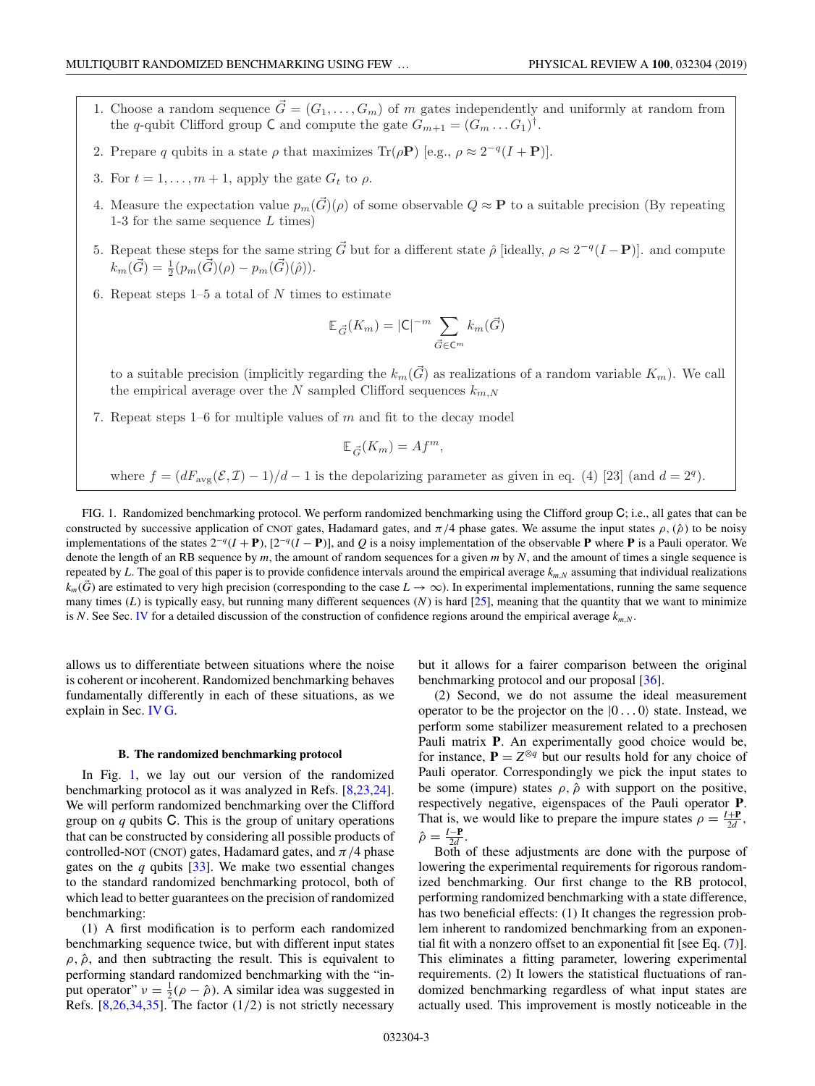- <span id="page-3-0"></span>1. Choose a random sequence  $\vec{G} = (G_1, \ldots, G_m)$  of m gates independently and uniformly at random from the q-qubit Clifford group C and compute the gate  $G_{m+1} = (G_m \dots G_1)^{\dagger}$ .
- 2. Prepare q qubits in a state  $\rho$  that maximizes Tr( $\rho$ **P**) [e.g.,  $\rho \approx 2^{-q}(I + P)$ ].
- 3. For  $t = 1, \ldots, m + 1$ , apply the gate  $G_t$  to  $\rho$ .
- 4. Measure the expectation value  $p_m(\vec{G})(\rho)$  of some observable  $Q \approx \mathbf{P}$  to a suitable precision (By repeating 1-3 for the same sequence  $L$  times)
- 5. Repeat these steps for the same string  $\vec{G}$  but for a different state  $\hat{\rho}$  [ideally,  $\rho \approx 2^{-q}(I \mathbf{P})$ ]. and compute  $k_m(\vec{G}) = \frac{1}{2} (p_m(\dot{\vec{G}})(\rho) - p_m(\vec{G})(\hat{\rho})).$
- 6. Repeat steps  $1-5$  a total of  $N$  times to estimate

$$
\mathbb{E}_{\vec{G}}(K_m) = |\mathsf{C}|^{-m} \sum_{\vec{G} \in \mathsf{C}^m} k_m(\vec{G})
$$

to a suitable precision (implicitly regarding the  $k_m(\vec{G})$  as realizations of a random variable  $K_m$ ). We call the empirical average over the N sampled Clifford sequences  $k_{m,N}$ 

7. Repeat steps  $1-6$  for multiple values of  $m$  and fit to the decay model

$$
\mathbb{E}_{\vec{G}}(K_m) = Af^m,
$$

where  $f = (dF_{\text{avg}}(\mathcal{E}, \mathcal{I}) - 1)/d - 1$  is the depolarizing parameter as given in eq. (4) [23] (and  $d = 2<sup>q</sup>$ ).

FIG. 1. Randomized benchmarking protocol. We perform randomized benchmarking using the Clifford group C; i.e., all gates that can be constructed by successive application of CNOT gates, Hadamard gates, and  $\pi/4$  phase gates. We assume the input states  $\rho$ ,  $(\hat{\rho})$  to be noisy implementations of the states  $2^{-q}(I + P)$ ,  $[2^{-q}(I - P)]$ , and *Q* is a noisy implementation of the observable **P** where **P** is a Pauli operator. We denote the length of an RB sequence by *m*, the amount of random sequences for a given *m* by *N*, and the amount of times a single sequence is repeated by *L*. The goal of this paper is to provide confidence intervals around the empirical average  $k_{m,N}$  assuming that individual realizations  $k_m(\vec{G})$  are estimated to very high precision (corresponding to the case  $L \to \infty$ ). In experimental implementations, running the same sequence many times  $(L)$  is typically easy, but running many different sequences  $(N)$  is hard  $[25]$ , meaning that the quantity that we want to minimize is *N*. See Sec. [IV](#page-9-0) for a detailed discussion of the construction of confidence regions around the empirical average  $k_{m,N}$ .

allows us to differentiate between situations where the noise is coherent or incoherent. Randomized benchmarking behaves fundamentally differently in each of these situations, as we explain in Sec. [IV G.](#page-13-0)

#### **B. The randomized benchmarking protocol**

In Fig. 1, we lay out our version of the randomized benchmarking protocol as it was analyzed in Refs. [\[8,23,24\]](#page-30-0). We will perform randomized benchmarking over the Clifford group on *q* qubits C. This is the group of unitary operations that can be constructed by considering all possible products of controlled-NOT (CNOT) gates, Hadamard gates, and  $\pi/4$  phase gates on the *q* qubits [\[33\]](#page-30-0). We make two essential changes to the standard randomized benchmarking protocol, both of which lead to better guarantees on the precision of randomized benchmarking:

(1) A first modification is to perform each randomized benchmarking sequence twice, but with different input states  $\rho$ ,  $\hat{\rho}$ , and then subtracting the result. This is equivalent to performing standard randomized benchmarking with the "input operator"  $v = \frac{1}{2}(\rho - \hat{\rho})$ . A similar idea was suggested in Refs.  $[8,26,34,35]$ . The factor  $(1/2)$  is not strictly necessary

but it allows for a fairer comparison between the original benchmarking protocol and our proposal [\[36\]](#page-30-0).

(2) Second, we do not assume the ideal measurement operator to be the projector on the  $|0...0\rangle$  state. Instead, we perform some stabilizer measurement related to a prechosen Pauli matrix **P**. An experimentally good choice would be, for instance,  $P = Z^{\otimes q}$  but our results hold for any choice of Pauli operator. Correspondingly we pick the input states to be some (impure) states  $\rho$ ,  $\hat{\rho}$  with support on the positive, respectively negative, eigenspaces of the Pauli operator **P**. That is, we would like to prepare the impure states  $\rho = \frac{I + P}{2d}$ ,  $\hat{\rho} = \frac{I - \mathbf{P}}{2d}$ .

Both of these adjustments are done with the purpose of lowering the experimental requirements for rigorous randomized benchmarking. Our first change to the RB protocol, performing randomized benchmarking with a state difference, has two beneficial effects: (1) It changes the regression problem inherent to randomized benchmarking from an exponential fit with a nonzero offset to an exponential fit [see Eq. [\(7\)](#page-4-0)]. This eliminates a fitting parameter, lowering experimental requirements. (2) It lowers the statistical fluctuations of randomized benchmarking regardless of what input states are actually used. This improvement is mostly noticeable in the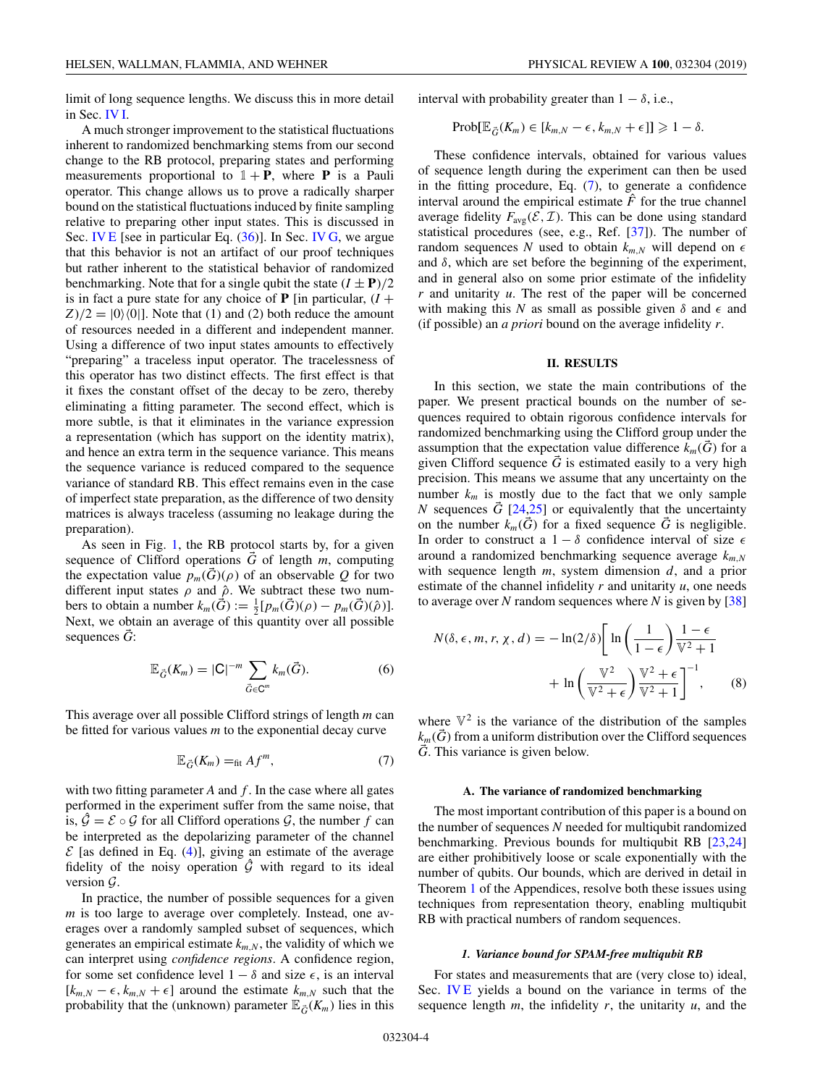<span id="page-4-0"></span>limit of long sequence lengths. We discuss this in more detail in Sec. [IV I.](#page-14-0)

A much stronger improvement to the statistical fluctuations inherent to randomized benchmarking stems from our second change to the RB protocol, preparing states and performing measurements proportional to  $1 + P$ , where **P** is a Pauli operator. This change allows us to prove a radically sharper bound on the statistical fluctuations induced by finite sampling relative to preparing other input states. This is discussed in Sec. [IV E](#page-11-0) [see in particular Eq. [\(36\)](#page-12-0)]. In Sec. [IV G,](#page-13-0) we argue that this behavior is not an artifact of our proof techniques but rather inherent to the statistical behavior of randomized benchmarking. Note that for a single qubit the state  $(I \pm P)/2$ is in fact a pure state for any choice of **P** [in particular,  $(I +$  $Z/2 = |0\rangle\langle 0|]$ . Note that (1) and (2) both reduce the amount of resources needed in a different and independent manner. Using a difference of two input states amounts to effectively "preparing" a traceless input operator. The tracelessness of this operator has two distinct effects. The first effect is that it fixes the constant offset of the decay to be zero, thereby eliminating a fitting parameter. The second effect, which is more subtle, is that it eliminates in the variance expression a representation (which has support on the identity matrix), and hence an extra term in the sequence variance. This means the sequence variance is reduced compared to the sequence variance of standard RB. This effect remains even in the case of imperfect state preparation, as the difference of two density matrices is always traceless (assuming no leakage during the preparation).

As seen in Fig. [1,](#page-3-0) the RB protocol starts by, for a given sequence of Clifford operations  $\vec{G}$  of length  $m$ , computing the expectation value  $p_m(G)(\rho)$  of an observable Q for two different input states  $\rho$  and  $\hat{\rho}$ . We subtract these two numbers to obtain a number  $k_m(\vec{G}) := \frac{1}{2} [p_m(\vec{G})(\rho) - p_m(\vec{G})(\hat{\rho})].$ Next, we obtain an average of this quantity over all possible sequences *G*:

$$
\mathbb{E}_{\vec{G}}(K_m) = |\mathsf{C}|^{-m} \sum_{\vec{G} \in \mathsf{C}^m} k_m(\vec{G}). \tag{6}
$$

This average over all possible Clifford strings of length *m* can be fitted for various values *m* to the exponential decay curve

$$
\mathbb{E}_{\vec{G}}(K_m) =_{\text{fit}} Af^m,\tag{7}
$$

with two fitting parameter *A* and *f* . In the case where all gates performed in the experiment suffer from the same noise, that is,  $\hat{G} = \mathcal{E} \circ \mathcal{G}$  for all Clifford operations  $\mathcal{G}$ , the number f can be interpreted as the depolarizing parameter of the channel  $\mathcal E$  [as defined in Eq. [\(4\)](#page-2-0)], giving an estimate of the average fidelity of the noisy operation  $\hat{G}$  with regard to its ideal version  $\mathcal{G}$ .

In practice, the number of possible sequences for a given *m* is too large to average over completely. Instead, one averages over a randomly sampled subset of sequences, which generates an empirical estimate  $k_{m,N}$ , the validity of which we can interpret using *confidence regions*. A confidence region, for some set confidence level  $1 - \delta$  and size  $\epsilon$ , is an interval  $[k_{m,N} - \epsilon, k_{m,N} + \epsilon]$  around the estimate  $k_{m,N}$  such that the probability that the (unknown) parameter  $\mathbb{E}_{\vec{G}}(K_m)$  lies in this

interval with probability greater than  $1 - \delta$ , i.e.,

$$
Prob[\mathbb{E}_{\vec{G}}(K_m) \in [k_{m,N} - \epsilon, k_{m,N} + \epsilon]] \geq 1 - \delta.
$$

These confidence intervals, obtained for various values of sequence length during the experiment can then be used in the fitting procedure, Eq. (7), to generate a confidence interval around the empirical estimate  $\hat{F}$  for the true channel average fidelity  $F_{\text{avg}}(\mathcal{E}, \mathcal{I})$ . This can be done using standard statistical procedures (see, e.g., Ref. [\[37\]](#page-30-0)). The number of random sequences *N* used to obtain  $k_{m,N}$  will depend on  $\epsilon$ and  $\delta$ , which are set before the beginning of the experiment, and in general also on some prior estimate of the infidelity *r* and unitarity *u*. The rest of the paper will be concerned with making this *N* as small as possible given  $\delta$  and  $\epsilon$  and (if possible) an *a priori* bound on the average infidelity *r*.

### **II. RESULTS**

In this section, we state the main contributions of the paper. We present practical bounds on the number of sequences required to obtain rigorous confidence intervals for randomized benchmarking using the Clifford group under the assumption that the expectation value difference  $k_m(G)$  for a given Clifford sequence  $\vec{G}$  is estimated easily to a very high precision. This means we assume that any uncertainty on the number  $k_m$  is mostly due to the fact that we only sample *N* sequences *G* [\[24,25\]](#page-30-0) or equivalently that the uncertainty on the number  $k_m(\bar{G})$  for a fixed sequence  $\bar{G}$  is negligible. In order to construct a  $1 - \delta$  confidence interval of size  $\epsilon$ around a randomized benchmarking sequence average *km*,*<sup>N</sup>* with sequence length *m*, system dimension *d*, and a prior estimate of the channel infidelity *r* and unitarity *u*, one needs to average over *N* random sequences where *N* is given by [\[38\]](#page-30-0)

$$
N(\delta, \epsilon, m, r, \chi, d) = -\ln(2/\delta) \left[ \ln \left( \frac{1}{1 - \epsilon} \right) \frac{1 - \epsilon}{\mathbb{V}^2 + 1} + \ln \left( \frac{\mathbb{V}^2}{\mathbb{V}^2 + \epsilon} \right) \frac{\mathbb{V}^2 + \epsilon}{\mathbb{V}^2 + 1} \right]^{-1}, \quad (8)
$$

where  $\nabla^2$  is the variance of the distribution of the samples  $k_m(\vec{G})$  from a uniform distribution over the Clifford sequences *G*. This variance is given below.

#### **A. The variance of randomized benchmarking**

The most important contribution of this paper is a bound on the number of sequences *N* needed for multiqubit randomized benchmarking. Previous bounds for multiqubit RB [\[23,24\]](#page-30-0) are either prohibitively loose or scale exponentially with the number of qubits. Our bounds, which are derived in detail in Theorem [1](#page-17-0) of the Appendices, resolve both these issues using techniques from representation theory, enabling multiqubit RB with practical numbers of random sequences.

#### *1. Variance bound for SPAM-free multiqubit RB*

For states and measurements that are (very close to) ideal, Sec. **IVE** yields a bound on the variance in terms of the sequence length *m*, the infidelity *r*, the unitarity *u*, and the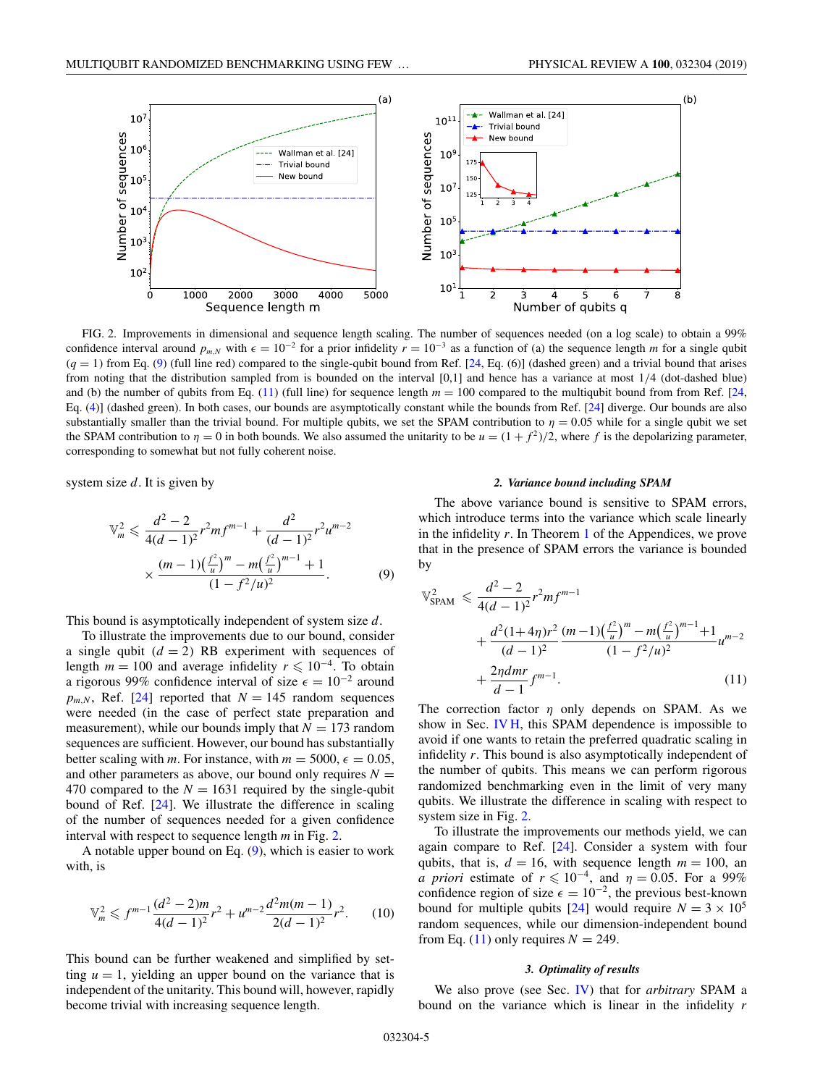<span id="page-5-0"></span>

FIG. 2. Improvements in dimensional and sequence length scaling. The number of sequences needed (on a log scale) to obtain a 99% confidence interval around  $p_{m,N}$  with  $\epsilon = 10^{-2}$  for a prior infidelity  $r = 10^{-3}$  as a function of (a) the sequence length *m* for a single qubit  $(q = 1)$  from Eq. (9) (full line red) compared to the single-qubit bound from Ref. [\[24,](#page-30-0) Eq. (6)] (dashed green) and a trivial bound that arises from noting that the distribution sampled from is bounded on the interval [0,1] and hence has a variance at most 1/4 (dot-dashed blue) and (b) the number of qubits from Eq.  $(11)$  (full line) for sequence length  $m = 100$  compared to the multiqubit bound from from Ref. [\[24,](#page-30-0) Eq. [\(4\)](#page-2-0)] (dashed green). In both cases, our bounds are asymptotically constant while the bounds from Ref. [\[24\]](#page-30-0) diverge. Our bounds are also substantially smaller than the trivial bound. For multiple qubits, we set the SPAM contribution to  $\eta = 0.05$  while for a single qubit we set the SPAM contribution to  $\eta = 0$  in both bounds. We also assumed the unitarity to be  $u = (1 + f^2)/2$ , where f is the depolarizing parameter, corresponding to somewhat but not fully coherent noise.

system size *d*. It is given by

$$
\mathbb{V}_m^2 \leq \frac{d^2 - 2}{4(d - 1)^2} r^2 m f^{m-1} + \frac{d^2}{(d - 1)^2} r^2 u^{m-2}
$$

$$
\times \frac{(m - 1)\left(\frac{f^2}{u}\right)^m - m\left(\frac{f^2}{u}\right)^{m-1} + 1}{(1 - f^2/u)^2}.
$$
(9)

This bound is asymptotically independent of system size *d*.

To illustrate the improvements due to our bound, consider a single qubit  $(d = 2)$  RB experiment with sequences of length  $m = 100$  and average infidelity  $r \le 10^{-4}$ . To obtain a rigorous 99% confidence interval of size  $\epsilon = 10^{-2}$  around  $p_{m,N}$ , Ref. [\[24\]](#page-30-0) reported that  $N = 145$  random sequences were needed (in the case of perfect state preparation and measurement), while our bounds imply that  $N = 173$  random sequences are sufficient. However, our bound has substantially better scaling with *m*. For instance, with  $m = 5000$ ,  $\epsilon = 0.05$ , and other parameters as above, our bound only requires  $N =$ 470 compared to the  $N = 1631$  required by the single-qubit bound of Ref. [\[24\]](#page-30-0). We illustrate the difference in scaling of the number of sequences needed for a given confidence interval with respect to sequence length *m* in Fig. 2.

A notable upper bound on Eq.  $(9)$ , which is easier to work with, is

$$
\mathbb{V}_m^2 \leqslant f^{m-1} \frac{(d^2 - 2)m}{4(d-1)^2} r^2 + u^{m-2} \frac{d^2 m(m-1)}{2(d-1)^2} r^2. \tag{10}
$$

This bound can be further weakened and simplified by setting  $u = 1$ , yielding an upper bound on the variance that is independent of the unitarity. This bound will, however, rapidly become trivial with increasing sequence length.

#### *2. Variance bound including SPAM*

The above variance bound is sensitive to SPAM errors, which introduce terms into the variance which scale linearly in the infidelity *r*. In Theorem [1](#page-17-0) of the Appendices, we prove that in the presence of SPAM errors the variance is bounded by

$$
\mathbb{V}_{\text{SPAM}}^2 \leq \frac{d^2 - 2}{4(d - 1)^2} r^2 m f^{m-1} + \frac{d^2 (1 + 4\eta) r^2 (m - 1) (\frac{f^2}{u})^m - m (\frac{f^2}{u})^{m-1} + 1}{(d - 1)^2} u^{m-2} + \frac{2\eta dm r}{d - 1} f^{m-1}.
$$
\n(11)

The correction factor  $\eta$  only depends on SPAM. As we show in Sec. [IV H,](#page-14-0) this SPAM dependence is impossible to avoid if one wants to retain the preferred quadratic scaling in infidelity *r*. This bound is also asymptotically independent of the number of qubits. This means we can perform rigorous randomized benchmarking even in the limit of very many qubits. We illustrate the difference in scaling with respect to system size in Fig. 2.

To illustrate the improvements our methods yield, we can again compare to Ref. [\[24\]](#page-30-0). Consider a system with four qubits, that is,  $d = 16$ , with sequence length  $m = 100$ , an *a priori* estimate of  $r \le 10^{-4}$ , and  $\eta = 0.05$ . For a 99% confidence region of size  $\epsilon = 10^{-2}$ , the previous best-known bound for multiple qubits [\[24\]](#page-30-0) would require  $N = 3 \times 10^5$ random sequences, while our dimension-independent bound from Eq. (11) only requires  $N = 249$ .

#### *3. Optimality of results*

We also prove (see Sec. [IV\)](#page-9-0) that for *arbitrary* SPAM a bound on the variance which is linear in the infidelity *r*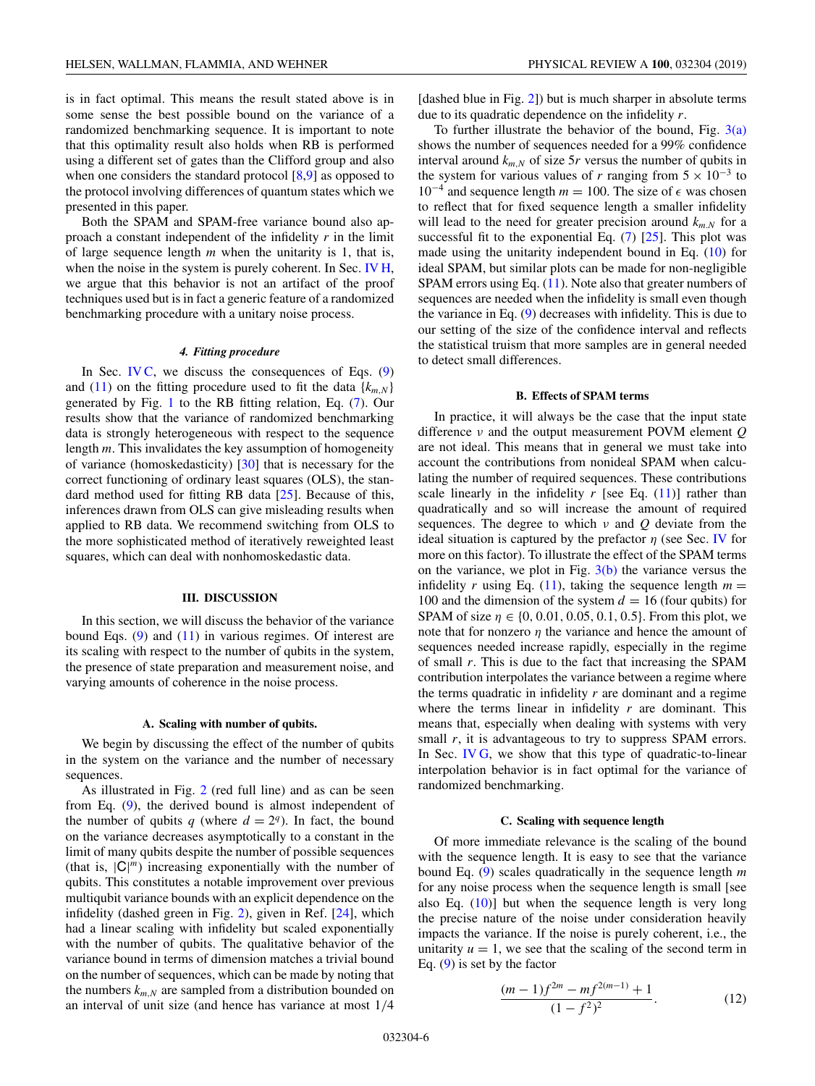<span id="page-6-0"></span>is in fact optimal. This means the result stated above is in some sense the best possible bound on the variance of a randomized benchmarking sequence. It is important to note that this optimality result also holds when RB is performed using a different set of gates than the Clifford group and also when one considers the standard protocol  $[8,9]$  as opposed to the protocol involving differences of quantum states which we presented in this paper.

Both the SPAM and SPAM-free variance bound also approach a constant independent of the infidelity *r* in the limit of large sequence length *m* when the unitarity is 1, that is, when the noise in the system is purely coherent. In Sec. [IV H,](#page-14-0) we argue that this behavior is not an artifact of the proof techniques used but is in fact a generic feature of a randomized benchmarking procedure with a unitary noise process.

#### *4. Fitting procedure*

In Sec. [IV C,](#page-10-0) we discuss the consequences of Eqs.  $(9)$ and [\(11\)](#page-5-0) on the fitting procedure used to fit the data  $\{k_{m,N}\}$ generated by Fig. [1](#page-3-0) to the RB fitting relation, Eq. [\(7\)](#page-4-0). Our results show that the variance of randomized benchmarking data is strongly heterogeneous with respect to the sequence length *m*. This invalidates the key assumption of homogeneity of variance (homoskedasticity) [\[30\]](#page-30-0) that is necessary for the correct functioning of ordinary least squares (OLS), the standard method used for fitting RB data [\[25\]](#page-30-0). Because of this, inferences drawn from OLS can give misleading results when applied to RB data. We recommend switching from OLS to the more sophisticated method of iteratively reweighted least squares, which can deal with nonhomoskedastic data.

### **III. DISCUSSION**

In this section, we will discuss the behavior of the variance bound Eqs.  $(9)$  and  $(11)$  in various regimes. Of interest are its scaling with respect to the number of qubits in the system, the presence of state preparation and measurement noise, and varying amounts of coherence in the noise process.

#### **A. Scaling with number of qubits.**

We begin by discussing the effect of the number of qubits in the system on the variance and the number of necessary sequences.

As illustrated in Fig. [2](#page-5-0) (red full line) and as can be seen from Eq. [\(9\)](#page-5-0), the derived bound is almost independent of the number of qubits *q* (where  $d = 2<sup>q</sup>$ ). In fact, the bound on the variance decreases asymptotically to a constant in the limit of many qubits despite the number of possible sequences (that is,  $|C|^m$ ) increasing exponentially with the number of qubits. This constitutes a notable improvement over previous multiqubit variance bounds with an explicit dependence on the infidelity (dashed green in Fig. [2\)](#page-5-0), given in Ref. [\[24\]](#page-30-0), which had a linear scaling with infidelity but scaled exponentially with the number of qubits. The qualitative behavior of the variance bound in terms of dimension matches a trivial bound on the number of sequences, which can be made by noting that the numbers  $k_{m,N}$  are sampled from a distribution bounded on an interval of unit size (and hence has variance at most 1/4

[dashed blue in Fig. [2\]](#page-5-0)) but is much sharper in absolute terms due to its quadratic dependence on the infidelity *r*.

To further illustrate the behavior of the bound, Fig.  $3(a)$ shows the number of sequences needed for a 99% confidence interval around  $k_{m,N}$  of size 5*r* versus the number of qubits in the system for various values of *r* ranging from  $5 \times 10^{-3}$  to 10<sup> $-4$ </sup> and sequence length *m* = 100. The size of  $\epsilon$  was chosen to reflect that for fixed sequence length a smaller infidelity will lead to the need for greater precision around  $k_{m,N}$  for a successful fit to the exponential Eq.  $(7)$  [\[25\]](#page-30-0). This plot was made using the unitarity independent bound in Eq. [\(10\)](#page-5-0) for ideal SPAM, but similar plots can be made for non-negligible SPAM errors using Eq. [\(11\)](#page-5-0). Note also that greater numbers of sequences are needed when the infidelity is small even though the variance in Eq. [\(9\)](#page-5-0) decreases with infidelity. This is due to our setting of the size of the confidence interval and reflects the statistical truism that more samples are in general needed to detect small differences.

### **B. Effects of SPAM terms**

In practice, it will always be the case that the input state difference ν and the output measurement POVM element *Q* are not ideal. This means that in general we must take into account the contributions from nonideal SPAM when calculating the number of required sequences. These contributions scale linearly in the infidelity  $r$  [see Eq.  $(11)$ ] rather than quadratically and so will increase the amount of required sequences. The degree to which ν and *Q* deviate from the ideal situation is captured by the prefactor  $\eta$  (see Sec. [IV](#page-9-0) for more on this factor). To illustrate the effect of the SPAM terms on the variance, we plot in Fig.  $3(b)$  the variance versus the infidelity *r* using Eq. [\(11\)](#page-5-0), taking the sequence length  $m =$ 100 and the dimension of the system  $d = 16$  (four qubits) for SPAM of size  $\eta \in \{0, 0.01, 0.05, 0.1, 0.5\}$ . From this plot, we note that for nonzero  $\eta$  the variance and hence the amount of sequences needed increase rapidly, especially in the regime of small *r*. This is due to the fact that increasing the SPAM contribution interpolates the variance between a regime where the terms quadratic in infidelity *r* are dominant and a regime where the terms linear in infidelity *r* are dominant. This means that, especially when dealing with systems with very small *r*, it is advantageous to try to suppress SPAM errors. In Sec. [IV G,](#page-13-0) we show that this type of quadratic-to-linear interpolation behavior is in fact optimal for the variance of randomized benchmarking.

#### **C. Scaling with sequence length**

Of more immediate relevance is the scaling of the bound with the sequence length. It is easy to see that the variance bound Eq. [\(9\)](#page-5-0) scales quadratically in the sequence length *m* for any noise process when the sequence length is small [see also Eq.  $(10)$ ] but when the sequence length is very long the precise nature of the noise under consideration heavily impacts the variance. If the noise is purely coherent, i.e., the unitarity  $u = 1$ , we see that the scaling of the second term in Eq. [\(9\)](#page-5-0) is set by the factor

$$
\frac{(m-1)f^{2m}-mf^{2(m-1)}+1}{(1-f^2)^2}.
$$
 (12)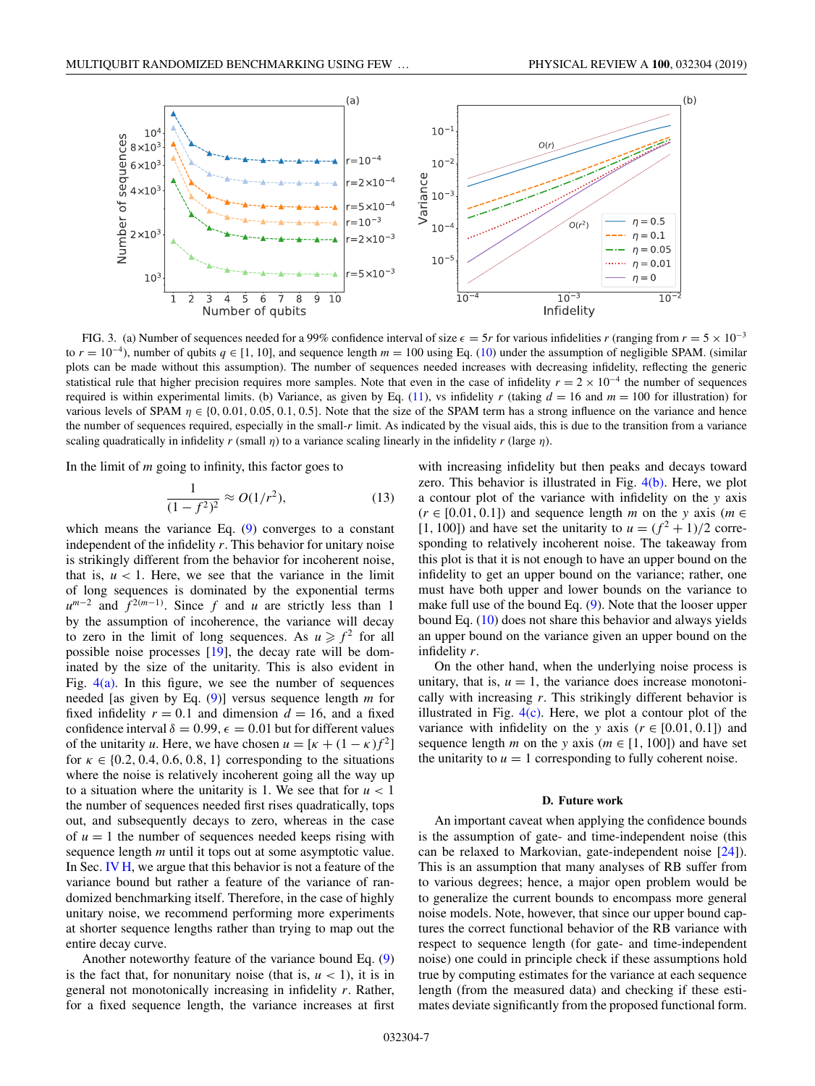<span id="page-7-0"></span>

FIG. 3. (a) Number of sequences needed for a 99% confidence interval of size  $\epsilon = 5r$  for various infidelities *r* (ranging from  $r = 5 \times 10^{-3}$ to  $r = 10^{-4}$ ), number of qubits  $q \in [1, 10]$ , and sequence length  $m = 100$  using Eq. [\(10\)](#page-5-0) under the assumption of negligible SPAM. (similar plots can be made without this assumption). The number of sequences needed increases with decreasing infidelity, reflecting the generic statistical rule that higher precision requires more samples. Note that even in the case of infidelity  $r = 2 \times 10^{-4}$  the number of sequences required is within experimental limits. (b) Variance, as given by Eq.  $(11)$ , vs infidelity *r* (taking  $d = 16$  and  $m = 100$  for illustration) for various levels of SPAM  $\eta \in \{0, 0.01, 0.05, 0.1, 0.5\}$ . Note that the size of the SPAM term has a strong influence on the variance and hence the number of sequences required, especially in the small-*r* limit. As indicated by the visual aids, this is due to the transition from a variance scaling quadratically in infidelity  $r$  (small  $\eta$ ) to a variance scaling linearly in the infidelity  $r$  (large  $\eta$ ).

In the limit of *m* going to infinity, this factor goes to

$$
\frac{1}{(1-f^2)^2} \approx O(1/r^2),\tag{13}
$$

which means the variance Eq. [\(9\)](#page-5-0) converges to a constant independent of the infidelity *r*. This behavior for unitary noise is strikingly different from the behavior for incoherent noise, that is,  $u < 1$ . Here, we see that the variance in the limit of long sequences is dominated by the exponential terms  $u^{m-2}$  and  $f^{2(m-1)}$ . Since *f* and *u* are strictly less than 1 by the assumption of incoherence, the variance will decay to zero in the limit of long sequences. As  $u \ge f^2$  for all possible noise processes [\[19\]](#page-30-0), the decay rate will be dominated by the size of the unitarity. This is also evident in Fig.  $4(a)$ . In this figure, we see the number of sequences needed [as given by Eq. [\(9\)](#page-5-0)] versus sequence length *m* for fixed infidelity  $r = 0.1$  and dimension  $d = 16$ , and a fixed confidence interval  $\delta = 0.99$ ,  $\epsilon = 0.01$  but for different values of the unitarity *u*. Here, we have chosen  $u = [\kappa + (1 - \kappa)f^2]$ for  $\kappa \in \{0.2, 0.4, 0.6, 0.8, 1\}$  corresponding to the situations where the noise is relatively incoherent going all the way up to a situation where the unitarity is 1. We see that for  $u < 1$ the number of sequences needed first rises quadratically, tops out, and subsequently decays to zero, whereas in the case of  $u = 1$  the number of sequences needed keeps rising with sequence length *m* until it tops out at some asymptotic value. In Sec. [IV H,](#page-14-0) we argue that this behavior is not a feature of the variance bound but rather a feature of the variance of randomized benchmarking itself. Therefore, in the case of highly unitary noise, we recommend performing more experiments at shorter sequence lengths rather than trying to map out the entire decay curve.

Another noteworthy feature of the variance bound Eq. [\(9\)](#page-5-0) is the fact that, for nonunitary noise (that is,  $u < 1$ ), it is in general not monotonically increasing in infidelity *r*. Rather, for a fixed sequence length, the variance increases at first with increasing infidelity but then peaks and decays toward zero. This behavior is illustrated in Fig.  $4(b)$ . Here, we plot a contour plot of the variance with infidelity on the *y* axis  $(r \in [0.01, 0.1])$  and sequence length *m* on the *y* axis (*m*  $\in$ [1, 100]) and have set the unitarity to  $u = (f^2 + 1)/2$  corresponding to relatively incoherent noise. The takeaway from this plot is that it is not enough to have an upper bound on the infidelity to get an upper bound on the variance; rather, one must have both upper and lower bounds on the variance to make full use of the bound Eq. [\(9\)](#page-5-0). Note that the looser upper bound Eq. [\(10\)](#page-5-0) does not share this behavior and always yields an upper bound on the variance given an upper bound on the infidelity *r*.

On the other hand, when the underlying noise process is unitary, that is,  $u = 1$ , the variance does increase monotonically with increasing *r*. This strikingly different behavior is illustrated in Fig.  $4(c)$ . Here, we plot a contour plot of the variance with infidelity on the *y* axis ( $r \in [0.01, 0.1]$ ) and sequence length *m* on the *y* axis ( $m \in [1, 100]$ ) and have set the unitarity to  $u = 1$  corresponding to fully coherent noise.

#### **D. Future work**

An important caveat when applying the confidence bounds is the assumption of gate- and time-independent noise (this can be relaxed to Markovian, gate-independent noise [\[24\]](#page-30-0)). This is an assumption that many analyses of RB suffer from to various degrees; hence, a major open problem would be to generalize the current bounds to encompass more general noise models. Note, however, that since our upper bound captures the correct functional behavior of the RB variance with respect to sequence length (for gate- and time-independent noise) one could in principle check if these assumptions hold true by computing estimates for the variance at each sequence length (from the measured data) and checking if these estimates deviate significantly from the proposed functional form.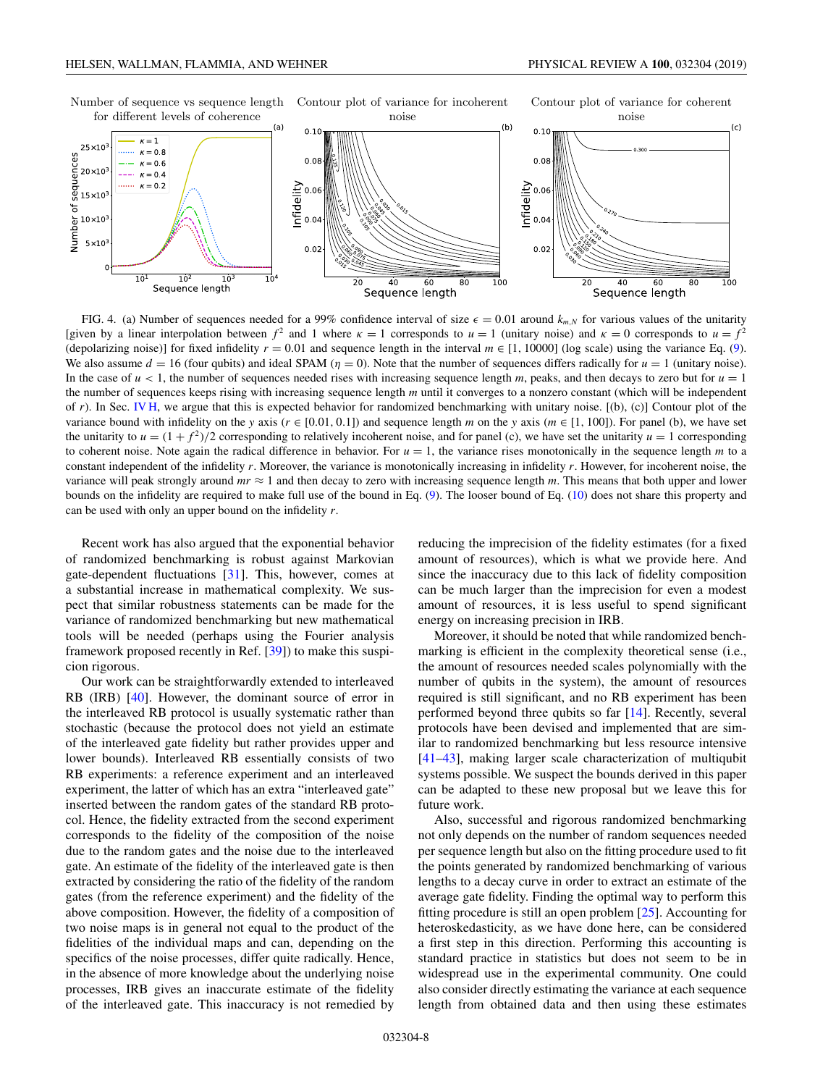<span id="page-8-0"></span>

FIG. 4. (a) Number of sequences needed for a 99% confidence interval of size  $\epsilon = 0.01$  around  $k_{m,N}$  for various values of the unitarity [given by a linear interpolation between  $f^2$  and 1 where  $\kappa = 1$  corresponds to  $u = 1$  (unitary noise) and  $\kappa = 0$  corresponds to  $u = f^2$ (depolarizing noise)] for fixed infidelity  $r = 0.01$  and sequence length in the interval  $m \in [1, 10000]$  (log scale) using the variance Eq. [\(9\)](#page-5-0). We also assume  $d = 16$  (four qubits) and ideal SPAM ( $\eta = 0$ ). Note that the number of sequences differs radically for  $u = 1$  (unitary noise). In the case of  $u < 1$ , the number of sequences needed rises with increasing sequence length  $m$ , peaks, and then decays to zero but for  $u = 1$ the number of sequences keeps rising with increasing sequence length *m* until it converges to a nonzero constant (which will be independent of *r*). In Sec. [IV H,](#page-14-0) we argue that this is expected behavior for randomized benchmarking with unitary noise. [(b), (c)] Contour plot of the variance bound with infidelity on the *y* axis ( $r \in [0.01, 0.1]$ ) and sequence length *m* on the *y* axis ( $m \in [1, 100]$ ). For panel (b), we have set the unitarity to  $u = (1 + f^2)/2$  corresponding to relatively incoherent noise, and for panel (c), we have set the unitarity  $u = 1$  corresponding to coherent noise. Note again the radical difference in behavior. For  $u = 1$ , the variance rises monotonically in the sequence length *m* to a constant independent of the infidelity *r*. Moreover, the variance is monotonically increasing in infidelity *r*. However, for incoherent noise, the variance will peak strongly around  $mr \approx 1$  and then decay to zero with increasing sequence length  $m$ . This means that both upper and lower bounds on the infidelity are required to make full use of the bound in Eq. [\(9\)](#page-5-0). The looser bound of Eq. [\(10\)](#page-5-0) does not share this property and can be used with only an upper bound on the infidelity *r*.

Recent work has also argued that the exponential behavior of randomized benchmarking is robust against Markovian gate-dependent fluctuations [\[31\]](#page-30-0). This, however, comes at a substantial increase in mathematical complexity. We suspect that similar robustness statements can be made for the variance of randomized benchmarking but new mathematical tools will be needed (perhaps using the Fourier analysis framework proposed recently in Ref. [\[39\]](#page-30-0)) to make this suspicion rigorous.

Our work can be straightforwardly extended to interleaved RB (IRB) [\[40\]](#page-30-0). However, the dominant source of error in the interleaved RB protocol is usually systematic rather than stochastic (because the protocol does not yield an estimate of the interleaved gate fidelity but rather provides upper and lower bounds). Interleaved RB essentially consists of two RB experiments: a reference experiment and an interleaved experiment, the latter of which has an extra "interleaved gate" inserted between the random gates of the standard RB protocol. Hence, the fidelity extracted from the second experiment corresponds to the fidelity of the composition of the noise due to the random gates and the noise due to the interleaved gate. An estimate of the fidelity of the interleaved gate is then extracted by considering the ratio of the fidelity of the random gates (from the reference experiment) and the fidelity of the above composition. However, the fidelity of a composition of two noise maps is in general not equal to the product of the fidelities of the individual maps and can, depending on the specifics of the noise processes, differ quite radically. Hence, in the absence of more knowledge about the underlying noise processes, IRB gives an inaccurate estimate of the fidelity of the interleaved gate. This inaccuracy is not remedied by

reducing the imprecision of the fidelity estimates (for a fixed amount of resources), which is what we provide here. And since the inaccuracy due to this lack of fidelity composition can be much larger than the imprecision for even a modest amount of resources, it is less useful to spend significant energy on increasing precision in IRB.

Moreover, it should be noted that while randomized benchmarking is efficient in the complexity theoretical sense (i.e., the amount of resources needed scales polynomially with the number of qubits in the system), the amount of resources required is still significant, and no RB experiment has been performed beyond three qubits so far [\[14\]](#page-30-0). Recently, several protocols have been devised and implemented that are similar to randomized benchmarking but less resource intensive [\[41–43\]](#page-30-0), making larger scale characterization of multiqubit systems possible. We suspect the bounds derived in this paper can be adapted to these new proposal but we leave this for future work.

Also, successful and rigorous randomized benchmarking not only depends on the number of random sequences needed per sequence length but also on the fitting procedure used to fit the points generated by randomized benchmarking of various lengths to a decay curve in order to extract an estimate of the average gate fidelity. Finding the optimal way to perform this fitting procedure is still an open problem [\[25\]](#page-30-0). Accounting for heteroskedasticity, as we have done here, can be considered a first step in this direction. Performing this accounting is standard practice in statistics but does not seem to be in widespread use in the experimental community. One could also consider directly estimating the variance at each sequence length from obtained data and then using these estimates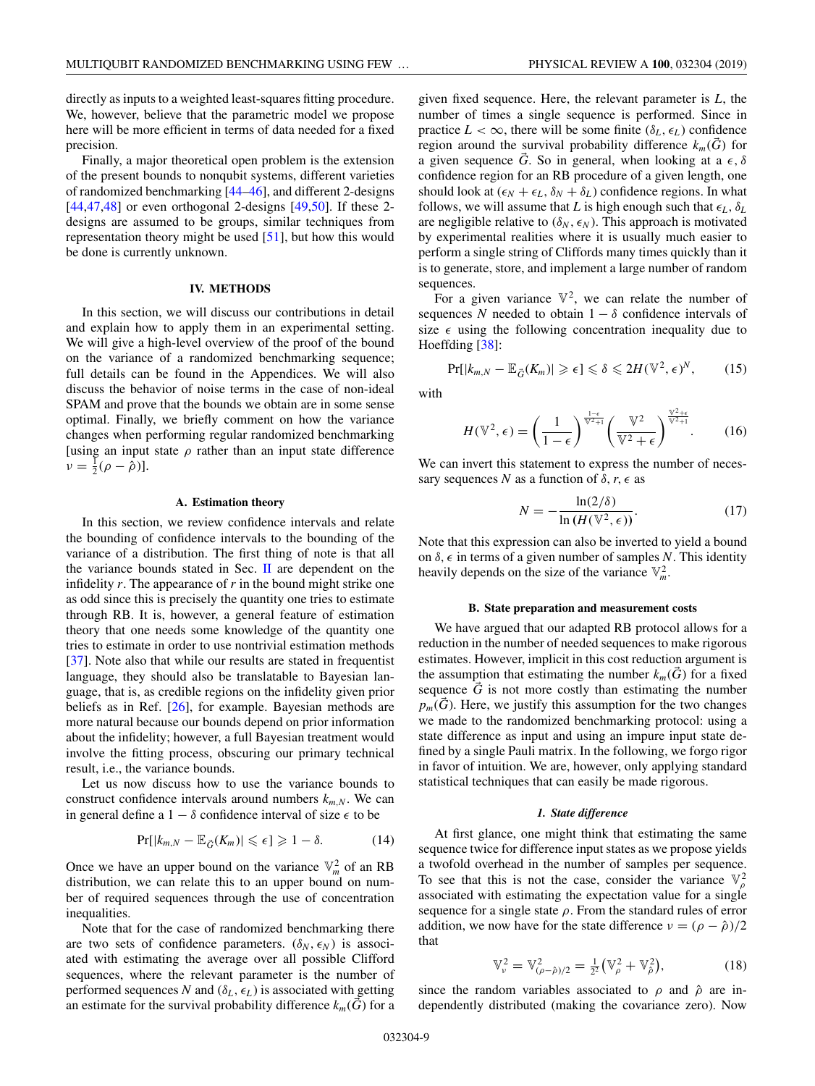<span id="page-9-0"></span>directly as inputs to a weighted least-squares fitting procedure. We, however, believe that the parametric model we propose here will be more efficient in terms of data needed for a fixed precision.

Finally, a major theoretical open problem is the extension of the present bounds to nonqubit systems, different varieties of randomized benchmarking [\[44–](#page-30-0)[46\]](#page-31-0), and different 2-designs  $[44,47,48]$  $[44,47,48]$  or even orthogonal 2-designs  $[49,50]$ . If these 2designs are assumed to be groups, similar techniques from representation theory might be used [\[51\]](#page-31-0), but how this would be done is currently unknown.

### **IV. METHODS**

In this section, we will discuss our contributions in detail and explain how to apply them in an experimental setting. We will give a high-level overview of the proof of the bound on the variance of a randomized benchmarking sequence; full details can be found in the Appendices. We will also discuss the behavior of noise terms in the case of non-ideal SPAM and prove that the bounds we obtain are in some sense optimal. Finally, we briefly comment on how the variance changes when performing regular randomized benchmarking [using an input state  $\rho$  rather than an input state difference  $v = \frac{1}{2} (\rho - \tilde{\rho})$ ].

### **A. Estimation theory**

In this section, we review confidence intervals and relate the bounding of confidence intervals to the bounding of the variance of a distribution. The first thing of note is that all the variance bounds stated in Sec. [II](#page-4-0) are dependent on the infidelity *r*. The appearance of *r* in the bound might strike one as odd since this is precisely the quantity one tries to estimate through RB. It is, however, a general feature of estimation theory that one needs some knowledge of the quantity one tries to estimate in order to use nontrivial estimation methods [\[37\]](#page-30-0). Note also that while our results are stated in frequentist language, they should also be translatable to Bayesian language, that is, as credible regions on the infidelity given prior beliefs as in Ref. [\[26\]](#page-30-0), for example. Bayesian methods are more natural because our bounds depend on prior information about the infidelity; however, a full Bayesian treatment would involve the fitting process, obscuring our primary technical result, i.e., the variance bounds.

Let us now discuss how to use the variance bounds to construct confidence intervals around numbers  $k_{m,N}$ . We can in general define a  $1 - \delta$  confidence interval of size  $\epsilon$  to be

$$
\Pr[|k_{m,N} - \mathbb{E}_{\vec{G}}(K_m)| \leq \epsilon] \geq 1 - \delta. \tag{14}
$$

Once we have an upper bound on the variance  $\mathbb{V}_m^2$  of an RB distribution, we can relate this to an upper bound on number of required sequences through the use of concentration inequalities.

Note that for the case of randomized benchmarking there are two sets of confidence parameters.  $(\delta_N, \epsilon_N)$  is associated with estimating the average over all possible Clifford sequences, where the relevant parameter is the number of performed sequences *N* and  $(\delta_L, \epsilon_L)$  is associated with getting an estimate for the survival probability difference  $k_m(\bar{G})$  for a

given fixed sequence. Here, the relevant parameter is *L*, the number of times a single sequence is performed. Since in practice  $L < \infty$ , there will be some finite ( $\delta_L, \epsilon_L$ ) confidence region around the survival probability difference  $k_m(\vec{G})$  for a given sequence  $\vec{G}$ . So in general, when looking at a  $\epsilon, \delta$ confidence region for an RB procedure of a given length, one should look at  $(\epsilon_N + \epsilon_L, \delta_N + \delta_L)$  confidence regions. In what follows, we will assume that *L* is high enough such that  $\epsilon_L$ ,  $\delta_L$ are negligible relative to  $(\delta_N, \epsilon_N)$ . This approach is motivated by experimental realities where it is usually much easier to perform a single string of Cliffords many times quickly than it is to generate, store, and implement a large number of random sequences.

For a given variance  $\nabla^2$ , we can relate the number of sequences *N* needed to obtain  $1 - \delta$  confidence intervals of size  $\epsilon$  using the following concentration inequality due to Hoeffding [\[38\]](#page-30-0):

$$
\Pr[|k_{m,N}-\mathbb{E}_{\vec{G}}(K_m)|\geqslant \epsilon] \leqslant \delta \leqslant 2H(\mathbb{V}^2,\epsilon)^N,\qquad(15)
$$

with

$$
H(\mathbb{V}^2, \epsilon) = \left(\frac{1}{1-\epsilon}\right)^{\frac{1-\epsilon}{\mathbb{V}^2+1}} \left(\frac{\mathbb{V}^2}{\mathbb{V}^2+\epsilon}\right)^{\frac{\mathbb{V}^2+\epsilon}{\mathbb{V}^2+1}}.
$$
 (16)

We can invert this statement to express the number of necessary sequences *N* as a function of  $\delta$ ,  $r$ ,  $\epsilon$  as

$$
N = -\frac{\ln(2/\delta)}{\ln(H(\mathbb{V}^2, \epsilon))}.
$$
 (17)

Note that this expression can also be inverted to yield a bound on  $\delta$ ,  $\epsilon$  in terms of a given number of samples *N*. This identity heavily depends on the size of the variance  $\mathbb{V}_m^2$ .

#### **B. State preparation and measurement costs**

We have argued that our adapted RB protocol allows for a reduction in the number of needed sequences to make rigorous estimates. However, implicit in this cost reduction argument is the assumption that estimating the number  $k_m(\bar{G})$  for a fixed sequence  $\vec{G}$  is not more costly than estimating the number  $p_m(\vec{G})$ . Here, we justify this assumption for the two changes we made to the randomized benchmarking protocol: using a state difference as input and using an impure input state defined by a single Pauli matrix. In the following, we forgo rigor in favor of intuition. We are, however, only applying standard statistical techniques that can easily be made rigorous.

### *1. State difference*

At first glance, one might think that estimating the same sequence twice for difference input states as we propose yields a twofold overhead in the number of samples per sequence. To see that this is not the case, consider the variance  $\mathbb{V}^2$ associated with estimating the expectation value for a single sequence for a single state  $\rho$ . From the standard rules of error addition, we now have for the state difference  $v = (\rho - \hat{\rho})/2$ that

$$
\mathbb{V}_{\nu}^{2} = \mathbb{V}_{(\rho - \hat{\rho})/2}^{2} = \frac{1}{2^{2}} (\mathbb{V}_{\rho}^{2} + \mathbb{V}_{\hat{\rho}}^{2}), \tag{18}
$$

since the random variables associated to  $\rho$  and  $\hat{\rho}$  are independently distributed (making the covariance zero). Now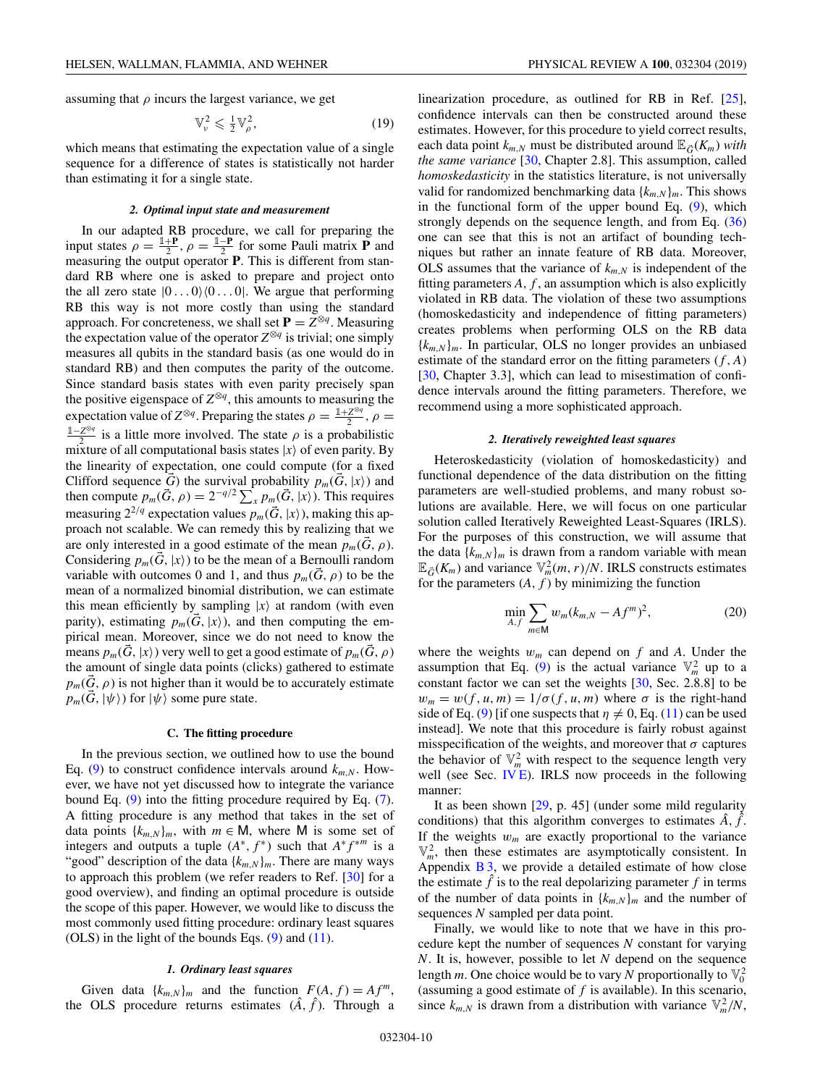<span id="page-10-0"></span>assuming that  $\rho$  incurs the largest variance, we get

$$
\mathbb{V}^2_{\nu} \leqslant \frac{1}{2} \mathbb{V}^2_{\rho},\tag{19}
$$

which means that estimating the expectation value of a single sequence for a difference of states is statistically not harder than estimating it for a single state.

#### *2. Optimal input state and measurement*

In our adapted RB procedure, we call for preparing the input states  $\rho = \frac{\mathbb{1} + \mathbf{P}}{2}$ ,  $\rho = \frac{\mathbb{1} - \mathbf{P}}{2}$  for some Pauli matrix **P** and measuring the output operator **P**. This is different from standard RB where one is asked to prepare and project onto the all zero state  $|0...0\rangle\langle0...0|$ . We argue that performing RB this way is not more costly than using the standard approach. For concreteness, we shall set  $P = Z^{\otimes q}$ . Measuring the expectation value of the operator  $Z^{\otimes q}$  is trivial; one simply measures all qubits in the standard basis (as one would do in standard RB) and then computes the parity of the outcome. Since standard basis states with even parity precisely span the positive eigenspace of  $Z^{\otimes q}$ , this amounts to measuring the expectation value of  $Z^{\otimes q}$ . Preparing the states  $\rho = \frac{1+Z^{\otimes q}}{2}$ ,  $\rho =$  $\frac{1-Z^{\otimes q}}{2}$  is a little more involved. The state *ρ* is a probabilistic mixture of all computational basis states  $|x\rangle$  of even parity. By the linearity of expectation, one could compute (for a fixed Clifford sequence  $\vec{G}$ ) the survival probability  $p_m(\vec{G}, |x\rangle)$  and then compute  $p_m(\vec{G}, \rho) = 2^{-q/2} \sum_{x} p_m(\vec{G}, |x\rangle)$ . This requires measuring  $2^{2/q}$  expectation values  $p_m(\vec{G},x)$ ), making this approach not scalable. We can remedy this by realizing that we are only interested in a good estimate of the mean  $p_m(G, \rho)$ . Considering  $p_m(\vec{G}, |x\rangle)$  to be the mean of a Bernoulli random variable with outcomes 0 and 1, and thus  $p_m(G, \rho)$  to be the mean of a normalized binomial distribution, we can estimate this mean efficiently by sampling  $|x\rangle$  at random (with even parity), estimating  $p_m(\vec{G}, |x\rangle)$ , and then computing the empirical mean. Moreover, since we do not need to know the means  $p_m(\vec{G}, x|)$  very well to get a good estimate of  $p_m(\vec{G}, \rho)$ the amount of single data points (clicks) gathered to estimate  $p_m(G, \rho)$  is not higher than it would be to accurately estimate  $p_m(\vec{G}, |\psi\rangle)$  for  $|\psi\rangle$  some pure state.

#### **C. The fitting procedure**

In the previous section, we outlined how to use the bound Eq. [\(9\)](#page-5-0) to construct confidence intervals around  $k_{m,N}$ . However, we have not yet discussed how to integrate the variance bound Eq. [\(9\)](#page-5-0) into the fitting procedure required by Eq. [\(7\)](#page-4-0). A fitting procedure is any method that takes in the set of data points  $\{k_{m,N}\}_m$ , with  $m \in M$ , where M is some set of integers and outputs a tuple  $(A^*, f^*)$  such that  $A^* f^{*m}$  is a "good" description of the data  $\{k_{m,N}\}_m$ . There are many ways to approach this problem (we refer readers to Ref. [\[30\]](#page-30-0) for a good overview), and finding an optimal procedure is outside the scope of this paper. However, we would like to discuss the most commonly used fitting procedure: ordinary least squares (OLS) in the light of the bounds Eqs.  $(9)$  and  $(11)$ .

### *1. Ordinary least squares*

Given data  ${k_{m,N}}_m$  and the function  $F(A, f) = Af^m$ , the OLS procedure returns estimates  $(\hat{A}, \hat{f})$ . Through a linearization procedure, as outlined for RB in Ref. [\[25\]](#page-30-0), confidence intervals can then be constructed around these estimates. However, for this procedure to yield correct results, each data point  $k_{m,N}$  must be distributed around  $\mathbb{E}_{\vec{G}}(K_m)$  with *the same variance* [\[30,](#page-30-0) Chapter 2.8]. This assumption, called *homoskedasticity* in the statistics literature, is not universally valid for randomized benchmarking data  $\{k_{m,N}\}_{m}$ . This shows in the functional form of the upper bound Eq. [\(9\)](#page-5-0), which strongly depends on the sequence length, and from Eq. [\(36\)](#page-12-0) one can see that this is not an artifact of bounding techniques but rather an innate feature of RB data. Moreover, OLS assumes that the variance of  $k_{m,N}$  is independent of the fitting parameters  $A$ ,  $f$ , an assumption which is also explicitly violated in RB data. The violation of these two assumptions (homoskedasticity and independence of fitting parameters) creates problems when performing OLS on the RB data  ${k_{m,N}}_m$ . In particular, OLS no longer provides an unbiased estimate of the standard error on the fitting parameters  $(f, A)$ [\[30,](#page-30-0) Chapter 3.3], which can lead to misestimation of confidence intervals around the fitting parameters. Therefore, we recommend using a more sophisticated approach.

#### *2. Iteratively reweighted least squares*

Heteroskedasticity (violation of homoskedasticity) and functional dependence of the data distribution on the fitting parameters are well-studied problems, and many robust solutions are available. Here, we will focus on one particular solution called Iteratively Reweighted Least-Squares (IRLS). For the purposes of this construction, we will assume that the data  $\{k_{m,N}\}_m$  is drawn from a random variable with mean  $\mathbb{E}_{\vec{G}}(K_m)$  and variance  $\mathbb{V}_m^2(m,r)/N$ . IRLS constructs estimates for the parameters  $(A, f)$  by minimizing the function

$$
\min_{A,f} \sum_{m \in \mathsf{M}} w_m (k_{m,N} - A f^m)^2, \tag{20}
$$

where the weights  $w_m$  can depend on  $f$  and  $A$ . Under the assumption that Eq. [\(9\)](#page-5-0) is the actual variance  $\mathbb{V}_m^2$  up to a constant factor we can set the weights [\[30,](#page-30-0) Sec. 2.8.8] to be  $w_m = w(f, u, m) = 1/\sigma(f, u, m)$  where  $\sigma$  is the right-hand side of Eq. [\(9\)](#page-5-0) [if one suspects that  $\eta \neq 0$ , Eq. [\(11\)](#page-5-0) can be used instead]. We note that this procedure is fairly robust against misspecification of the weights, and moreover that  $\sigma$  captures the behavior of  $\mathbb{V}_m^2$  with respect to the sequence length very well (see Sec. [IV E\)](#page-11-0). IRLS now proceeds in the following manner:

It as been shown [\[29,](#page-30-0) p. 45] (under some mild regularity conditions) that this algorithm converges to estimates  $\hat{A}$ ,  $\hat{f}$ . If the weights  $w_m$  are exactly proportional to the variance  $\mathbb{V}_m^2$ , then these estimates are asymptotically consistent. In Appendix  $\overline{B}3$ , we provide a detailed estimate of how close the estimate  $\hat{f}$  is to the real depolarizing parameter  $f$  in terms of the number of data points in  $\{k_{m,N}\}_m$  and the number of sequences *N* sampled per data point.

Finally, we would like to note that we have in this procedure kept the number of sequences *N* constant for varying *N*. It is, however, possible to let *N* depend on the sequence length *m*. One choice would be to vary *N* proportionally to  $\mathbb{V}_0^2$ (assuming a good estimate of *f* is available). In this scenario, since  $k_{m,N}$  is drawn from a distribution with variance  $\mathbb{V}_m^2/N$ ,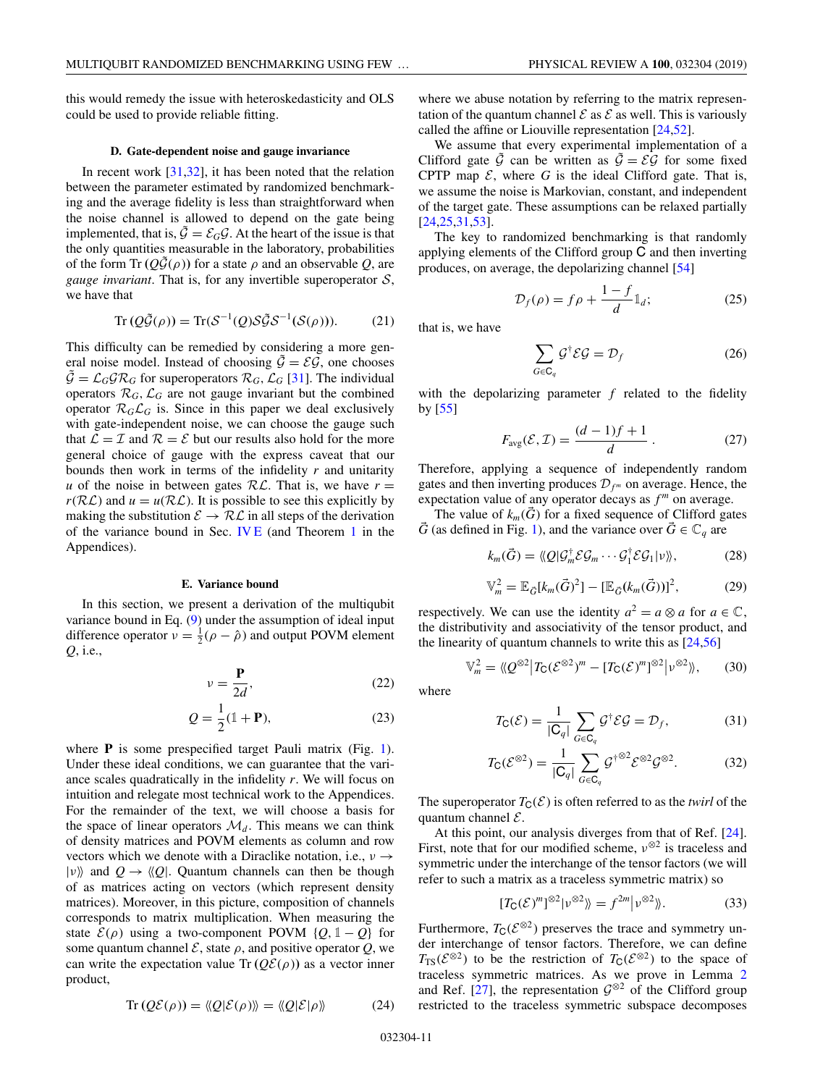<span id="page-11-0"></span>this would remedy the issue with heteroskedasticity and OLS could be used to provide reliable fitting.

### **D. Gate-dependent noise and gauge invariance**

In recent work [\[31,32\]](#page-30-0), it has been noted that the relation between the parameter estimated by randomized benchmarking and the average fidelity is less than straightforward when the noise channel is allowed to depend on the gate being implemented, that is,  $\tilde{\mathcal{G}} = \mathcal{E}_G \mathcal{G}$ . At the heart of the issue is that the only quantities measurable in the laboratory, probabilities of the form Tr  $(Q\tilde{G}(\rho))$  for a state  $\rho$  and an observable *Q*, are *gauge invariant*. That is, for any invertible superoperator S, we have that

$$
Tr(Q\tilde{\mathcal{G}}(\rho)) = Tr(\mathcal{S}^{-1}(Q)\mathcal{S}\tilde{\mathcal{G}}\mathcal{S}^{-1}(\mathcal{S}(\rho))).
$$
 (21)

This difficulty can be remedied by considering a more general noise model. Instead of choosing  $\tilde{\mathcal{G}} = \mathcal{EG}$ , one chooses  $\tilde{\mathcal{G}} = \mathcal{L}_{G} \mathcal{G} \mathcal{R}_{G}$  for superoperators  $\mathcal{R}_{G}, \mathcal{L}_{G}$  [\[31\]](#page-30-0). The individual operators  $\mathcal{R}_G$ ,  $\mathcal{L}_G$  are not gauge invariant but the combined operator  $\mathcal{R}_G \mathcal{L}_G$  is. Since in this paper we deal exclusively with gate-independent noise, we can choose the gauge such that  $\mathcal{L} = \mathcal{I}$  and  $\mathcal{R} = \mathcal{E}$  but our results also hold for the more general choice of gauge with the express caveat that our bounds then work in terms of the infidelity *r* and unitarity *u* of the noise in between gates  $RL$ . That is, we have  $r =$  $r(RL)$  and  $u = u(RL)$ . It is possible to see this explicitly by making the substitution  $\mathcal{E} \to \mathcal{RL}$  in all steps of the derivation of the variance bound in Sec. IV E (and Theorem [1](#page-17-0) in the Appendices).

#### **E. Variance bound**

In this section, we present a derivation of the multiqubit variance bound in Eq. [\(9\)](#page-5-0) under the assumption of ideal input difference operator  $v = \frac{1}{2}(\rho - \hat{\rho})$  and output POVM element *Q*, i.e.,

$$
v = \frac{\mathbf{P}}{2d},\tag{22}
$$

$$
Q = \frac{1}{2}(\mathbb{1} + \mathbf{P}),\tag{23}
$$

where **P** is some prespecified target Pauli matrix (Fig. [1\)](#page-3-0). Under these ideal conditions, we can guarantee that the variance scales quadratically in the infidelity *r*. We will focus on intuition and relegate most technical work to the Appendices. For the remainder of the text, we will choose a basis for the space of linear operators  $\mathcal{M}_d$ . This means we can think of density matrices and POVM elements as column and row vectors which we denote with a Diraclike notation, i.e.,  $v \rightarrow$  $|v\rangle$  and  $Q \rightarrow \langle Q|$ . Quantum channels can then be though of as matrices acting on vectors (which represent density matrices). Moreover, in this picture, composition of channels corresponds to matrix multiplication. When measuring the state  $\mathcal{E}(\rho)$  using a two-component POVM {*Q*, 1 – *Q*} for some quantum channel  $\mathcal{E}$ , state  $\rho$ , and positive operator  $Q$ , we can write the expectation value Tr  $(Q\mathcal{E}(\rho))$  as a vector inner product,

$$
Tr(Q\mathcal{E}(\rho)) = \langle Q|\mathcal{E}(\rho)\rangle = \langle Q|\mathcal{E}|\rho\rangle \tag{24}
$$

where we abuse notation by referring to the matrix representation of the quantum channel  $\mathcal E$  as  $\mathcal E$  as well. This is variously called the affine or Liouville representation [\[24,](#page-30-0)[52\]](#page-31-0).

We assume that every experimental implementation of a Clifford gate  $\tilde{\mathcal{G}}$  can be written as  $\tilde{\mathcal{G}} = \mathcal{EG}$  for some fixed CPTP map  $\mathcal{E}$ , where  $G$  is the ideal Clifford gate. That is, we assume the noise is Markovian, constant, and independent of the target gate. These assumptions can be relaxed partially [\[24,25,31](#page-30-0)[,53\]](#page-31-0).

The key to randomized benchmarking is that randomly applying elements of the Clifford group C and then inverting produces, on average, the depolarizing channel [\[54\]](#page-31-0)

$$
\mathcal{D}_f(\rho) = f\rho + \frac{1 - f}{d} \mathbb{1}_d; \tag{25}
$$

that is, we have

$$
\sum_{G \in \mathbf{C}_q} \mathcal{G}^\dagger \mathcal{E} \mathcal{G} = \mathcal{D}_f \tag{26}
$$

with the depolarizing parameter *f* related to the fidelity by [\[55\]](#page-31-0)

$$
F_{\text{avg}}(\mathcal{E}, \mathcal{I}) = \frac{(d-1)f + 1}{d} \,. \tag{27}
$$

Therefore, applying a sequence of independently random gates and then inverting produces  $\mathcal{D}_{f^m}$  on average. Hence, the expectation value of any operator decays as  $f<sup>m</sup>$  on average.

The value of  $k_m(\bar{G})$  for a fixed sequence of Clifford gates *G* (as defined in Fig. [1\)](#page-3-0), and the variance over  $G \in \mathbb{C}_q$  are

$$
k_m(\vec{G}) = \langle Q | \mathcal{G}_m^{\dagger} \mathcal{E} \mathcal{G}_m \cdots \mathcal{G}_1^{\dagger} \mathcal{E} \mathcal{G}_1 | \nu \rangle \rangle, \tag{28}
$$

$$
\mathbb{V}_m^2 = \mathbb{E}_{\vec{G}}[k_m(\vec{G})^2] - [\mathbb{E}_{\vec{G}}(k_m(\vec{G}))]^2, \tag{29}
$$

respectively. We can use the identity  $a^2 = a \otimes a$  for  $a \in \mathbb{C}$ , the distributivity and associativity of the tensor product, and the linearity of quantum channels to write this as [\[24,](#page-30-0)[56\]](#page-31-0)

$$
\mathbb{V}_m^2 = \langle \! \langle \mathcal{Q}^{\otimes 2} \big| T_{\mathsf{C}} (\mathcal{E}^{\otimes 2})^m - [T_{\mathsf{C}} (\mathcal{E})^m]^{\otimes 2} \big| \nu^{\otimes 2} \rangle \! \rangle, \qquad (30)
$$

where

$$
T_{\mathsf{C}}(\mathcal{E}) = \frac{1}{|\mathsf{C}_q|} \sum_{G \in \mathsf{C}_q} \mathcal{G}^\dagger \mathcal{E} \mathcal{G} = \mathcal{D}_f,\tag{31}
$$

$$
T_{\mathbf{C}}(\mathcal{E}^{\otimes 2}) = \frac{1}{|\mathbf{C}_q|} \sum_{G \in \mathbf{C}_q} \mathcal{G}^{\dagger \otimes 2} \mathcal{E}^{\otimes 2} \mathcal{G}^{\otimes 2}.
$$
 (32)

The superoperator  $T_C(\mathcal{E})$  is often referred to as the *twirl* of the quantum channel  $\mathcal{E}$ .

At this point, our analysis diverges from that of Ref. [\[24\]](#page-30-0). First, note that for our modified scheme,  $v^{\otimes 2}$  is traceless and symmetric under the interchange of the tensor factors (we will refer to such a matrix as a traceless symmetric matrix) so

$$
[T_{\mathsf{C}}(\mathcal{E})^m]^{\otimes 2}|\nu^{\otimes 2}\rangle = f^{2m}|\nu^{\otimes 2}\rangle\!\rangle. \tag{33}
$$

Furthermore,  $T_C(\mathcal{E}^{\otimes 2})$  preserves the trace and symmetry under interchange of tensor factors. Therefore, we can define  $T_{TS}(\mathcal{E}^{\otimes 2})$  to be the restriction of  $T_{C}(\mathcal{E}^{\otimes 2})$  to the space of traceless symmetric matrices. As we prove in Lemma [2](#page-17-0) and Ref. [\[27\]](#page-30-0), the representation  $\mathcal{G}^{\otimes 2}$  of the Clifford group restricted to the traceless symmetric subspace decomposes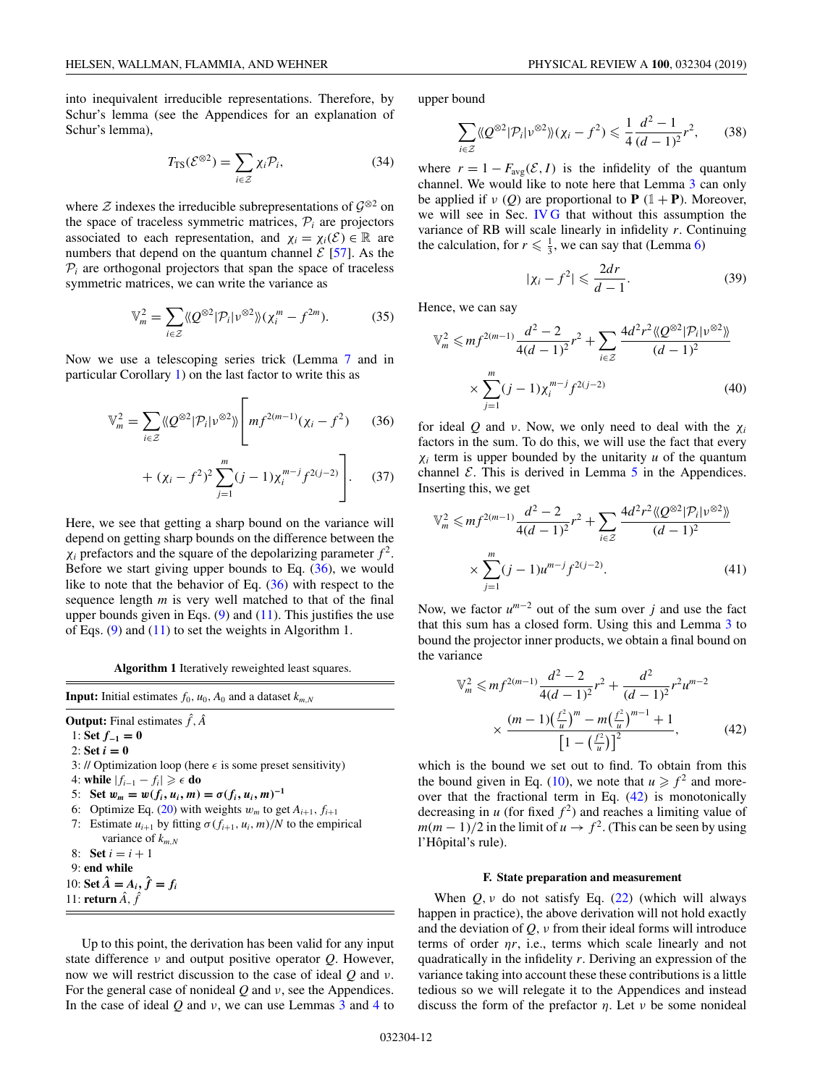<span id="page-12-0"></span>into inequivalent irreducible representations. Therefore, by Schur's lemma (see the Appendices for an explanation of Schur's lemma),

$$
T_{\rm TS}(\mathcal{E}^{\otimes 2}) = \sum_{i \in \mathcal{Z}} \chi_i \mathcal{P}_i,\tag{34}
$$

where  $\mathcal Z$  indexes the irreducible subrepresentations of  $\mathcal G^{\otimes 2}$  on the space of traceless symmetric matrices,  $P_i$  are projectors associated to each representation, and  $\chi_i = \chi_i(\mathcal{E}) \in \mathbb{R}$  are numbers that depend on the quantum channel  $\mathcal{E}$  [\[57\]](#page-31-0). As the  $P_i$  are orthogonal projectors that span the space of traceless symmetric matrices, we can write the variance as

$$
\mathbb{V}_m^2 = \sum_{i \in \mathcal{Z}} \langle \langle \mathcal{Q}^{\otimes 2} | \mathcal{P}_i | \nu^{\otimes 2} \rangle \rangle (\chi_i^m - f^{2m}). \tag{35}
$$

Now we use a telescoping series trick (Lemma [7](#page-28-0) and in particular Corollary [1\)](#page-29-0) on the last factor to write this as

$$
\mathbb{V}_m^2 = \sum_{i \in \mathcal{Z}} \langle \! \langle Q^{\otimes 2} | \mathcal{P}_i | v^{\otimes 2} \rangle \! \rangle \left[ m f^{2(m-1)} (\chi_i - f^2) \right] \tag{36}
$$

+ 
$$
(\chi_i - f^2)^2 \sum_{j=1}^m (j-1) \chi_i^{m-j} f^{2(j-2)} \Bigg].
$$
 (37)

Here, we see that getting a sharp bound on the variance will depend on getting sharp bounds on the difference between the  $\chi_i$  prefactors and the square of the depolarizing parameter  $f^2$ . Before we start giving upper bounds to Eq. (36), we would like to note that the behavior of Eq.  $(36)$  with respect to the sequence length *m* is very well matched to that of the final upper bounds given in Eqs.  $(9)$  and  $(11)$ . This justifies the use of Eqs.  $(9)$  and  $(11)$  to set the weights in Algorithm 1.

**Algorithm 1** Iteratively reweighted least squares.

**Input:** Initial estimates  $f_0$ ,  $u_0$ ,  $A_0$  and a dataset  $k_{m,N}$ **Output:** Final estimates  $\hat{f}$ ,  $\hat{A}$ 1: **Set**  $f_{-1}$  **=** 0 2: **Set**  $i = 0$ 3: // Optimization loop (here  $\epsilon$  is some preset sensitivity) 4: **while**  $|f_{i-1} - f_i|$  ≥  $\in$  **do** 5: **Set**  $w_m = w(f_i, u_i, m) = \sigma(f_i, u_i, m)^{-1}$ 6: Optimize Eq. [\(20\)](#page-10-0) with weights  $w_m$  to get  $A_{i+1}$ ,  $f_{i+1}$ 7: Estimate  $u_{i+1}$  by fitting  $\sigma(f_{i+1}, u_i, m)/N$  to the empirical variance of *km*,*<sup>N</sup>* 8: **Set**  $i = i + 1$ 9: **end while** 10: **Set**  $\hat{A} = A_i, \hat{f} = f_i$ 11: **return**  $\hat{A}$ ,  $\hat{f}$ 

Up to this point, the derivation has been valid for any input state difference ν and output positive operator *Q*. However, now we will restrict discussion to the case of ideal *Q* and ν. For the general case of nonideal *Q* and ν, see the Appendices. In the case of ideal *Q* and ν, we can use Lemmas [3](#page-21-0) and [4](#page-22-0) to

upper bound

$$
\sum_{i\in\mathcal{Z}} \langle \langle Q^{\otimes 2} | \mathcal{P}_i | v^{\otimes 2} \rangle \rangle (\chi_i - f^2) \leq \frac{1}{4} \frac{d^2 - 1}{(d-1)^2} r^2, \qquad (38)
$$

where  $r = 1 - F_{avg}(\mathcal{E}, I)$  is the infidelity of the quantum channel. We would like to note here that Lemma [3](#page-21-0) can only be applied if  $\nu$  (*Q*) are proportional to **P** (1+**P**). Moreover, we will see in Sec. [IV G](#page-13-0) that without this assumption the variance of RB will scale linearly in infidelity *r*. Continuing the calculation, for  $r \leq \frac{1}{3}$ , we can say that (Lemma [6\)](#page-25-0)

$$
|\chi_i - f^2| \leqslant \frac{2dr}{d-1}.\tag{39}
$$

Hence, we can say

$$
\mathbb{V}_m^2 \le m f^{2(m-1)} \frac{d^2 - 2}{4(d-1)^2} r^2 + \sum_{i \in \mathcal{Z}} \frac{4d^2 r^2 \langle \langle Q^{\otimes 2} | \mathcal{P}_i | \nu^{\otimes 2} \rangle \rangle}{(d-1)^2}
$$

$$
\times \sum_{j=1}^m (j-1) \chi_i^{m-j} f^{2(j-2)} \tag{40}
$$

for ideal *Q* and *v*. Now, we only need to deal with the  $\chi_i$ factors in the sum. To do this, we will use the fact that every  $\chi_i$  term is upper bounded by the unitarity *u* of the quantum channel  $\mathcal E$ . This is derived in Lemma [5](#page-24-0) in the Appendices. Inserting this, we get

$$
\mathbb{V}_m^2 \le m f^{2(m-1)} \frac{d^2 - 2}{4(d-1)^2} r^2 + \sum_{i \in \mathbb{Z}} \frac{4d^2 r^2 \langle \langle Q^{\otimes 2} | \mathcal{P}_i | \nu^{\otimes 2} \rangle \rangle}{(d-1)^2}
$$

$$
\times \sum_{j=1}^m (j-1) u^{m-j} f^{2(j-2)}.
$$
(41)

Now, we factor  $u^{m-2}$  out of the sum over *j* and use the fact that this sum has a closed form. Using this and Lemma [3](#page-21-0) to bound the projector inner products, we obtain a final bound on the variance

$$
\mathbb{V}_m^2 \le m f^{2(m-1)} \frac{d^2 - 2}{4(d-1)^2} r^2 + \frac{d^2}{(d-1)^2} r^2 u^{m-2}
$$

$$
\times \frac{(m-1) \left(\frac{f^2}{u}\right)^m - m \left(\frac{f^2}{u}\right)^{m-1} + 1}{\left[1 - \left(\frac{f^2}{u}\right)\right]^2},\tag{42}
$$

which is the bound we set out to find. To obtain from this the bound given in Eq. [\(10\)](#page-5-0), we note that  $u \ge f^2$  and moreover that the fractional term in Eq.  $(42)$  is monotonically decreasing in  $u$  (for fixed  $f^2$ ) and reaches a limiting value of  $m(m-1)/2$  in the limit of  $u \to f^2$ . (This can be seen by using l'Hôpital's rule).

#### **F. State preparation and measurement**

When  $Q, \nu$  do not satisfy Eq. [\(22\)](#page-11-0) (which will always happen in practice), the above derivation will not hold exactly and the deviation of  $Q$ ,  $\nu$  from their ideal forms will introduce terms of order η*r*, i.e., terms which scale linearly and not quadratically in the infidelity *r*. Deriving an expression of the variance taking into account these these contributions is a little tedious so we will relegate it to the Appendices and instead discuss the form of the prefactor  $\eta$ . Let  $\nu$  be some nonideal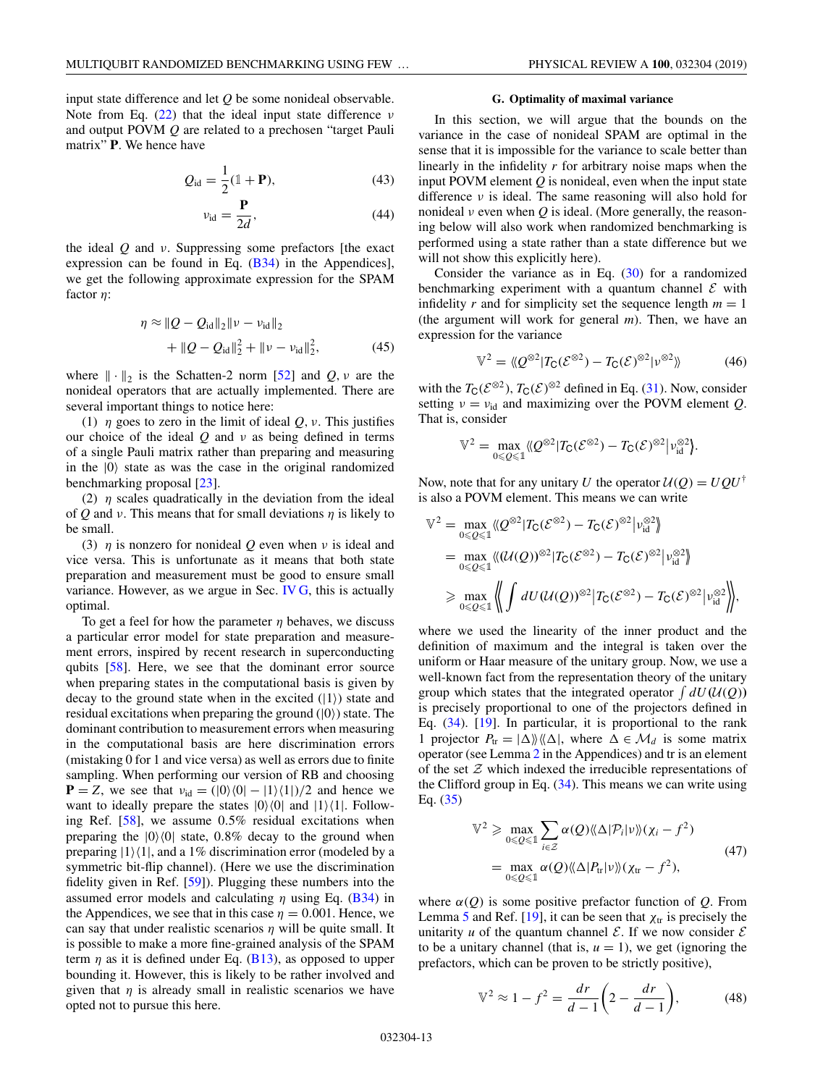<span id="page-13-0"></span>input state difference and let *Q* be some nonideal observable. Note from Eq.  $(22)$  that the ideal input state difference  $\nu$ and output POVM *Q* are related to a prechosen "target Pauli matrix" **P**. We hence have

$$
Q_{\rm id} = \frac{1}{2}(1 + \mathbf{P}),\tag{43}
$$

$$
v_{\rm id} = \frac{\mathbf{P}}{2d},\tag{44}
$$

the ideal *Q* and ν. Suppressing some prefactors [the exact expression can be found in Eq. [\(B34\)](#page-20-0) in the Appendices], we get the following approximate expression for the SPAM factor η:

$$
\eta \approx \|Q - Q_{\text{id}}\|_2 \|\nu - \nu_{\text{id}}\|_2
$$
  
+ 
$$
\|Q - Q_{\text{id}}\|_2^2 + \|\nu - \nu_{\text{id}}\|_2^2,
$$
 (45)

where  $\|\cdot\|_2$  is the Schatten-2 norm [\[52\]](#page-31-0) and *Q*, *v* are the nonideal operators that are actually implemented. There are several important things to notice here:

(1)  $\eta$  goes to zero in the limit of ideal *Q*, *v*. This justifies our choice of the ideal  $Q$  and  $\nu$  as being defined in terms of a single Pauli matrix rather than preparing and measuring in the  $|0\rangle$  state as was the case in the original randomized benchmarking proposal [\[23\]](#page-30-0).

(2)  $\eta$  scales quadratically in the deviation from the ideal of *Q* and *v*. This means that for small deviations  $\eta$  is likely to be small.

(3)  $\eta$  is nonzero for nonideal *Q* even when *v* is ideal and vice versa. This is unfortunate as it means that both state preparation and measurement must be good to ensure small variance. However, as we argue in Sec. IV G, this is actually optimal.

To get a feel for how the parameter  $\eta$  behaves, we discuss a particular error model for state preparation and measurement errors, inspired by recent research in superconducting qubits [\[58\]](#page-31-0). Here, we see that the dominant error source when preparing states in the computational basis is given by decay to the ground state when in the excited  $(|1\rangle)$  state and residual excitations when preparing the ground  $(|0\rangle)$  state. The dominant contribution to measurement errors when measuring in the computational basis are here discrimination errors (mistaking 0 for 1 and vice versa) as well as errors due to finite sampling. When performing our version of RB and choosing **P** = *Z*, we see that  $v_{\text{id}} = (0)(0) - (1)(1)/2$  and hence we want to ideally prepare the states  $|0\rangle\langle 0|$  and  $|1\rangle\langle 1|$ . Following Ref. [\[58\]](#page-31-0), we assume 0.5% residual excitations when preparing the  $|0\rangle\langle 0|$  state, 0.8% decay to the ground when preparing  $|1\rangle\langle 1|$ , and a 1% discrimination error (modeled by a symmetric bit-flip channel). (Here we use the discrimination fidelity given in Ref. [\[59\]](#page-31-0)). Plugging these numbers into the assumed error models and calculating  $\eta$  using Eq. [\(B34\)](#page-20-0) in the Appendices, we see that in this case  $\eta = 0.001$ . Hence, we can say that under realistic scenarios  $\eta$  will be quite small. It is possible to make a more fine-grained analysis of the SPAM term  $\eta$  as it is defined under Eq. [\(B13\)](#page-18-0), as opposed to upper bounding it. However, this is likely to be rather involved and given that  $\eta$  is already small in realistic scenarios we have opted not to pursue this here.

#### **G. Optimality of maximal variance**

In this section, we will argue that the bounds on the variance in the case of nonideal SPAM are optimal in the sense that it is impossible for the variance to scale better than linearly in the infidelity *r* for arbitrary noise maps when the input POVM element *Q* is nonideal, even when the input state difference  $\nu$  is ideal. The same reasoning will also hold for nonideal ν even when *Q* is ideal. (More generally, the reasoning below will also work when randomized benchmarking is performed using a state rather than a state difference but we will not show this explicitly here).

Consider the variance as in Eq.  $(30)$  for a randomized benchmarking experiment with a quantum channel  $\mathcal E$  with infidelity *r* and for simplicity set the sequence length  $m = 1$ (the argument will work for general *m*). Then, we have an expression for the variance

$$
\mathbb{V}^2 = \langle \! \langle \mathcal{Q}^{\otimes 2} | T_{\mathsf{C}}(\mathcal{E}^{\otimes 2}) - T_{\mathsf{C}}(\mathcal{E})^{\otimes 2} | \nu^{\otimes 2} \rangle \! \rangle \tag{46}
$$

with the  $T_C(\mathcal{E}^{\otimes 2})$ ,  $T_C(\mathcal{E})^{\otimes 2}$  defined in Eq. [\(31\)](#page-11-0). Now, consider setting  $v = v_{id}$  and maximizing over the POVM element *Q*. That is, consider

$$
\mathbb{V}^2 = \max_{0 \leq \mathcal{Q} \leq \mathbb{I}} \langle \mathcal{Q}^{\otimes 2} | T_{\mathsf{C}}(\mathcal{E}^{\otimes 2}) - T_{\mathsf{C}}(\mathcal{E})^{\otimes 2} | \nu_{\text{id}}^{\otimes 2} \rangle.
$$

Now, note that for any unitary *U* the operator  $U(Q) = UQU^{\dagger}$ is also a POVM element. This means we can write

$$
\mathbb{V}^{2} = \max_{0 \leq \varrho \leq 1} \langle \varrho^{\otimes 2} | T_{C}(\mathcal{E}^{\otimes 2}) - T_{C}(\mathcal{E})^{\otimes 2} | \nu_{id}^{\otimes 2} \rangle
$$
  
\n
$$
= \max_{0 \leq \varrho \leq 1} \langle \langle \mathcal{U}(Q) \rangle^{\otimes 2} | T_{C}(\mathcal{E}^{\otimes 2}) - T_{C}(\mathcal{E})^{\otimes 2} | \nu_{id}^{\otimes 2} \rangle
$$
  
\n
$$
\geq \max_{0 \leq \varrho \leq 1} \langle \langle \int dU(\mathcal{U}(Q))^{\otimes 2} | T_{C}(\mathcal{E}^{\otimes 2}) - T_{C}(\mathcal{E})^{\otimes 2} | \nu_{id}^{\otimes 2} \rangle \rangle,
$$

where we used the linearity of the inner product and the definition of maximum and the integral is taken over the uniform or Haar measure of the unitary group. Now, we use a well-known fact from the representation theory of the unitary group which states that the integrated operator  $\int dU(\mathcal{U}(Q))$ is precisely proportional to one of the projectors defined in Eq. [\(34\)](#page-12-0). [\[19\]](#page-30-0). In particular, it is proportional to the rank 1 projector  $P_{tr} = |\Delta\rangle\rangle\langle\langle\Delta|$ , where  $\Delta \in \mathcal{M}_d$  is some matrix operator (see Lemma [2](#page-17-0) in the Appendices) and tr is an element of the set  $Z$  which indexed the irreducible representations of the Clifford group in Eq.  $(34)$ . This means we can write using Eq. [\(35\)](#page-12-0)

$$
\mathbb{V}^2 \ge \max_{0 \le Q \le 1} \sum_{i \in \mathcal{Z}} \alpha(Q) \langle \! \langle \Delta | \mathcal{P}_i | \nu \rangle \! \rangle (\chi_i - f^2)
$$
\n
$$
= \max_{0 \le Q \le 1} \alpha(Q) \langle \! \langle \Delta | \mathcal{P}_{tr} | \nu \rangle \! \rangle (\chi_{tr} - f^2), \tag{47}
$$

where  $\alpha(Q)$  is some positive prefactor function of  $Q$ . From Lemma [5](#page-24-0) and Ref. [\[19\]](#page-30-0), it can be seen that  $\chi_{tr}$  is precisely the unitarity *u* of the quantum channel  $\mathcal{E}$ . If we now consider  $\mathcal{E}$ to be a unitary channel (that is,  $u = 1$ ), we get (ignoring the prefactors, which can be proven to be strictly positive),

$$
\mathbb{V}^2 \approx 1 - f^2 = \frac{dr}{d-1} \bigg( 2 - \frac{dr}{d-1} \bigg),\tag{48}
$$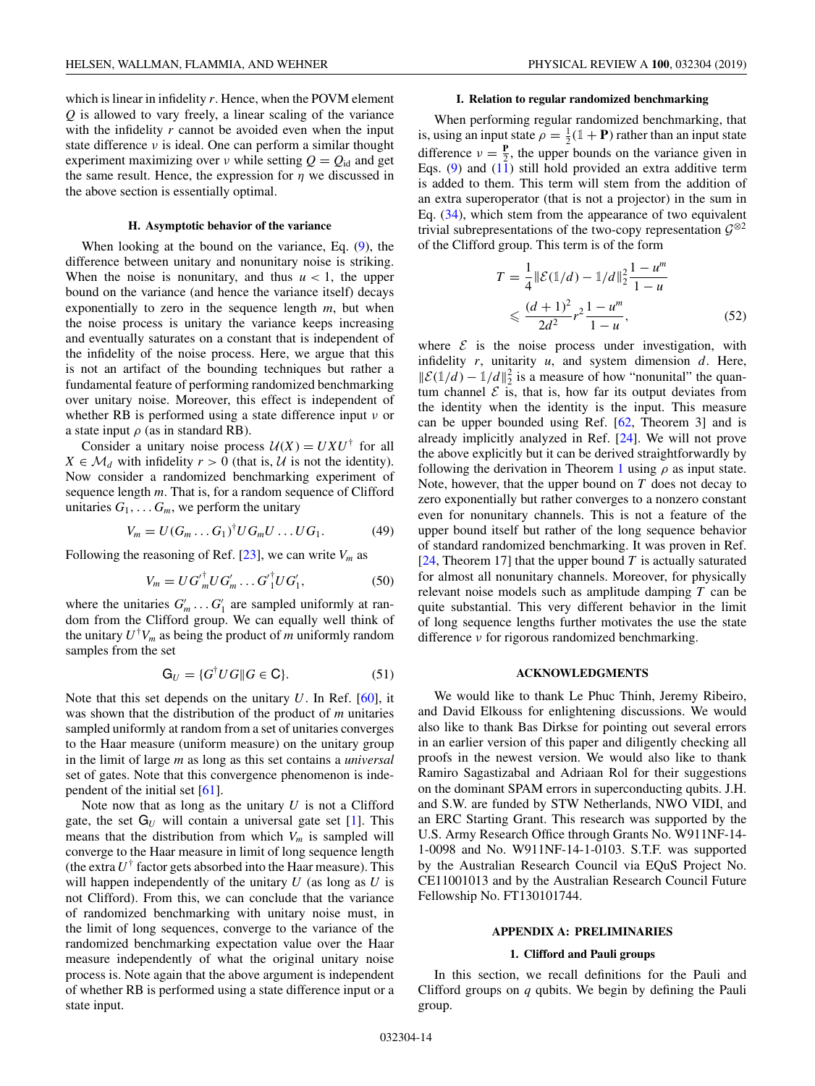<span id="page-14-0"></span>which is linear in infidelity *r*. Hence, when the POVM element *Q* is allowed to vary freely, a linear scaling of the variance with the infidelity *r* cannot be avoided even when the input state difference  $\nu$  is ideal. One can perform a similar thought experiment maximizing over  $\nu$  while setting  $Q = Q_{id}$  and get the same result. Hence, the expression for  $\eta$  we discussed in the above section is essentially optimal.

#### **H. Asymptotic behavior of the variance**

When looking at the bound on the variance, Eq. [\(9\)](#page-5-0), the difference between unitary and nonunitary noise is striking. When the noise is nonunitary, and thus  $u < 1$ , the upper bound on the variance (and hence the variance itself) decays exponentially to zero in the sequence length *m*, but when the noise process is unitary the variance keeps increasing and eventually saturates on a constant that is independent of the infidelity of the noise process. Here, we argue that this is not an artifact of the bounding techniques but rather a fundamental feature of performing randomized benchmarking over unitary noise. Moreover, this effect is independent of whether RB is performed using a state difference input  $\nu$  or a state input  $\rho$  (as in standard RB).

Consider a unitary noise process  $U(X) = U X U^{\dagger}$  for all  $X \in \mathcal{M}_d$  with infidelity  $r > 0$  (that is,  $\mathcal{U}$  is not the identity). Now consider a randomized benchmarking experiment of sequence length *m*. That is, for a random sequence of Clifford unitaries  $G_1, \ldots, G_m$ , we perform the unitary

$$
V_m = U(G_m \dots G_1)^{\dagger} U G_m U \dots U G_1. \tag{49}
$$

Following the reasoning of Ref.  $[23]$ , we can write  $V_m$  as

$$
V_m = U G'_m U G'_m \dots G'_1 U G'_1, \tag{50}
$$

where the unitaries  $G'_m \dots G'_1$  are sampled uniformly at random from the Clifford group. We can equally well think of the unitary  $U^{\dagger}V_m$  as being the product of *m* uniformly random samples from the set

$$
\mathbf{G}_U = \{ G^\dagger U G \mid G \in \mathbf{C} \}. \tag{51}
$$

Note that this set depends on the unitary *U*. In Ref. [\[60\]](#page-31-0), it was shown that the distribution of the product of *m* unitaries sampled uniformly at random from a set of unitaries converges to the Haar measure (uniform measure) on the unitary group in the limit of large *m* as long as this set contains a *universal* set of gates. Note that this convergence phenomenon is independent of the initial set [\[61\]](#page-31-0).

Note now that as long as the unitary *U* is not a Clifford gate, the set  $G_U$  will contain a universal gate set [\[1\]](#page-29-0). This means that the distribution from which  $V_m$  is sampled will converge to the Haar measure in limit of long sequence length (the extra  $U^{\dagger}$  factor gets absorbed into the Haar measure). This will happen independently of the unitary *U* (as long as *U* is not Clifford). From this, we can conclude that the variance of randomized benchmarking with unitary noise must, in the limit of long sequences, converge to the variance of the randomized benchmarking expectation value over the Haar measure independently of what the original unitary noise process is. Note again that the above argument is independent of whether RB is performed using a state difference input or a state input.

#### **I. Relation to regular randomized benchmarking**

When performing regular randomized benchmarking, that is, using an input state  $\rho = \frac{1}{2}(\mathbb{1} + P)$  rather than an input state difference  $v = \frac{P}{2}$ , the upper bounds on the variance given in Eqs.  $(9)$  and  $(11)$  still hold provided an extra additive term is added to them. This term will stem from the addition of an extra superoperator (that is not a projector) in the sum in Eq. [\(34\)](#page-12-0), which stem from the appearance of two equivalent trivial subrepresentations of the two-copy representation  $\mathcal{G}^{\otimes 2}$ of the Clifford group. This term is of the form

$$
T = \frac{1}{4} ||\mathcal{E}(1/d) - 1/d||_2^2 \frac{1 - u^m}{1 - u}
$$
  
 
$$
\leq \frac{(d+1)^2}{2d^2} r^2 \frac{1 - u^m}{1 - u},
$$
 (52)

where  $\mathcal E$  is the noise process under investigation, with infidelity *r*, unitarity *u*, and system dimension *d*. Here,  $\|\mathcal{E}(\mathbb{1}/d) - \mathbb{1}/d\|_2^2$  is a measure of how "nonunital" the quantum channel  $\mathcal E$  is, that is, how far its output deviates from the identity when the identity is the input. This measure can be upper bounded using Ref. [\[62,](#page-31-0) Theorem 3] and is already implicitly analyzed in Ref. [\[24\]](#page-30-0). We will not prove the above explicitly but it can be derived straightforwardly by following the derivation in Theorem [1](#page-17-0) using  $\rho$  as input state. Note, however, that the upper bound on *T* does not decay to zero exponentially but rather converges to a nonzero constant even for nonunitary channels. This is not a feature of the upper bound itself but rather of the long sequence behavior of standard randomized benchmarking. It was proven in Ref. [\[24,](#page-30-0) Theorem 17] that the upper bound *T* is actually saturated for almost all nonunitary channels. Moreover, for physically relevant noise models such as amplitude damping *T* can be quite substantial. This very different behavior in the limit of long sequence lengths further motivates the use the state difference ν for rigorous randomized benchmarking.

#### **ACKNOWLEDGMENTS**

We would like to thank Le Phuc Thinh, Jeremy Ribeiro, and David Elkouss for enlightening discussions. We would also like to thank Bas Dirkse for pointing out several errors in an earlier version of this paper and diligently checking all proofs in the newest version. We would also like to thank Ramiro Sagastizabal and Adriaan Rol for their suggestions on the dominant SPAM errors in superconducting qubits. J.H. and S.W. are funded by STW Netherlands, NWO VIDI, and an ERC Starting Grant. This research was supported by the U.S. Army Research Office through Grants No. W911NF-14- 1-0098 and No. W911NF-14-1-0103. S.T.F. was supported by the Australian Research Council via EQuS Project No. CE11001013 and by the Australian Research Council Future Fellowship No. FT130101744.

### **APPENDIX A: PRELIMINARIES**

#### **1. Clifford and Pauli groups**

In this section, we recall definitions for the Pauli and Clifford groups on *q* qubits. We begin by defining the Pauli group.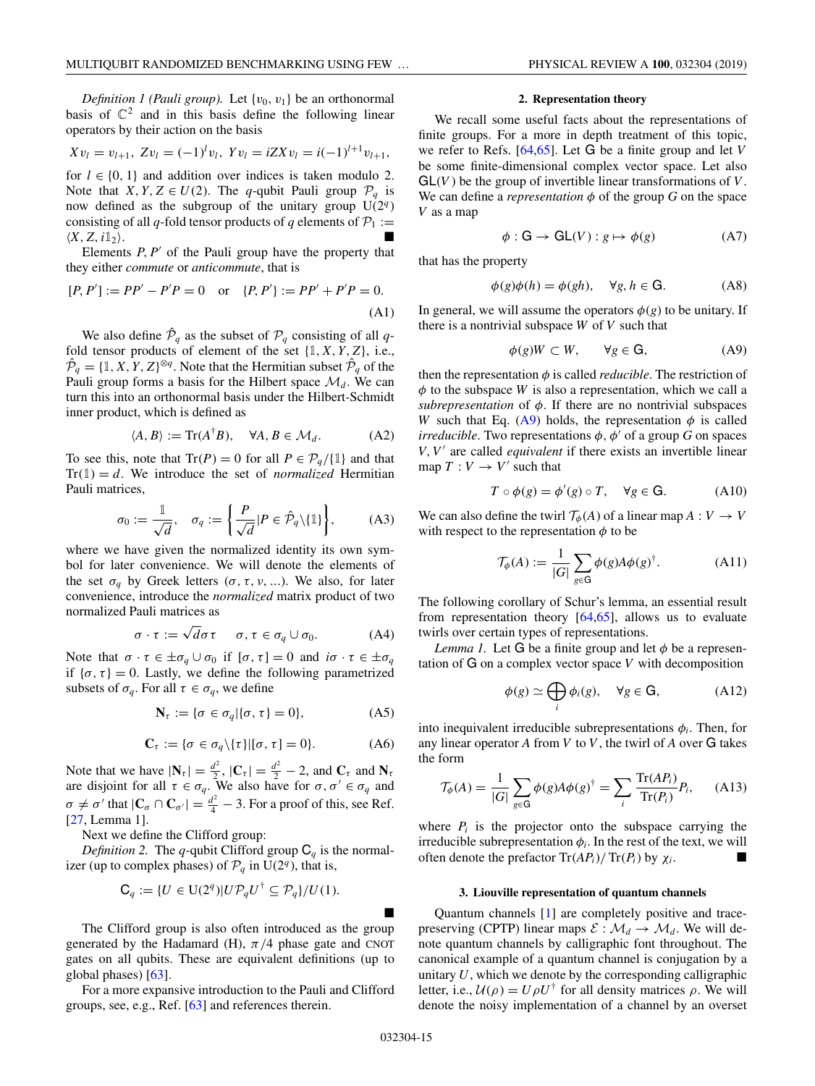<span id="page-15-0"></span>
$$
Xv_l = v_{l+1}
$$
,  $Zv_l = (-1)^l v_l$ ,  $Yv_l = iZXv_l = i(-1)^{l+1} v_{l+1}$ ,

for  $l \in \{0, 1\}$  and addition over indices is taken modulo 2. Note that *X*, *Y*, *Z*  $\in$  *U*(2). The *q*-qubit Pauli group  $\mathcal{P}_q$  is now defined as the subgroup of the unitary group  $U(2<sup>q</sup>)$ consisting of all *q*-fold tensor products of *q* elements of  $P_1 :=$  $\langle X, Z, i\mathbb{1}_2 \rangle$ . . The contract of the contract of  $\mathbb{R}^n$ 

Elements  $P, P'$  of the Pauli group have the property that they either *commute* or *anticommute*, that is

$$
[P, P'] := PP' - P'P = 0 \quad \text{or} \quad \{P, P'\} := PP' + P'P = 0.
$$
\n(A1)

We also define  $\hat{\mathcal{P}}_q$  as the subset of  $\mathcal{P}_q$  consisting of all *q*fold tensor products of element of the set  $\{1, X, Y, Z\}$ , i.e.,  $\hat{\mathcal{P}}_q = \{1, X, Y, Z\}^{\otimes q}$ . Note that the Hermitian subset  $\hat{\mathcal{P}}_q$  of the Pauli group forms a basis for the Hilbert space  $\mathcal{M}_d$ . We can turn this into an orthonormal basis under the Hilbert-Schmidt inner product, which is defined as

$$
\langle A, B \rangle := \text{Tr}(A^{\dagger}B), \quad \forall A, B \in \mathcal{M}_d. \tag{A2}
$$

To see this, note that  $Tr(P) = 0$  for all  $P \in \mathcal{P}_q/\{\mathbb{1}\}$  and that  $Tr(1) = d$ . We introduce the set of *normalized* Hermitian Pauli matrices,

$$
\sigma_0 := \frac{1}{\sqrt{d}}, \quad \sigma_q := \left\{ \frac{P}{\sqrt{d}} | P \in \hat{\mathcal{P}}_q \backslash \{ \mathbb{1} \} \right\}, \tag{A3}
$$

where we have given the normalized identity its own symbol for later convenience. We will denote the elements of the set  $\sigma_q$  by Greek letters ( $\sigma$ ,  $\tau$ ,  $\nu$ , ...). We also, for later convenience, introduce the *normalized* matrix product of two normalized Pauli matrices as

$$
\sigma \cdot \tau := \sqrt{d}\sigma \tau \quad \sigma, \tau \in \sigma_q \cup \sigma_0. \tag{A4}
$$

Note that  $\sigma \cdot \tau \in \pm \sigma_q \cup \sigma_0$  if  $[\sigma, \tau] = 0$  and  $i\sigma \cdot \tau \in \pm \sigma_q$ if  $\{\sigma, \tau\} = 0$ . Lastly, we define the following parametrized subsets of  $\sigma_q$ . For all  $\tau \in \sigma_q$ , we define

$$
\mathbf{N}_{\tau} := \{ \sigma \in \sigma_q | \{\sigma, \tau\} = 0 \},\tag{A5}
$$

$$
\mathbf{C}_{\tau} := \{ \sigma \in \sigma_q \setminus \{\tau\} | [\sigma, \tau] = 0 \}. \tag{A6}
$$

Note that we have  $|\mathbf{N}_{\tau}| = \frac{d^2}{2}$ ,  $|\mathbf{C}_{\tau}| = \frac{d^2}{2} - 2$ , and  $\mathbf{C}_{\tau}$  and  $\mathbf{N}_{\tau}$ are disjoint for all  $\tau \in \sigma_q$ . We also have for  $\sigma, \sigma' \in \sigma_q$  and  $\sigma \neq \sigma'$  that  $|\mathbf{C}_{\sigma} \cap \mathbf{C}_{\sigma'}| = \frac{d^2}{4} - 3$ . For a proof of this, see Ref. [\[27,](#page-30-0) Lemma 1].

Next we define the Clifford group:

*Definition 2.* The *q*-qubit Clifford group  $C_q$  is the normalizer (up to complex phases) of  $\mathcal{P}_q$  in U(2<sup>*q*</sup>), that is,

$$
\mathsf{C}_q := \{ U \in \mathrm{U}(2^q) | U \mathcal{P}_q U^{\dagger} \subseteq \mathcal{P}_q \} / U(1).
$$

The Clifford group is also often introduced as the group generated by the Hadamard (H),  $\pi/4$  phase gate and CNOT gates on all qubits. These are equivalent definitions (up to global phases) [\[63\]](#page-31-0).

For a more expansive introduction to the Pauli and Clifford groups, see, e.g., Ref. [\[63\]](#page-31-0) and references therein.

#### **2. Representation theory**

We recall some useful facts about the representations of finite groups. For a more in depth treatment of this topic, we refer to Refs. [\[64,65\]](#page-31-0). Let G be a finite group and let *V* be some finite-dimensional complex vector space. Let also  $GL(V)$  be the group of invertible linear transformations of  $V$ . We can define a *representation*  $\phi$  of the group *G* on the space *V* as a map

$$
\phi : G \to GL(V) : g \mapsto \phi(g) \tag{A7}
$$

that has the property

$$
\phi(g)\phi(h) = \phi(gh), \quad \forall g, h \in \mathbf{G}.\tag{A8}
$$

In general, we will assume the operators  $\phi(g)$  to be unitary. If there is a nontrivial subspace *W* of *V* such that

$$
\phi(g)W \subset W, \qquad \forall g \in \mathbf{G}, \tag{A9}
$$

then the representation  $\phi$  is called *reducible*. The restriction of  $\phi$  to the subspace *W* is also a representation, which we call a *subrepresentation* of  $\phi$ . If there are no nontrivial subspaces *W* such that Eq. (A9) holds, the representation  $\phi$  is called *irreducible*. Two representations  $\phi$ ,  $\phi'$  of a group *G* on spaces *V*,*V* are called *equivalent* if there exists an invertible linear map  $T: V \rightarrow V'$  such that

$$
T \circ \phi(g) = \phi'(g) \circ T, \quad \forall g \in G. \tag{A10}
$$

We can also define the twirl  $\mathcal{T}_{\phi}(A)$  of a linear map  $A: V \to V$ with respect to the representation  $\phi$  to be

$$
\mathcal{T}_{\phi}(A) := \frac{1}{|G|} \sum_{g \in G} \phi(g) A \phi(g)^{\dagger}.
$$
 (A11)

The following corollary of Schur's lemma, an essential result from representation theory  $[64,65]$ , allows us to evaluate twirls over certain types of representations.

*Lemma 1.* Let G be a finite group and let  $\phi$  be a representation of G on a complex vector space *V* with decomposition

$$
\phi(g) \simeq \bigoplus_{i} \phi_i(g), \quad \forall g \in \mathbf{G}, \tag{A12}
$$

into inequivalent irreducible subrepresentations  $\phi_i$ . Then, for any linear operator  $A$  from  $V$  to  $V$ , the twirl of  $A$  over  $G$  takes the form

$$
\mathcal{T}_{\phi}(A) = \frac{1}{|G|} \sum_{g \in G} \phi(g) A \phi(g)^{\dagger} = \sum_{i} \frac{\text{Tr}(AP_{i})}{\text{Tr}(P_{i})} P_{i}, \quad (A13)
$$

where  $P_i$  is the projector onto the subspace carrying the irreducible subrepresentation  $\phi_i$ . In the rest of the text, we will often denote the prefactor  $Tr(A P_i)/Tr(P_i)$  by  $\chi_i$ .

#### **3. Liouville representation of quantum channels**

Quantum channels [\[1\]](#page-29-0) are completely positive and tracepreserving (CPTP) linear maps  $\mathcal{E}: \mathcal{M}_d \to \mathcal{M}_d$ . We will denote quantum channels by calligraphic font throughout. The canonical example of a quantum channel is conjugation by a unitary *U*, which we denote by the corresponding calligraphic letter, i.e.,  $U(\rho) = U \rho U^{\dagger}$  for all density matrices  $\rho$ . We will denote the noisy implementation of a channel by an overset

-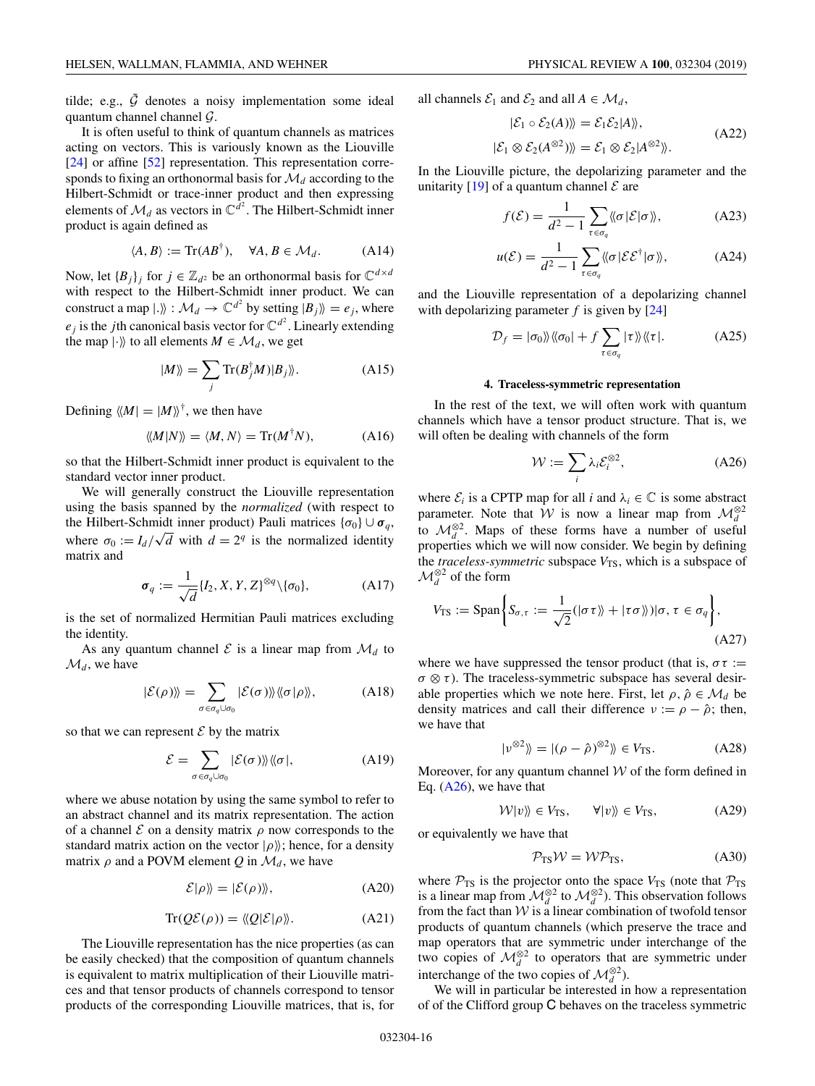<span id="page-16-0"></span>tilde; e.g.,  $\tilde{G}$  denotes a noisy implementation some ideal quantum channel channel G.

It is often useful to think of quantum channels as matrices acting on vectors. This is variously known as the Liouville [\[24\]](#page-30-0) or affine [\[52\]](#page-31-0) representation. This representation corresponds to fixing an orthonormal basis for M*<sup>d</sup>* according to the Hilbert-Schmidt or trace-inner product and then expressing elements of  $\mathcal{M}_d$  as vectors in  $\mathbb{C}^{d^2}$ . The Hilbert-Schmidt inner product is again defined as

$$
\langle A, B \rangle := \text{Tr}(AB^{\dagger}), \quad \forall A, B \in \mathcal{M}_d. \tag{A14}
$$

Now, let  ${B_j}_j$  for  $j \in \mathbb{Z}_{d^2}$  be an orthonormal basis for  $\mathbb{C}^{d \times d}$ with respect to the Hilbert-Schmidt inner product. We can construct a map  $|\cdot\rangle\!\rangle : \mathcal{M}_d \to \mathbb{C}^{d^2}$  by setting  $|B_j\rangle\!\rangle = e_j$ , where  $e_j$  is the *j*th canonical basis vector for  $\mathbb{C}^{d^2}$ . Linearly extending the map  $|\cdot\rangle$  to all elements  $M \in \mathcal{M}_d$ , we get

$$
|M\rangle\rangle = \sum_{j} \text{Tr}(B_j^{\dagger} M)|B_j\rangle\rangle. \tag{A15}
$$

Defining  $\langle M | = | M \rangle \rangle^{\dagger}$ , we then have

$$
\langle M|N\rangle\rangle = \langle M,N\rangle = \text{Tr}(M^{\dagger}N), \tag{A16}
$$

so that the Hilbert-Schmidt inner product is equivalent to the standard vector inner product.

We will generally construct the Liouville representation using the basis spanned by the *normalized* (with respect to the Hilbert-Schmidt inner product) Pauli matrices  $\{\sigma_0\} \cup \sigma_q$ , where  $\sigma_0 := I_d / \sqrt{d}$  with  $d = 2^q$  is the normalized identity matrix and

$$
\sigma_q := \frac{1}{\sqrt{d}} \{I_2, X, Y, Z\}^{\otimes q} \setminus \{\sigma_0\},\tag{A17}
$$

is the set of normalized Hermitian Pauli matrices excluding the identity.

As any quantum channel  $\mathcal E$  is a linear map from  $\mathcal M_d$  to  $\mathcal{M}_d$ , we have

$$
|\mathcal{E}(\rho)\rangle = \sum_{\sigma \in \sigma_q \cup \sigma_0} |\mathcal{E}(\sigma)\rangle\rangle\langle\langle \sigma | \rho \rangle\rangle, \tag{A18}
$$

so that we can represent  $\mathcal E$  by the matrix

$$
\mathcal{E} = \sum_{\sigma \in \sigma_q \cup \sigma_0} |\mathcal{E}(\sigma)\rangle\langle\langle \sigma|, \tag{A19}
$$

where we abuse notation by using the same symbol to refer to an abstract channel and its matrix representation. The action of a channel  $\mathcal E$  on a density matrix  $\rho$  now corresponds to the standard matrix action on the vector  $|\rho\rangle$ ; hence, for a density matrix  $\rho$  and a POVM element *Q* in  $\mathcal{M}_d$ , we have

$$
\mathcal{E}|\rho\rangle\!\rangle = |\mathcal{E}(\rho)\rangle\!\rangle,\tag{A20}
$$

$$
Tr(Q\mathcal{E}(\rho)) = \langle Q|\mathcal{E}|\rho\rangle. \tag{A21}
$$

The Liouville representation has the nice properties (as can be easily checked) that the composition of quantum channels is equivalent to matrix multiplication of their Liouville matrices and that tensor products of channels correspond to tensor products of the corresponding Liouville matrices, that is, for all channels  $\mathcal{E}_1$  and  $\mathcal{E}_2$  and all  $A \in \mathcal{M}_d$ ,

$$
|\mathcal{E}_1 \circ \mathcal{E}_2(A)\rangle = \mathcal{E}_1 \mathcal{E}_2 |A\rangle,
$$
  

$$
|\mathcal{E}_1 \otimes \mathcal{E}_2(A^{\otimes 2})\rangle = \mathcal{E}_1 \otimes \mathcal{E}_2 |A^{\otimes 2}\rangle.
$$
 (A22)

In the Liouville picture, the depolarizing parameter and the unitarity [\[19\]](#page-30-0) of a quantum channel  $\mathcal E$  are

$$
f(\mathcal{E}) = \frac{1}{d^2 - 1} \sum_{\tau \in \sigma_q} \langle \langle \sigma | \mathcal{E} | \sigma \rangle \rangle, \tag{A23}
$$

$$
u(\mathcal{E}) = \frac{1}{d^2 - 1} \sum_{\tau \in \sigma_q} \langle \langle \sigma | \mathcal{E} \mathcal{E}^\dagger | \sigma \rangle \rangle, \tag{A24}
$$

and the Liouville representation of a depolarizing channel with depolarizing parameter *f* is given by [\[24\]](#page-30-0)

$$
\mathcal{D}_f = |\sigma_0\rangle\langle\langle\sigma_0| + f \sum_{\tau \in \sigma_q} |\tau\rangle\rangle\langle\langle\tau|.
$$
 (A25)

#### **4. Traceless-symmetric representation**

In the rest of the text, we will often work with quantum channels which have a tensor product structure. That is, we will often be dealing with channels of the form

$$
\mathcal{W} := \sum_{i} \lambda_i \mathcal{E}_i^{\otimes 2},\tag{A26}
$$

where  $\mathcal{E}_i$  is a CPTP map for all *i* and  $\lambda_i \in \mathbb{C}$  is some abstract parameter. Note that  $\hat{W}$  is now a linear map from  $\mathcal{M}_d^{\otimes 2}$ to  $\mathcal{M}_d^{\otimes 2}$ . Maps of these forms have a number of useful properties which we will now consider. We begin by defining the *traceless-symmetric* subspace  $V_{TS}$ , which is a subspace of  $\mathcal{M}_d^{\otimes 2}$  of the form

$$
V_{\text{TS}} := \text{Span}\left\{ S_{\sigma,\tau} := \frac{1}{\sqrt{2}} (|\sigma \tau \rangle + |\tau \sigma \rangle \rangle |\sigma, \tau \in \sigma_q \right\},\tag{A27}
$$

where we have suppressed the tensor product (that is,  $\sigma \tau :=$  $\sigma \otimes \tau$ ). The traceless-symmetric subspace has several desirable properties which we note here. First, let  $\rho, \hat{\rho} \in \mathcal{M}_d$  be density matrices and call their difference  $v := \rho - \hat{\rho}$ ; then, we have that

$$
|\nu^{\otimes 2}\rangle = |(\rho - \hat{\rho})^{\otimes 2}\rangle \rangle \in V_{\text{TS}}.\tag{A28}
$$

Moreover, for any quantum channel  $W$  of the form defined in Eq. (A26), we have that

$$
\mathcal{W}|v\rangle\!\rangle \in V_{\rm TS}, \qquad \forall |v\rangle\!\rangle \in V_{\rm TS}, \tag{A29}
$$

or equivalently we have that

$$
\mathcal{P}_{TS}\mathcal{W} = \mathcal{WP}_{TS},\tag{A30}
$$

where  $P_{TS}$  is the projector onto the space  $V_{TS}$  (note that  $P_{TS}$ is a linear map from  $\mathcal{M}_d^{\otimes 2}$  to  $\mathcal{M}_d^{\otimes 2}$ ). This observation follows from the fact than  $W$  is a linear combination of twofold tensor products of quantum channels (which preserve the trace and map operators that are symmetric under interchange of the two copies of  $\mathcal{M}_d^{\otimes 2}$  to operators that are symmetric under interchange of the two copies of  $\mathcal{M}_d^{\otimes 2}$ ).

We will in particular be interested in how a representation of of the Clifford group C behaves on the traceless symmetric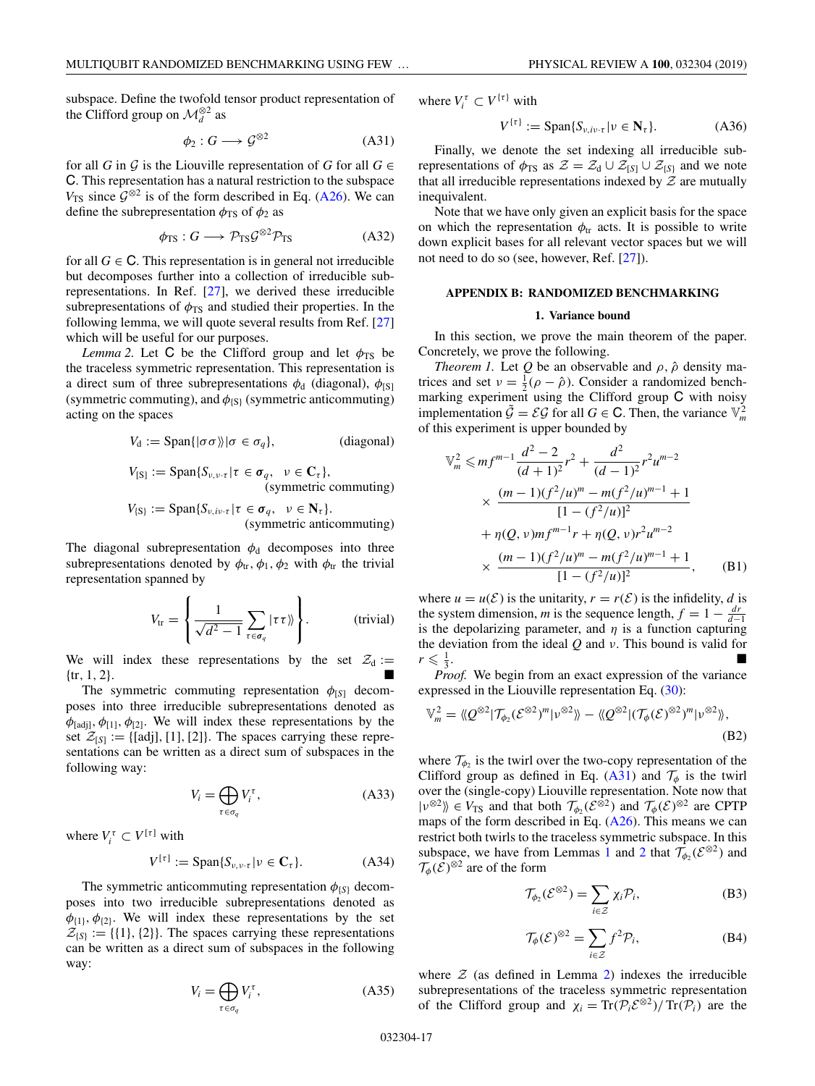<span id="page-17-0"></span>subspace. Define the twofold tensor product representation of the Clifford group on  $\mathcal{M}_d^{\otimes 2}$  as

$$
\phi_2: G \longrightarrow \mathcal{G}^{\otimes 2} \tag{A31}
$$

for all *G* in  $\mathcal G$  is the Liouville representation of *G* for all  $G \in$ C. This representation has a natural restriction to the subspace  $V_{\text{TS}}$  since  $\mathcal{G}^{\otimes 2}$  is of the form described in Eq. [\(A26\)](#page-16-0). We can define the subrepresentation  $\phi_{TS}$  of  $\phi_2$  as

$$
\phi_{\rm TS}: G \longrightarrow \mathcal{P}_{\rm TS} \mathcal{G}^{\otimes 2} \mathcal{P}_{\rm TS} \tag{A32}
$$

for all  $G \in \mathbb{C}$ . This representation is in general not irreducible but decomposes further into a collection of irreducible subrepresentations. In Ref. [\[27\]](#page-30-0), we derived these irreducible subrepresentations of  $\phi_{TS}$  and studied their properties. In the following lemma, we will quote several results from Ref. [\[27\]](#page-30-0) which will be useful for our purposes.

*Lemma 2.* Let C be the Clifford group and let  $\phi_{TS}$  be the traceless symmetric representation. This representation is a direct sum of three subrepresentations  $\phi_d$  (diagonal),  $\phi_{\text{[S]}}$ (symmetric commuting), and  $\phi_{\{S\}}$  (symmetric anticommuting) acting on the spaces

$$
V_{d} := \text{Span}\{ |\sigma \sigma \rangle | \sigma \in \sigma_{q} \}, \qquad \text{(diagonal)}
$$
\n
$$
V_{[S]} := \text{Span}\{ S_{\nu, \nu \cdot \tau} | \tau \in \sigma_{q}, \quad \nu \in \mathbf{C}_{\tau} \}, \qquad \text{(symmetric commuting)}
$$
\n
$$
V_{[S]} := \text{Span}\{ S_{\nu, i\nu \cdot \tau} | \tau \in \sigma_{q}, \quad \nu \in \mathbf{N}_{\tau} \}.
$$

$$
(symmetric anticommuting)
$$

The diagonal subrepresentation  $\phi_d$  decomposes into three subrepresentations denoted by  $\phi_{tr}, \phi_1, \phi_2$  with  $\phi_{tr}$  the trivial representation spanned by

$$
V_{\text{tr}} = \left\{ \frac{1}{\sqrt{d^2 - 1}} \sum_{\tau \in \sigma_q} |\tau \tau \rangle \right\}.
$$
 (trivial)

We will index these representations by the set  $\mathcal{Z}_d :=$  ${x, 1, 2}.$ 

The symmetric commuting representation  $\phi_{[S]}$  decomposes into three irreducible subrepresentations denoted as  $\phi_{[adj]}$ ,  $\phi_{[1]}$ ,  $\phi_{[2]}$ . We will index these representations by the set  $\mathcal{Z}_{[S]} := \{ [adj], [1], [2] \}$ . The spaces carrying these representations can be written as a direct sum of subspaces in the following way:

$$
V_i = \bigoplus_{\tau \in \sigma_q} V_i^{\tau},\tag{A33}
$$

where  $V_i^{\tau} \subset V^{[\tau]}$  with

$$
V^{[\tau]} := \text{Span}\{S_{\nu,\nu\cdot\tau} | \nu \in \mathbf{C}_{\tau}\}. \tag{A34}
$$

The symmetric anticommuting representation  $\phi_{\{S\}}$  decomposes into two irreducible subrepresentations denoted as  $\phi_{\{1\}}, \phi_{\{2\}}$ . We will index these representations by the set  $\mathcal{Z}_{\{S\}} := \{\{1\},\{2\}\}\.$  The spaces carrying these representations can be written as a direct sum of subspaces in the following way:

$$
V_i = \bigoplus_{\tau \in \sigma_q} V_i^{\tau},\tag{A35}
$$

where  $V_i^{\tau} \subset V^{\{\tau\}}$  with

$$
V^{\{\tau\}} := \text{Span}\{S_{\nu,i\nu\cdot\tau} | \nu \in \mathbf{N}_{\tau}\}. \tag{A36}
$$

Finally, we denote the set indexing all irreducible subrepresentations of  $\phi_{TS}$  as  $\mathcal{Z} = \mathcal{Z}_d \cup \mathcal{Z}_{[S]} \cup \mathcal{Z}_{\{S\}}$  and we note that all irreducible representations indexed by  $Z$  are mutually inequivalent.

Note that we have only given an explicit basis for the space on which the representation  $\phi_{tr}$  acts. It is possible to write down explicit bases for all relevant vector spaces but we will not need to do so (see, however, Ref. [\[27\]](#page-30-0)).

#### **APPENDIX B: RANDOMIZED BENCHMARKING**

### **1. Variance bound**

In this section, we prove the main theorem of the paper. Concretely, we prove the following.

*Theorem 1.* Let *Q* be an observable and  $\rho$ ,  $\hat{\rho}$  density matrices and set  $v = \frac{1}{2}(\rho - \hat{\rho})$ . Consider a randomized benchmarking experiment using the Clifford group C with noisy implementation  $\tilde{\mathcal{G}} = \mathcal{EG}$  for all  $G \in \mathbb{C}$ . Then, the variance  $\mathbb{V}_m^2$ of this experiment is upper bounded by

$$
\mathbb{V}_m^2 \leq m f^{m-1} \frac{d^2 - 2}{(d+1)^2} r^2 + \frac{d^2}{(d-1)^2} r^2 u^{m-2}
$$
  
 
$$
\times \frac{(m-1)(f^2/u)^m - m(f^2/u)^{m-1} + 1}{[1 - (f^2/u)]^2}
$$
  
 
$$
+ \eta(Q, v) m f^{m-1} r + \eta(Q, v) r^2 u^{m-2}
$$
  
 
$$
\times \frac{(m-1)(f^2/u)^m - m(f^2/u)^{m-1} + 1}{[1 - (f^2/u)]^2}, \qquad (B1)
$$

where  $u = u(\mathcal{E})$  is the unitarity,  $r = r(\mathcal{E})$  is the infidelity, *d* is the system dimension, *m* is the sequence length,  $f = 1 - \frac{dr}{d-1}$ is the depolarizing parameter, and  $\eta$  is a function capturing the deviation from the ideal *Q* and ν. This bound is valid for  $r \leqslant \frac{1}{3}$ .  $\frac{1}{3}$ .

*Proof.* We begin from an exact expression of the variance expressed in the Liouville representation Eq.  $(30)$ :

$$
\mathbb{V}_m^2 = \langle \! \langle \mathcal{Q}^{\otimes 2} | \mathcal{T}_{\phi_2}(\mathcal{E}^{\otimes 2})^m | \nu^{\otimes 2} \rangle \! \rangle - \langle \! \langle \mathcal{Q}^{\otimes 2} | (\mathcal{T}_{\phi}(\mathcal{E})^{\otimes 2})^m | \nu^{\otimes 2} \rangle \! \rangle, \tag{B2}
$$

where  $\mathcal{T}_{\phi_2}$  is the twirl over the two-copy representation of the Clifford group as defined in Eq. (A31) and  $\mathcal{T}_{\phi}$  is the twirl over the (single-copy) Liouville representation. Note now that  $|v^{\otimes 2}\rangle\!\rangle \in V_{\text{TS}}$  and that both  $\mathcal{T}_{\phi_2}(\mathcal{E}^{\otimes 2})$  and  $\mathcal{T}_{\phi}(\mathcal{E})^{\otimes 2}$  are CPTP maps of the form described in Eq. [\(A26\)](#page-16-0). This means we can restrict both twirls to the traceless symmetric subspace. In this subspace, we have from Lemmas [1](#page-15-0) and 2 that  $\mathcal{T}_{\phi_2}(\mathcal{E}^{\otimes 2})$  and  $\mathcal{T}_{\phi}(\mathcal{E})^{\otimes 2}$  are of the form

$$
\mathcal{T}_{\phi_2}(\mathcal{E}^{\otimes 2}) = \sum_{i \in \mathcal{Z}} \chi_i \mathcal{P}_i,\tag{B3}
$$

$$
\mathcal{T}_{\phi}(\mathcal{E})^{\otimes 2} = \sum_{i \in \mathcal{Z}} f^2 \mathcal{P}_i,\tag{B4}
$$

where  $Z$  (as defined in Lemma 2) indexes the irreducible subrepresentations of the traceless symmetric representation of the Clifford group and  $\chi_i = \text{Tr}(\mathcal{P}_i \mathcal{E}^{\otimes 2}) / \text{Tr}(\mathcal{P}_i)$  are the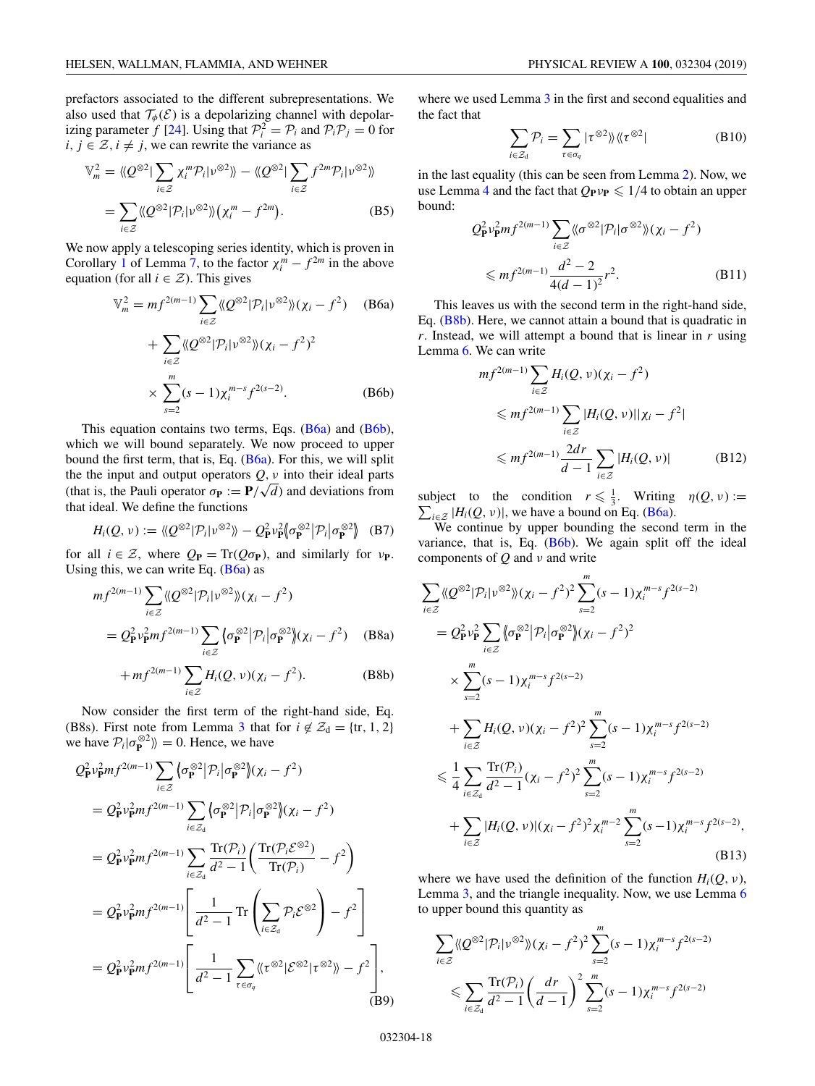<span id="page-18-0"></span>
$$
\mathbb{V}_m^2 = \langle \! \langle \mathcal{Q}^{\otimes 2} | \sum_{i \in \mathcal{Z}} \chi_i^m \mathcal{P}_i | v^{\otimes 2} \rangle \! \rangle - \langle \! \langle \mathcal{Q}^{\otimes 2} | \sum_{i \in \mathcal{Z}} f^{2m} \mathcal{P}_i | v^{\otimes 2} \rangle \! \rangle
$$
\n
$$
= \sum_{i \in \mathcal{Z}} \langle \! \langle \mathcal{Q}^{\otimes 2} | \mathcal{P}_i | v^{\otimes 2} \rangle \! \rangle (\chi_i^m - f^{2m}). \tag{B5}
$$

We now apply a telescoping series identity, which is proven in Corollary [1](#page-29-0) of Lemma [7,](#page-28-0) to the factor  $\chi_i^m - f^{2m}$  in the above equation (for all  $i \in \mathcal{Z}$ ). This gives

$$
\mathbb{V}_m^2 = mf^{2(m-1)} \sum_{i \in \mathcal{Z}} \langle \langle Q^{\otimes 2} | \mathcal{P}_i | \nu^{\otimes 2} \rangle \rangle (\chi_i - f^2) \quad \text{(B6a)}
$$

$$
+ \sum_{i \in \mathcal{Z}} \langle \langle Q^{\otimes 2} | \mathcal{P}_i | \nu^{\otimes 2} \rangle \rangle (\chi_i - f^2)^2
$$

$$
\times \sum_{s=2}^m (s-1) \chi_i^{m-s} f^{2(s-2)}.
$$
 (B6b)

This equation contains two terms, Eqs.  $(B6a)$  and  $(B6b)$ , which we will bound separately. We now proceed to upper bound the first term, that is, Eq. (B6a). For this, we will split the the input and output operators  $Q$ ,  $\nu$  into their ideal parts (that is, the Pauli operator  $\sigma_{\mathbf{P}} := \mathbf{P}/\sqrt{d}$ ) and deviations from that ideal. We define the functions

$$
H_i(Q, \nu) := \langle \langle Q^{\otimes 2} | \mathcal{P}_i | \nu^{\otimes 2} \rangle \rangle - Q_{\mathbf{P}}^2 \nu_{\mathbf{P}}^2 \langle \sigma_{\mathbf{P}}^{\otimes 2} | \mathcal{P}_i | \sigma_{\mathbf{P}}^{\otimes 2} \rangle
$$
 (B7)

for all  $i \in \mathcal{Z}$ , where  $Q_{\mathbf{P}} = \text{Tr}(Q \sigma_{\mathbf{P}})$ , and similarly for  $v_{\mathbf{P}}$ . Using this, we can write Eq.  $(B6a)$  as

$$
mf^{2(m-1)}\sum_{i\in\mathcal{Z}} \langle \langle Q^{\otimes 2}|\mathcal{P}_i|\nu^{\otimes 2}\rangle \rangle(\chi_i - f^2)
$$
  
=  $Q_P^2 \nu_P^2 mf^{2(m-1)}\sum_{i\in\mathcal{Z}} \langle \sigma_P^{\otimes 2}|\mathcal{P}_i|\sigma_P^{\otimes 2}\rangle(\chi_i - f^2)$  (B8a)

$$
+ mf^{2(m-1)} \sum_{i \in \mathcal{Z}} H_i(Q, \nu)(\chi_i - f^2).
$$
 (B8b)

Now consider the first term of the right-hand side, Eq. (B8s). First note from Lemma [3](#page-21-0) that for  $i \notin \mathcal{Z}_d = \{tr, 1, 2\}$ we have  $\mathcal{P}_i | \sigma_{\mathbf{P}}^{\otimes 2} \rangle \rangle = 0$ . Hence, we have

$$
Q_{\mathbf{P}}^2 v_{\mathbf{P}}^2 m f^{2(m-1)} \sum_{i \in \mathcal{Z}} \langle \sigma_{\mathbf{P}}^{\otimes 2} | \mathcal{P}_i | \sigma_{\mathbf{P}}^{\otimes 2} \rangle (\chi_i - f^2)
$$
  
\n
$$
= Q_{\mathbf{P}}^2 v_{\mathbf{P}}^2 m f^{2(m-1)} \sum_{i \in \mathcal{Z}_d} \langle \sigma_{\mathbf{P}}^{\otimes 2} | \mathcal{P}_i | \sigma_{\mathbf{P}}^{\otimes 2} \rangle (\chi_i - f^2)
$$
  
\n
$$
= Q_{\mathbf{P}}^2 v_{\mathbf{P}}^2 m f^{2(m-1)} \sum_{i \in \mathcal{Z}_d} \frac{\text{Tr}(\mathcal{P}_i)}{d^2 - 1} \left( \frac{\text{Tr}(\mathcal{P}_i \mathcal{E}^{\otimes 2})}{\text{Tr}(\mathcal{P}_i)} - f^2 \right)
$$
  
\n
$$
= Q_{\mathbf{P}}^2 v_{\mathbf{P}}^2 m f^{2(m-1)} \left[ \frac{1}{d^2 - 1} \text{Tr} \left( \sum_{i \in \mathcal{Z}_d} \mathcal{P}_i \mathcal{E}^{\otimes 2} \right) - f^2 \right]
$$
  
\n
$$
= Q_{\mathbf{P}}^2 v_{\mathbf{P}}^2 m f^{2(m-1)} \left[ \frac{1}{d^2 - 1} \sum_{\tau \in \sigma_q} \langle \langle \tau^{\otimes 2} | \mathcal{E}^{\otimes 2} | \tau^{\otimes 2} \rangle \rangle - f^2 \right],
$$
  
\n(B9)

where we used Lemma [3](#page-21-0) in the first and second equalities and the fact that

$$
\sum_{i \in \mathcal{Z}_d} \mathcal{P}_i = \sum_{\tau \in \sigma_q} |\tau^{\otimes 2}\rangle \langle \langle \tau^{\otimes 2}|
$$
 (B10)

in the last equality (this can be seen from Lemma [2\)](#page-17-0). Now, we use Lemma [4](#page-22-0) and the fact that  $Q_{\mathbf{P}} \nu_{\mathbf{P}} \leq 1/4$  to obtain an upper bound:

$$
Q_{\mathbf{P}}^2 v_{\mathbf{P}}^2 m f^{2(m-1)} \sum_{i \in \mathcal{Z}} \langle \sigma^{\otimes 2} | \mathcal{P}_i | \sigma^{\otimes 2} \rangle \rangle (\chi_i - f^2)
$$
  

$$
\leq m f^{2(m-1)} \frac{d^2 - 2}{4(d-1)^2} r^2.
$$
 (B11)

This leaves us with the second term in the right-hand side, Eq. (B8b). Here, we cannot attain a bound that is quadratic in *r*. Instead, we will attempt a bound that is linear in *r* using Lemma [6.](#page-25-0) We can write

$$
mf^{2(m-1)} \sum_{i \in \mathcal{Z}} H_i(Q, v)(\chi_i - f^2)
$$
  
\n
$$
\leq mf^{2(m-1)} \sum_{i \in \mathcal{Z}} |H_i(Q, v)||\chi_i - f^2|
$$
  
\n
$$
\leq mf^{2(m-1)} \frac{2dr}{d-1} \sum_{i \in \mathcal{Z}} |H_i(Q, v)|
$$
 (B12)

subject to the condition  $r \leq \frac{1}{3}$ . Writing  $\eta(Q, \nu)$  :=  $\sum_{i \in \mathcal{Z}} |H_i(Q, v)|$ , we have a bound on Eq. (B6a).

We continue by upper bounding the second term in the variance, that is, Eq. (B6b). We again split off the ideal components of *Q* and ν and write

$$
\sum_{i\in\mathbb{Z}} \langle Q^{\otimes 2} | \mathcal{P}_i | \nu^{\otimes 2} \rangle\!\rangle (\chi_i - f^2)^2 \sum_{s=2}^m (s-1) \chi_i^{m-s} f^{2(s-2)}
$$
\n
$$
= Q_{\mathbf{P}}^2 \nu_{\mathbf{P}}^2 \sum_{i\in\mathbb{Z}} \langle \sigma_{\mathbf{P}}^{\otimes 2} | \mathcal{P}_i | \sigma_{\mathbf{P}}^{\otimes 2} \rangle (\chi_i - f^2)^2
$$
\n
$$
\times \sum_{s=2}^m (s-1) \chi_i^{m-s} f^{2(s-2)}
$$
\n
$$
+ \sum_{i\in\mathbb{Z}} H_i(Q, \nu) (\chi_i - f^2)^2 \sum_{s=2}^m (s-1) \chi_i^{m-s} f^{2(s-2)}
$$
\n
$$
\leq \frac{1}{4} \sum_{i\in\mathbb{Z}} \frac{\text{Tr}(\mathcal{P}_i)}{d^2 - 1} (\chi_i - f^2)^2 \sum_{s=2}^m (s-1) \chi_i^{m-s} f^{2(s-2)}
$$
\n
$$
+ \sum_{i\in\mathbb{Z}} |H_i(Q, \nu)| (\chi_i - f^2)^2 \chi_i^{m-2} \sum_{s=2}^m (s-1) \chi_i^{m-s} f^{2(s-2)},
$$
\n(B13)

where we have used the definition of the function  $H_i(Q, \nu)$ , Lemma [3,](#page-21-0) and the triangle inequality. Now, we use Lemma [6](#page-25-0) to upper bound this quantity as

$$
\sum_{i \in \mathcal{Z}} \langle Q^{\otimes 2} | \mathcal{P}_i | v^{\otimes 2} \rangle \rangle (\chi_i - f^2)^2 \sum_{s=2}^m (s-1) \chi_i^{m-s} f^{2(s-2)}
$$
  

$$
\leq \sum_{i \in \mathcal{Z}_d} \frac{\text{Tr}(\mathcal{P}_i)}{d^2 - 1} \left( \frac{dr}{d - 1} \right)^2 \sum_{s=2}^m (s-1) \chi_i^{m-s} f^{2(s-2)}
$$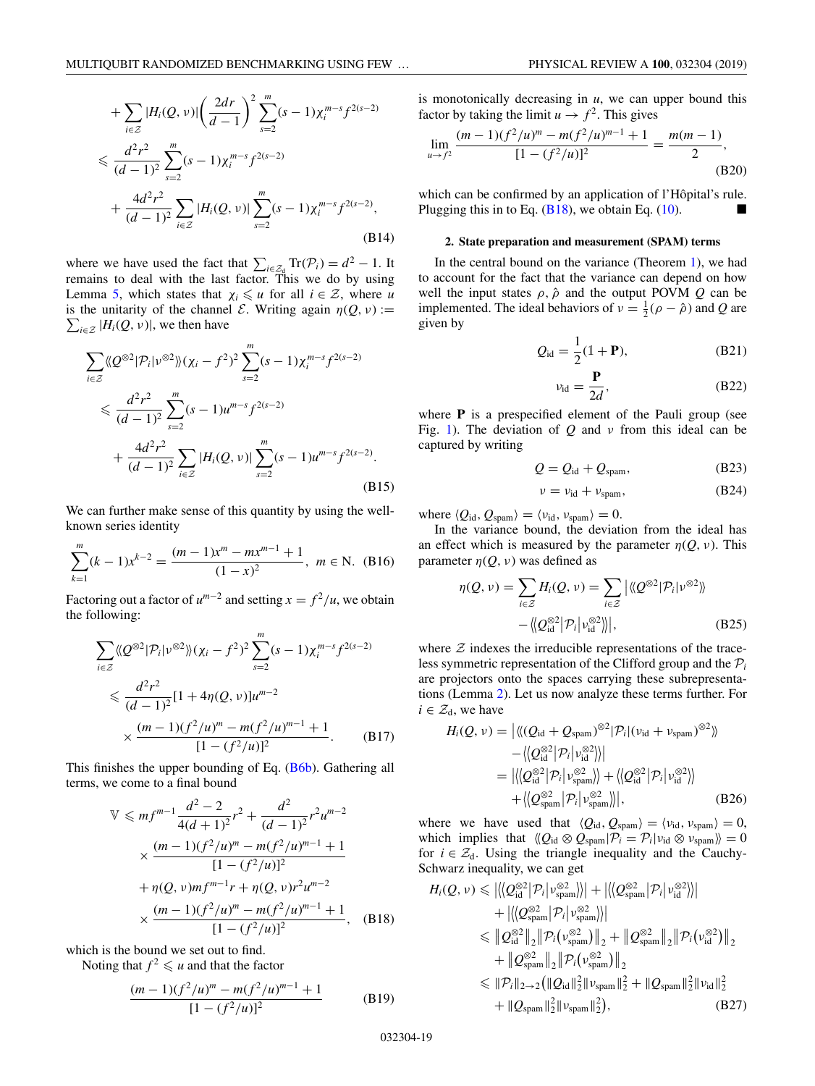$$
+ \sum_{i \in \mathcal{Z}} |H_i(Q, \nu)| \left(\frac{2dr}{d-1}\right)^2 \sum_{s=2}^m (s-1) \chi_i^{m-s} f^{2(s-2)} \n\leq \frac{d^2r^2}{(d-1)^2} \sum_{s=2}^m (s-1) \chi_i^{m-s} f^{2(s-2)} \n+ \frac{4d^2r^2}{(d-1)^2} \sum_{i \in \mathcal{Z}} |H_i(Q, \nu)| \sum_{s=2}^m (s-1) \chi_i^{m-s} f^{2(s-2)},
$$
\n(B14)

where we have used the fact that  $\sum_{i \in \mathbb{Z}_0} \text{Tr}(\mathcal{P}_i) = d^2 - 1$ . It remains to deal with the last factor. This we do by using Lemma [5,](#page-24-0) which states that  $\chi_i \leq u$  for all  $i \in \mathcal{Z}$ , where *u*  $\sum_{i \in \mathcal{Z}} |H_i(Q, v)|$ , we then have is the unitarity of the channel *E*. Writing again  $\eta(Q, \nu)$  :=

$$
\sum_{i\in\mathcal{Z}} \langle Q^{\otimes 2} | \mathcal{P}_i | v^{\otimes 2} \rangle\!\rangle (\chi_i - f^2)^2 \sum_{s=2}^m (s-1) \chi_i^{m-s} f^{2(s-2)}
$$
  

$$
\leq \frac{d^2 r^2}{(d-1)^2} \sum_{s=2}^m (s-1) u^{m-s} f^{2(s-2)}
$$
  

$$
+ \frac{4d^2 r^2}{(d-1)^2} \sum_{i\in\mathcal{Z}} |H_i(Q, v)| \sum_{s=2}^m (s-1) u^{m-s} f^{2(s-2)}.
$$
(B15)

We can further make sense of this quantity by using the wellknown series identity

$$
\sum_{k=1}^{m} (k-1)x^{k-2} = \frac{(m-1)x^m - mx^{m-1} + 1}{(1-x)^2}, \ m \in \mathbb{N}.
$$
 (B16)

Factoring out a factor of  $u^{m-2}$  and setting  $x = f^2/u$ , we obtain the following:

$$
\sum_{i \in \mathbb{Z}} \langle \langle Q^{\otimes 2} | \mathcal{P}_i | v^{\otimes 2} \rangle \rangle (\chi_i - f^2)^2 \sum_{s=2}^m (s-1) \chi_i^{m-s} f^{2(s-2)}
$$
  
\$\leq \frac{d^2 r^2}{(d-1)^2} [1 + 4\eta(Q, v)] u^{m-2}\$  
\$\times \frac{(m-1)(f^2/u)^m - m(f^2/u)^{m-1} + 1}{[1 - (f^2/u)]^2}.\$ (B17)

This finishes the upper bounding of Eq. [\(B6b\)](#page-18-0). Gathering all terms, we come to a final bound

$$
\mathbb{V} \leq m f^{m-1} \frac{d^2 - 2}{4(d+1)^2} r^2 + \frac{d^2}{(d-1)^2} r^2 u^{m-2}
$$
  
 
$$
\times \frac{(m-1)(f^2/u)^m - m(f^2/u)^{m-1} + 1}{[1 - (f^2/u)]^2}
$$
  
 
$$
+ \eta(Q, v) m f^{m-1} r + \eta(Q, v) r^2 u^{m-2}
$$
  
 
$$
\times \frac{(m-1)(f^2/u)^m - m(f^2/u)^{m-1} + 1}{[1 - (f^2/u)]^2}, \quad (B18)
$$

which is the bound we set out to find.

Noting that  $f^2 \leq u$  and that the factor

$$
\frac{(m-1)(f^2/u)^m - m(f^2/u)^{m-1} + 1}{[1 - (f^2/u)]^2}
$$
 (B19)

is monotonically decreasing in *u*, we can upper bound this factor by taking the limit  $u \to f^2$ . This gives

$$
\lim_{u \to f^2} \frac{(m-1)(f^2/u)^m - m(f^2/u)^{m-1} + 1}{[1 - (f^2/u)]^2} = \frac{m(m-1)}{2},
$$
(B20)

which can be confirmed by an application of l'Hôpital's rule. Plugging this in to Eq.  $(B18)$ , we obtain Eq.  $(10)$ .

#### **2. State preparation and measurement (SPAM) terms**

In the central bound on the variance (Theorem [1\)](#page-17-0), we had to account for the fact that the variance can depend on how well the input states  $\rho$ ,  $\hat{\rho}$  and the output POVM *Q* can be implemented. The ideal behaviors of  $v = \frac{1}{2}(\rho - \hat{\rho})$  and *Q* are given by

$$
Q_{\rm id} = \frac{1}{2} (\mathbb{1} + \mathbf{P}), \tag{B21}
$$

$$
v_{\rm id} = \frac{\mathbf{P}}{2d},\tag{B22}
$$

where **P** is a prespecified element of the Pauli group (see Fig. [1\)](#page-3-0). The deviation of *Q* and ν from this ideal can be captured by writing

$$
Q = Q_{id} + Q_{spam}, \tag{B23}
$$

$$
\nu = \nu_{\rm id} + \nu_{\rm spam},\tag{B24}
$$

where  $\langle Q_{\rm id}, Q_{\rm spam} \rangle = \langle v_{\rm id}, v_{\rm spam} \rangle = 0.$ 

In the variance bound, the deviation from the ideal has an effect which is measured by the parameter  $\eta(Q, \nu)$ . This parameter  $\eta(Q, \nu)$  was defined as

$$
\eta(Q, \nu) = \sum_{i \in \mathcal{Z}} H_i(Q, \nu) = \sum_{i \in \mathcal{Z}} \left| \langle \langle Q^{\otimes 2} | \mathcal{P}_i | \nu^{\otimes 2} \rangle \rangle \right|
$$

$$
- \left\langle \langle Q_{\text{id}}^{\otimes 2} | \mathcal{P}_i | \nu_{\text{id}}^{\otimes 2} \rangle \right|, \tag{B25}
$$

where  $Z$  indexes the irreducible representations of the traceless symmetric representation of the Clifford group and the  $P_i$ are projectors onto the spaces carrying these subrepresentations (Lemma [2\)](#page-17-0). Let us now analyze these terms further. For  $i \in \mathcal{Z}_d$ , we have

$$
H_i(Q, \nu) = |\langle (Q_{\text{id}} + Q_{\text{spam}})^{\otimes 2} | \mathcal{P}_i | (\nu_{\text{id}} + \nu_{\text{spam}})^{\otimes 2} \rangle \rangle
$$
  
 
$$
- \langle \langle Q_{\text{id}}^{\otimes 2} | \mathcal{P}_i | \nu_{\text{id}}^{\otimes 2} \rangle \rangle|
$$
  
 
$$
= |\langle \langle Q_{\text{id}}^{\otimes 2} | \mathcal{P}_i | \nu_{\text{spam}}^{\otimes 2} \rangle \rangle + \langle \langle Q_{\text{id}}^{\otimes 2} | \mathcal{P}_i | \nu_{\text{id}}^{\otimes 2} \rangle \rangle
$$
  
 
$$
+ \langle \langle Q_{\text{spam}}^{\otimes 2} | \mathcal{P}_i | \nu_{\text{spam}}^{\otimes 2} \rangle \rangle|, \qquad (B26)
$$

where we have used that  $\langle Q_{\text{id}}, Q_{\text{spam}} \rangle = \langle v_{\text{id}}, v_{\text{spam}} \rangle = 0$ , which implies that  $\langle Q_{id} \otimes Q_{\text{spam}} | \mathcal{P}_i = \mathcal{P}_i | \nu_{id} \otimes \nu_{\text{spam}} \rangle = 0$ for  $i \in \mathcal{Z}_d$ . Using the triangle inequality and the Cauchy-Schwarz inequality, we can get

$$
H_{i}(Q, \nu) \leq \left| \left\langle \left| Q_{\text{id}}^{\otimes 2} \right| \mathcal{P}_{i} \right| \nu_{\text{span}}^{\otimes 2} \right\rangle \right| + \left| \left\langle \left| Q_{\text{span}}^{\otimes 2} \right| \mathcal{P}_{i} \right| \nu_{\text{id}}^{\otimes 2} \right\rangle \right|
$$
  
+  $\left| \left\langle \left| Q_{\text{span}}^{\otimes 2} \right| \mathcal{P}_{i} \right| \nu_{\text{span}}^{\otimes 2} \right\rangle \right|$   
 $\leq \left| Q_{\text{id}}^{\otimes 2} \right|_{2} \left\| \mathcal{P}_{i} \left( \nu_{\text{span}}^{\otimes 2} \right) \right\|_{2} + \left\| Q_{\text{span}}^{\otimes 2} \right\|_{2} \left\| \mathcal{P}_{i} \left( \nu_{\text{id}}^{\otimes 2} \right) \right\|_{2}$   
+  $\left\| Q_{\text{span}}^{\otimes 2} \right\|_{2} \left\| \mathcal{P}_{i} \left( \nu_{\text{span}}^{\otimes 2} \right) \right\|_{2}$   
 $\leq \left\| \mathcal{P}_{i} \right\|_{2 \to 2} \left( \left\| Q_{\text{id}} \right\|_{2}^{2} \left\| \nu_{\text{span}} \right\|_{2}^{2} + \left\| Q_{\text{span}} \right\|_{2}^{2} \left\| \nu_{\text{id}} \right\|_{2}^{2}$   
+  $\left\| Q_{\text{span}} \right\|_{2}^{2} \left\| \nu_{\text{span}} \right\|_{2}^{2} \right),$  (B27)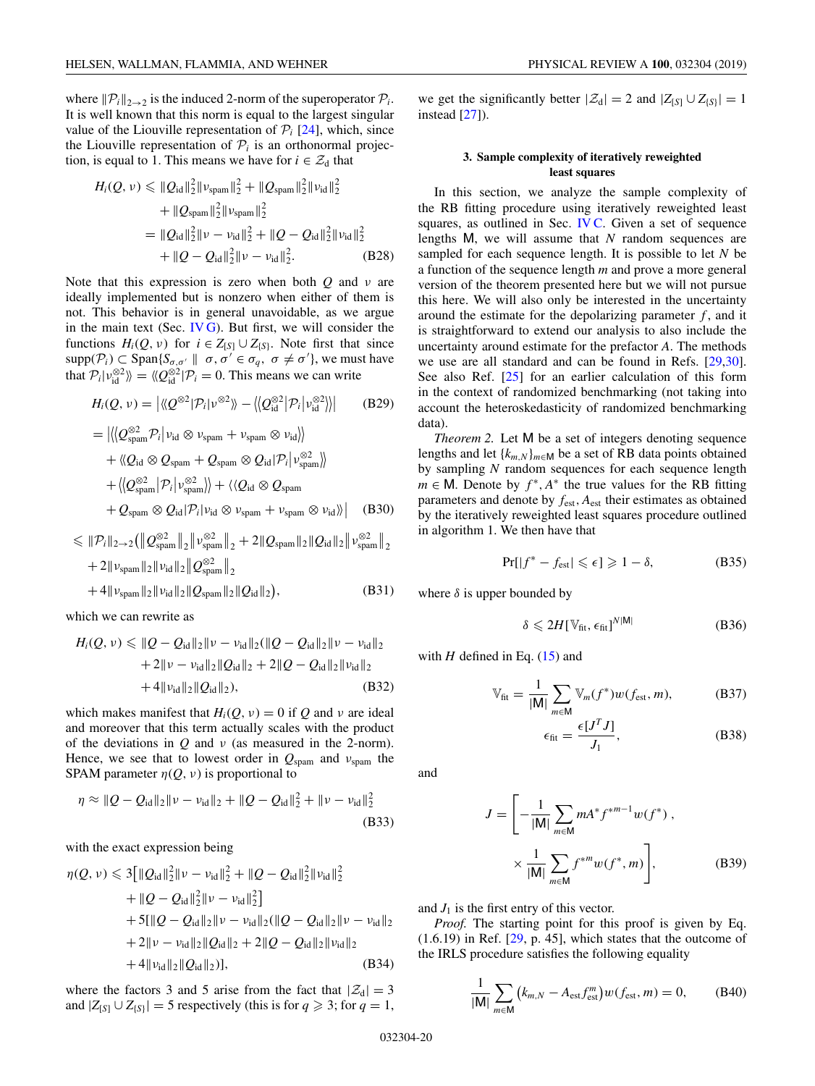<span id="page-20-0"></span>where  $\|\mathcal{P}_i\|_{2\to 2}$  is the induced 2-norm of the superoperator  $\mathcal{P}_i$ . It is well known that this norm is equal to the largest singular value of the Liouville representation of  $P_i$  [\[24\]](#page-30-0), which, since the Liouville representation of  $P_i$  is an orthonormal projection, is equal to 1. This means we have for  $i \in \mathcal{Z}_d$  that

$$
H_i(Q, \nu) \leq \|Q_{id}\|_2^2 \|v_{\text{spam}}\|_2^2 + \|Q_{\text{spam}}\|_2^2 \|v_{\text{id}}\|_2^2
$$
  
+  $||Q_{\text{spam}}\|_2^2 \|v_{\text{spam}}\|_2^2$   
=  $||Q_{id}\|_2^2 \| \nu - \nu_{id}\|_2^2 + ||Q - Q_{id}\|_2^2 \|v_{\text{id}}\|_2^2$   
+  $||Q - Q_{id}\|_2^2 \| \nu - \nu_{id}\|_2^2$ . (B28)

Note that this expression is zero when both *Q* and ν are ideally implemented but is nonzero when either of them is not. This behavior is in general unavoidable, as we argue in the main text (Sec. [IV G\)](#page-13-0). But first, we will consider the functions  $H_i(Q, \nu)$  for  $i \in Z_{[S]} \cup Z_{\{S\}}$ . Note first that since  $\text{supp}(\mathcal{P}_i) \subset \text{Span}\{S_{\sigma,\sigma'} \parallel \sigma, \sigma' \in \sigma_q, \sigma \neq \sigma'\}$ , we must have that  $P_i | v_{id}^{\otimes 2} \rangle = \langle Q_{id}^{\otimes 2} | P_i = 0$ . This means we can write

$$
H_i(Q, \nu) = |\langle Q^{\otimes 2} | \mathcal{P}_i | \nu^{\otimes 2} \rangle \rangle - \langle \langle Q_{\text{id}}^{\otimes 2} | \mathcal{P}_i | \nu_{\text{id}}^{\otimes 2} \rangle \rangle| \qquad \text{(B29)}
$$
  
\n
$$
= |\langle Q_{\text{spam}}^{\otimes 2} \mathcal{P}_i | \nu_{\text{id}} \otimes \nu_{\text{spam}} + \nu_{\text{spam}} \otimes \nu_{\text{id}} \rangle \rangle
$$
  
\n
$$
+ \langle Q_{\text{id}} \otimes Q_{\text{spam}} + Q_{\text{spam}} \otimes Q_{\text{id}} | \mathcal{P}_i | \nu_{\text{spam}}^{\otimes 2} \rangle \rangle
$$
  
\n
$$
+ \langle \langle Q_{\text{spam}}^{\otimes 2} | \mathcal{P}_i | \nu_{\text{spam}}^{\otimes 2} \rangle \rangle + \langle \langle Q_{\text{id}} \otimes Q_{\text{spam}} + \nu_{\text{spam}} \otimes \nu_{\text{id}} \rangle \rangle | \qquad \text{(B30)}
$$

$$
\leq \|P_i\|_{2\to 2} (\|Q_{\text{span}}^{\otimes 2}\|_2 \|v_{\text{span}}^{\otimes 2}\|_2 + 2 \|Q_{\text{span}}\|_2 \|Q_{\text{id}}\|_2 \|v_{\text{span}}^{\otimes 2}\|_2 + 2 \|v_{\text{span}}\|_2 \|v_{\text{id}}\|_2 \|Q_{\text{span}}^{\otimes 2}\|_2 + 4 \|v_{\text{span}}\|_2 \|v_{\text{id}}\|_2 \|Q_{\text{span}}\|_2 \|Q_{\text{id}}\|_2),
$$
(B31)

which we can rewrite as

$$
H_i(Q, \nu) \leq \|Q - Q_{id}\|_2 \|\nu - \nu_{id}\|_2 (\|Q - Q_{id}\|_2 \|\nu - \nu_{id}\|_2 + 2\|\nu - \nu_{id}\|_2 \|Q_{id}\|_2 + 2\|Q - Q_{id}\|_2 \|\nu_{id}\|_2 + 4\|\nu_{id}\|_2 \|Q_{id}\|_2),
$$
 (B32)

which makes manifest that  $H_i(Q, \nu) = 0$  if Q and  $\nu$  are ideal and moreover that this term actually scales with the product of the deviations in *Q* and ν (as measured in the 2-norm). Hence, we see that to lowest order in  $Q_{\text{spam}}$  and  $v_{\text{spam}}$  the SPAM parameter  $\eta(Q, \nu)$  is proportional to

$$
\eta \approx \|Q - Q_{\text{id}}\|_2 \|v - v_{\text{id}}\|_2 + \|Q - Q_{\text{id}}\|_2^2 + \|v - v_{\text{id}}\|_2^2
$$
\n(B33)

with the exact expression being

$$
\eta(Q, \nu) \leq 3 \left[ \|Q_{id}\|_{2}^{2} \| \nu - \nu_{id} \|_{2}^{2} + \|Q - Q_{id}\|_{2}^{2} \| \nu_{id} \|_{2}^{2} + \|Q - Q_{id}\|_{2}^{2} \| \nu - \nu_{id} \|_{2}^{2} \right]
$$
  
+ 
$$
5\left[ \|Q - Q_{id}\|_{2} \| \nu - \nu_{id} \|_{2} ( \|Q - Q_{id}\|_{2} \| \nu - \nu_{id} \|_{2} + 2 \| \nu - \nu_{id} \|_{2} \|Q_{id}\|_{2} + 2 \|Q - Q_{id}\|_{2} \| \nu_{id} \|_{2} + 4 \| \nu_{id} \|_{2} \|Q_{id}\|_{2} \right], \qquad (B34)
$$

where the factors 3 and 5 arise from the fact that  $|\mathcal{Z}_d| = 3$ and  $|Z_{[S]} \cup Z_{[S]}| = 5$  respectively (this is for  $q \ge 3$ ; for  $q = 1$ , we get the significantly better  $|\mathcal{Z}_d| = 2$  and  $|Z_{[S]} \cup Z_{[S]}| = 1$ instead [\[27\]](#page-30-0)).

## **3. Sample complexity of iteratively reweighted least squares**

In this section, we analyze the sample complexity of the RB fitting procedure using iteratively reweighted least squares, as outlined in Sec. IVC. Given a set of sequence lengths M, we will assume that *N* random sequences are sampled for each sequence length. It is possible to let *N* be a function of the sequence length *m* and prove a more general version of the theorem presented here but we will not pursue this here. We will also only be interested in the uncertainty around the estimate for the depolarizing parameter  $f$ , and it is straightforward to extend our analysis to also include the uncertainty around estimate for the prefactor *A*. The methods we use are all standard and can be found in Refs. [\[29,30\]](#page-30-0). See also Ref. [\[25\]](#page-30-0) for an earlier calculation of this form in the context of randomized benchmarking (not taking into account the heteroskedasticity of randomized benchmarking data).

*Theorem 2.* Let M be a set of integers denoting sequence lengths and let {*km*,*<sup>N</sup>*}*m*∈<sup>M</sup> be a set of RB data points obtained by sampling *N* random sequences for each sequence length *m* ∈ M. Denote by  $f^*$ ,  $A^*$  the true values for the RB fitting parameters and denote by *f*est, *A*est their estimates as obtained by the iteratively reweighted least squares procedure outlined in algorithm 1. We then have that

$$
\Pr[|f^* - f_{\text{est}}| \leq \epsilon] \geq 1 - \delta, \tag{B35}
$$

where  $\delta$  is upper bounded by

$$
\delta \leqslant 2H[\mathbb{V}_{\text{fit}}, \epsilon_{\text{fit}}]^{N|\mathsf{M}|} \tag{B36}
$$

with  $H$  defined in Eq.  $(15)$  and

$$
\mathbb{V}_{\text{fit}} = \frac{1}{|\mathsf{M}|} \sum_{m \in \mathsf{M}} \mathbb{V}_m(f^*) w(f_{\text{est}}, m), \tag{B37}
$$

$$
\epsilon_{\text{fit}} = \frac{\epsilon [J^T J]}{J_1},\tag{B38}
$$

and

$$
J = \left[ -\frac{1}{|\mathsf{M}|} \sum_{m \in \mathsf{M}} m A^* f^{*m-1} w(f^*) \right],
$$
  
 
$$
\times \frac{1}{|\mathsf{M}|} \sum_{m \in \mathsf{M}} f^{*m} w(f^*, m) \right],
$$
 (B39)

and  $J_1$  is the first entry of this vector.

*Proof.* The starting point for this proof is given by Eq.  $(1.6.19)$  in Ref.  $[29, p. 45]$  $[29, p. 45]$ , which states that the outcome of the IRLS procedure satisfies the following equality

$$
\frac{1}{|\mathsf{M}|} \sum_{m \in \mathsf{M}} \left( k_{m,N} - A_{\text{est}} f_{\text{est}}^m \right) w(f_{\text{est}}, m) = 0, \quad \text{(B40)}
$$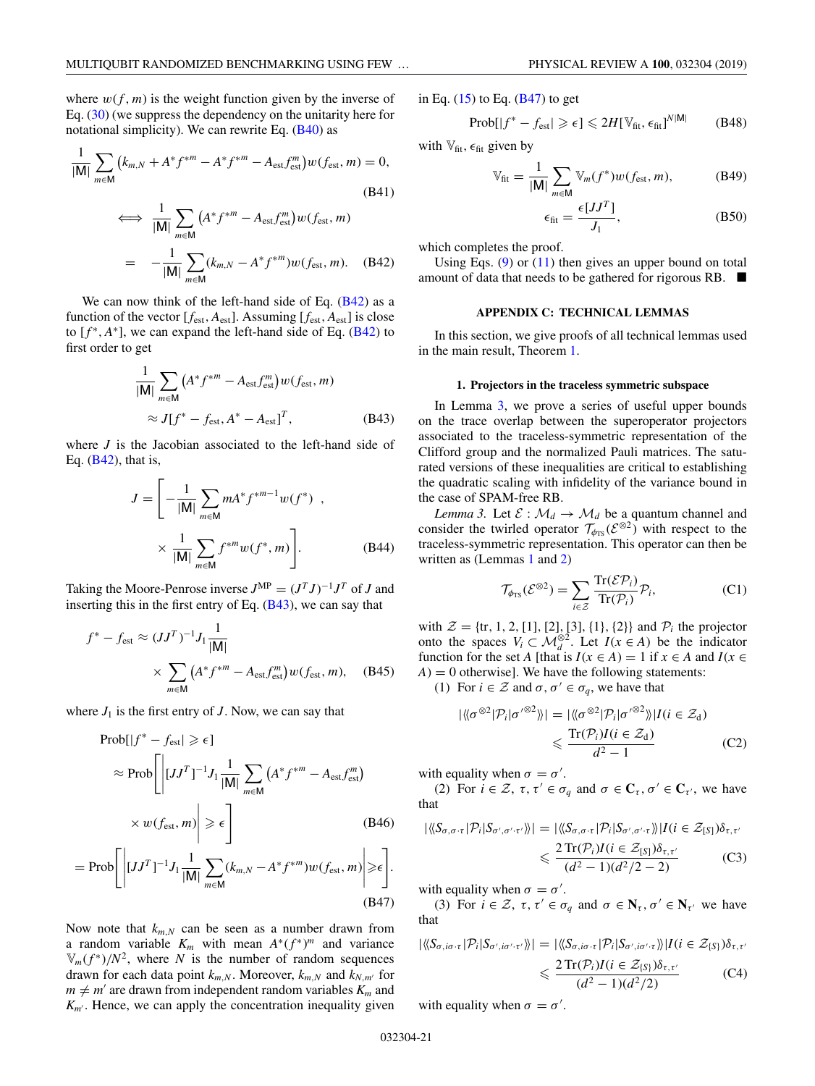<span id="page-21-0"></span>where  $w(f, m)$  is the weight function given by the inverse of Eq. [\(30\)](#page-11-0) (we suppress the dependency on the unitarity here for notational simplicity). We can rewrite Eq. [\(B40\)](#page-20-0) as

$$
\frac{1}{|\mathbf{M}|} \sum_{m \in \mathbf{M}} \left( k_{m,N} + A^* f^{*m} - A^* f^{*m} - A_{\text{est}} f_{\text{est}}^m \right) w(f_{\text{est}}, m) = 0,
$$
\n(B41)\n
$$
\iff \frac{1}{|\mathbf{M}|} \sum_{m \in \mathbf{M}} \left( A^* f^{*m} - A_{\text{est}} f_{\text{est}}^m \right) w(f_{\text{est}}, m)
$$
\n
$$
= -\frac{1}{|\mathbf{M}|} \sum_{m \in \mathbf{M}} \left( k_{m,N} - A^* f^{*m} \right) w(f_{\text{est}}, m). \quad \text{(B42)}
$$

We can now think of the left-hand side of Eq. (B42) as a function of the vector  $[f_{\text{est}}, A_{\text{est}}]$ . Assuming  $[f_{\text{est}}, A_{\text{est}}]$  is close to  $[f^*, A^*]$ , we can expand the left-hand side of Eq. ( $\overline{B42}$ ) to first order to get

$$
\frac{1}{|\mathsf{M}|} \sum_{m \in \mathsf{M}} \left( A^* f^{*m} - A_{\text{est}} f_{\text{est}}^m \right) w(f_{\text{est}}, m)
$$
  
 
$$
\approx J[f^* - f_{\text{est}}, A^* - A_{\text{est}}]^T,
$$
 (B43)

where *J* is the Jacobian associated to the left-hand side of Eq. (B42), that is,

$$
J = \left[ -\frac{1}{|M|} \sum_{m \in M} m A^* f^{*m-1} w(f^*) \right],
$$
  
 
$$
\times \frac{1}{|M|} \sum_{m \in M} f^{*m} w(f^*, m) \right].
$$
 (B44)

Taking the Moore-Penrose inverse  $J^{\text{MP}} = (J^T J)^{-1} J^T$  of *J* and inserting this in the first entry of Eq. (B43), we can say that

$$
f^* - f_{\text{est}} \approx (JJ^T)^{-1} J_1 \frac{1}{|\mathsf{M}|}
$$

$$
\times \sum_{m \in \mathsf{M}} \left( A^* f^{*m} - A_{\text{est}} f_{\text{est}}^m \right) w(f_{\text{est}}, m), \quad \text{(B45)}
$$

where  $J_1$  is the first entry of  $J$ . Now, we can say that

$$
\text{Prob}[|f^* - f_{\text{est}}| \ge \epsilon]
$$
\n
$$
\approx \text{Prob}\left[\left| [JJ^T]^{-1}J_1 \frac{1}{|\mathbf{M}|} \sum_{m \in \mathbf{M}} \left( A^* f^{*m} - A_{\text{est}} f_{\text{est}}^m \right) \right| \right]
$$
\n
$$
\times w(f_{\text{est}}, m) \ge \epsilon \right]
$$
\n
$$
\text{Prob}\left[\left| [JJ^T]^{-1}J_1 \frac{1}{|\mathbf{M}|} \sum_{k=1}^{\infty} (k - A^* f^{*m}) \right| \left| \sum_{k=1}^{\infty} |A_k^* f^{*m}| \right| \right]
$$

$$
= \operatorname{Prob}\Biggl[ \Biggl|[JJ^T]^{-1}J_1 \frac{1}{|M|} \sum_{m \in M} (k_{m,N} - A^* f^{*m}) w(f_{\text{est}}, m) \Biggr| \ge \epsilon \Biggr].
$$
\n(B47)

Now note that  $k_{m,N}$  can be seen as a number drawn from a random variable  $K_m$  with mean  $A^*(f^*)^m$  and variance  $V_m(f^*)/N^2$ , where *N* is the number of random sequences drawn for each data point  $k_{m,N}$ . Moreover,  $k_{m,N}$  and  $k_{N,m'}$  for  $m \neq m'$  are drawn from independent random variables  $K_m$  and  $K_{m'}$ . Hence, we can apply the concentration inequality given

$$
Prob[|f^* - f_{est}| \ge \epsilon] \le 2H[\mathbb{V}_{\text{fit}}, \epsilon_{\text{fit}}]^{N|\mathsf{M}|} \qquad (B48)
$$

with  $V_{\text{fit}}$ ,  $\epsilon_{\text{fit}}$  given by

$$
\mathbb{V}_{\text{fit}} = \frac{1}{|\mathbf{M}|} \sum_{m \in \mathbf{M}} \mathbb{V}_m(f^*) w(f_{\text{est}}, m), \tag{B49}
$$

$$
\epsilon_{\text{fit}} = \frac{\epsilon [JJ^T]}{J_1},\tag{B50}
$$

which completes the proof.

Using Eqs.  $(9)$  or  $(11)$  then gives an upper bound on total amount of data that needs to be gathered for rigorous RB.  $\blacksquare$ 

#### **APPENDIX C: TECHNICAL LEMMAS**

In this section, we give proofs of all technical lemmas used in the main result, Theorem [1.](#page-17-0)

### **1. Projectors in the traceless symmetric subspace**

In Lemma 3, we prove a series of useful upper bounds on the trace overlap between the superoperator projectors associated to the traceless-symmetric representation of the Clifford group and the normalized Pauli matrices. The saturated versions of these inequalities are critical to establishing the quadratic scaling with infidelity of the variance bound in the case of SPAM-free RB.

*Lemma 3.* Let  $\mathcal{E}: \mathcal{M}_d \to \mathcal{M}_d$  be a quantum channel and consider the twirled operator  $\mathcal{T}_{\phi_{TS}}(\mathcal{E}^{\otimes 2})$  with respect to the traceless-symmetric representation. This operator can then be written as (Lemmas [1](#page-15-0) and [2\)](#page-17-0)

$$
\mathcal{T}_{\phi_{TS}}(\mathcal{E}^{\otimes 2}) = \sum_{i \in \mathcal{Z}} \frac{\text{Tr}(\mathcal{E}\mathcal{P}_i)}{\text{Tr}(\mathcal{P}_i)} \mathcal{P}_i,
$$
 (C1)

with  $\mathcal{Z} = \{tr, 1, 2, [1], [2], [3], \{1\}, \{2\}\}\$  and  $\mathcal{P}_i$  the projector onto the spaces  $V_i \subset \mathcal{M}_d^{\otimes 2}$ . Let  $I(x \in A)$  be the indicator function for the set *A* [that is  $I(x \in A) = 1$  if  $x \in A$  and  $I(x \in A)$  $A$ ) = 0 otherwise]. We have the following statements:

(1) For  $i \in \mathcal{Z}$  and  $\sigma, \sigma' \in \sigma_q$ , we have that

$$
|\langle \langle \sigma^{\otimes 2} | \mathcal{P}_i | \sigma'^{\otimes 2} \rangle \rangle| = |\langle \langle \sigma^{\otimes 2} | \mathcal{P}_i | \sigma'^{\otimes 2} \rangle \rangle| I(i \in \mathcal{Z}_d)
$$
  

$$
\leq \frac{\text{Tr}(\mathcal{P}_i) I(i \in \mathcal{Z}_d)}{d^2 - 1}
$$
 (C2)

with equality when  $\sigma = \sigma'$ .

(2) For  $i \in \mathcal{Z}$ ,  $\tau$ ,  $\tau' \in \sigma_q$  and  $\sigma \in \mathbb{C}_{\tau}$ ,  $\sigma' \in \mathbb{C}_{\tau'}$ , we have that

$$
|\langle\langle S_{\sigma,\sigma\cdot\tau}|\mathcal{P}_i|S_{\sigma',\sigma'\cdot\tau'}\rangle\rangle| = |\langle\langle S_{\sigma,\sigma\cdot\tau}|\mathcal{P}_i|S_{\sigma',\sigma'\cdot\tau}\rangle\rangle|I(i \in \mathcal{Z}_{[S]})\delta_{\tau,\tau'}\rangle
$$
  

$$
\leq \frac{2\operatorname{Tr}(\mathcal{P}_i)I(i \in \mathcal{Z}_{[S]})\delta_{\tau,\tau'}}{(d^2-1)(d^2/2-2)} \tag{C3}
$$

with equality when  $\sigma = \sigma'$ .

(3) For  $i \in \mathcal{Z}$ ,  $\tau, \tau' \in \sigma_q$  and  $\sigma \in \mathbb{N}_{\tau}, \sigma' \in \mathbb{N}_{\tau'}$  we have that

$$
|\langle\langle S_{\sigma,i\sigma\cdot\tau}|\mathcal{P}_i|S_{\sigma',i\sigma'\cdot\tau'}\rangle\rangle| = |\langle\langle S_{\sigma,i\sigma\cdot\tau}|\mathcal{P}_i|S_{\sigma',i\sigma'\cdot\tau}\rangle\rangle|I(i \in \mathcal{Z}_{\{S\}})\delta_{\tau,\tau'}\rangle
$$
  

$$
\leq \frac{2\operatorname{Tr}(\mathcal{P}_i)I(i \in \mathcal{Z}_{\{S\}})\delta_{\tau,\tau'}}{(d^2 - 1)(d^2/2)} \tag{C4}
$$

with equality when  $\sigma = \sigma'$ .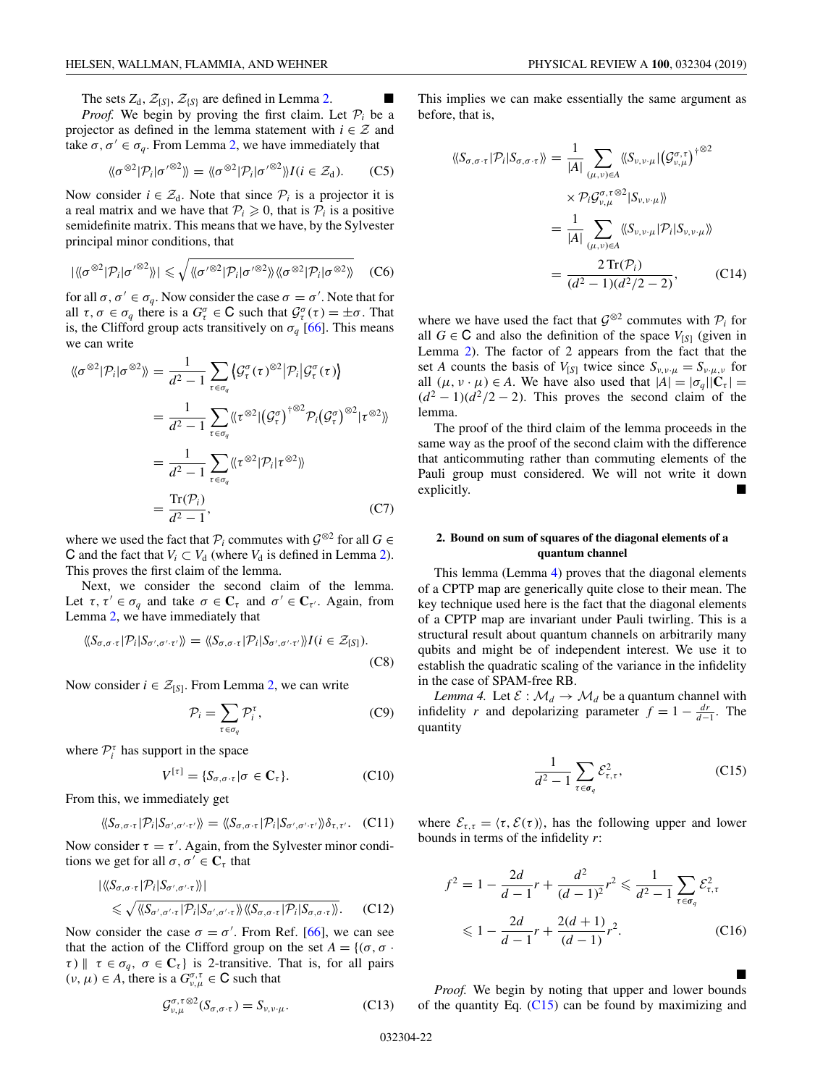<span id="page-22-0"></span>The sets  $Z_d$ ,  $\mathcal{Z}_{\{S\}}$ ,  $\mathcal{Z}_{\{S\}}$  are defined in Lemma [2.](#page-17-0) *Proof.* We begin by proving the first claim. Let  $P_i$  be a projector as defined in the lemma statement with  $i \in \mathcal{Z}$  and take  $\sigma, \sigma' \in \sigma_q$ . From Lemma [2,](#page-17-0) we have immediately that

$$
\langle \langle \sigma^{\otimes 2} | \mathcal{P}_i | \sigma'^{\otimes 2} \rangle \rangle = \langle \langle \sigma^{\otimes 2} | \mathcal{P}_i | \sigma'^{\otimes 2} \rangle \rangle I(i \in \mathcal{Z}_d). \tag{C5}
$$

Now consider  $i \in \mathcal{Z}_d$ . Note that since  $\mathcal{P}_i$  is a projector it is a real matrix and we have that  $P_i \geq 0$ , that is  $P_i$  is a positive semidefinite matrix. This means that we have, by the Sylvester principal minor conditions, that

$$
|\langle\langle \sigma^{\otimes 2}|\mathcal{P}_i|\sigma'^{\otimes 2}\rangle\rangle| \leq \sqrt{\langle\langle \sigma'^{\otimes 2}|\mathcal{P}_i|\sigma'^{\otimes 2}\rangle\rangle\langle\langle \sigma^{\otimes 2}|\mathcal{P}_i|\sigma^{\otimes 2}\rangle\rangle} \quad (C6)
$$

for all  $\sigma, \sigma' \in \sigma_q$ . Now consider the case  $\sigma = \sigma'$ . Note that for all  $\tau, \sigma \in \sigma_q$  there is a  $G^{\sigma}_{\tau} \in \mathbb{C}$  such that  $\mathcal{G}^{\sigma}_{\tau}(\tau) = \pm \sigma$ . That is, the Clifford group acts transitively on  $\sigma_q$  [\[66\]](#page-31-0). This means we can write

$$
\langle \langle \sigma^{\otimes 2} | \mathcal{P}_i | \sigma^{\otimes 2} \rangle \rangle = \frac{1}{d^2 - 1} \sum_{\tau \in \sigma_q} \langle \mathcal{G}_{\tau}^{\sigma}(\tau)^{\otimes 2} | \mathcal{P}_i | \mathcal{G}_{\tau}^{\sigma}(\tau) \rangle
$$
  
\n
$$
= \frac{1}{d^2 - 1} \sum_{\tau \in \sigma_q} \langle \langle \tau^{\otimes 2} | (\mathcal{G}_{\tau}^{\sigma})^{\dagger \otimes 2} \mathcal{P}_i (\mathcal{G}_{\tau}^{\sigma})^{\otimes 2} | \tau^{\otimes 2} \rangle \rangle
$$
  
\n
$$
= \frac{1}{d^2 - 1} \sum_{\tau \in \sigma_q} \langle \langle \tau^{\otimes 2} | \mathcal{P}_i | \tau^{\otimes 2} \rangle \rangle
$$
  
\n
$$
= \frac{\text{Tr}(\mathcal{P}_i)}{d^2 - 1}, \tag{C7}
$$

where we used the fact that  $\mathcal{P}_i$  commutes with  $\mathcal{G}^{\otimes 2}$  for all  $G \in$ C and the fact that  $V_i \subset V_d$  (where  $V_d$  is defined in Lemma [2\)](#page-17-0). This proves the first claim of the lemma.

Next, we consider the second claim of the lemma. Let  $\tau, \tau' \in \sigma_q$  and take  $\sigma \in \mathbb{C}_{\tau}$  and  $\sigma' \in \mathbb{C}_{\tau'}$ . Again, from Lemma [2,](#page-17-0) we have immediately that

$$
\langle\!\langle S_{\sigma,\sigma\cdot\tau}|\mathcal{P}_i|S_{\sigma',\sigma'\cdot\tau'}\rangle\!\rangle = \langle\!\langle S_{\sigma,\sigma\cdot\tau}|\mathcal{P}_i|S_{\sigma',\sigma'\cdot\tau'}\rangle\!\rangle I(i \in \mathcal{Z}_{[S]}).
$$
\n(C8)

Now consider  $i \in \mathcal{Z}_{[S]}$ . From Lemma [2,](#page-17-0) we can write

$$
\mathcal{P}_i = \sum_{\tau \in \sigma_q} \mathcal{P}_i^{\tau},\tag{C9}
$$

where  $P_i^{\tau}$  has support in the space

$$
V^{[\tau]} = \{S_{\sigma,\sigma\cdot\tau} | \sigma \in \mathbf{C}_{\tau}\}.
$$
 (C10)

From this, we immediately get

$$
\langle \langle S_{\sigma,\sigma \cdot \tau} | \mathcal{P}_i | S_{\sigma',\sigma' \cdot \tau'} \rangle \rangle = \langle \langle S_{\sigma,\sigma \cdot \tau} | \mathcal{P}_i | S_{\sigma',\sigma' \cdot \tau'} \rangle \rangle \delta_{\tau,\tau'}.
$$
 (C11)

Now consider  $\tau = \tau'$ . Again, from the Sylvester minor conditions we get for all  $\sigma, \sigma' \in \mathbb{C}_{\tau}$  that

$$
\langle \langle S_{\sigma,\sigma \cdot \tau} | \mathcal{P}_i | S_{\sigma',\sigma' \cdot \tau} \rangle \rangle | \leq \sqrt{\langle \langle S_{\sigma',\sigma' \cdot \tau} | \mathcal{P}_i | S_{\sigma',\sigma' \cdot \tau} \rangle \rangle \langle \langle S_{\sigma,\sigma \cdot \tau} | \mathcal{P}_i | S_{\sigma,\sigma \cdot \tau} \rangle \rangle}.
$$
 (C12)

Now consider the case  $\sigma = \sigma'$ . From Ref. [\[66\]](#page-31-0), we can see that the action of the Clifford group on the set  $A = \{(\sigma, \sigma \cdot \sigma)\}$  $\tau$ )  $\|\tau \in \sigma_q$ ,  $\sigma \in \mathbb{C}_{\tau}$  is 2-transitive. That is, for all pairs  $(v, \mu) \in A$ , there is a  $G_{v,\mu}^{\sigma,\tau} \in \mathbb{C}$  such that

$$
\mathcal{G}_{\nu,\mu}^{\sigma,\tau\otimes 2}(S_{\sigma,\sigma\cdot\tau})=S_{\nu,\nu\cdot\mu}.
$$
 (C13)

This implies we can make essentially the same argument as before, that is,

$$
\langle\langle S_{\sigma,\sigma\cdot\tau}|\mathcal{P}_i|S_{\sigma,\sigma\cdot\tau}\rangle\rangle = \frac{1}{|A|} \sum_{(\mu,\nu)\in A} \langle\langle S_{\nu,\nu\cdot\mu}|(\mathcal{G}_{\nu,\mu}^{\sigma,\tau})^{\dagger\otimes 2} \rangle
$$

$$
\times \mathcal{P}_i \mathcal{G}_{\nu,\mu}^{\sigma,\tau\otimes 2} |S_{\nu,\nu\cdot\mu}\rangle\rangle
$$

$$
= \frac{1}{|A|} \sum_{(\mu,\nu)\in A} \langle\langle S_{\nu,\nu\cdot\mu}|\mathcal{P}_i|S_{\nu,\nu\cdot\mu}\rangle\rangle
$$

$$
= \frac{2 \operatorname{Tr}(\mathcal{P}_i)}{(d^2 - 1)(d^2/2 - 2)}, \qquad (C14)
$$

where we have used the fact that  $\mathcal{G}^{\otimes 2}$  commutes with  $\mathcal{P}_i$  for all  $G \in \mathbb{C}$  and also the definition of the space  $V_{[S]}$  (given in Lemma [2\)](#page-17-0). The factor of 2 appears from the fact that the set *A* counts the basis of  $V_{[S]}$  twice since  $S_{\nu,\nu,\mu} = S_{\nu,\mu,\nu}$  for all  $(\mu, \nu \cdot \mu) \in A$ . We have also used that  $|A| = |\sigma_q||\mathbf{C}_\tau|$  $(d^2 - 1)(d^2/2 - 2)$ . This proves the second claim of the lemma.

The proof of the third claim of the lemma proceeds in the same way as the proof of the second claim with the difference that anticommuting rather than commuting elements of the Pauli group must considered. We will not write it down explicitly.  $\blacksquare$ 

#### **2. Bound on sum of squares of the diagonal elements of a quantum channel**

This lemma (Lemma 4) proves that the diagonal elements of a CPTP map are generically quite close to their mean. The key technique used here is the fact that the diagonal elements of a CPTP map are invariant under Pauli twirling. This is a structural result about quantum channels on arbitrarily many qubits and might be of independent interest. We use it to establish the quadratic scaling of the variance in the infidelity in the case of SPAM-free RB.

*Lemma 4.* Let  $\mathcal{E}: \mathcal{M}_d \to \mathcal{M}_d$  be a quantum channel with infidelity *r* and depolarizing parameter  $f = 1 - \frac{dr}{d-1}$ . The quantity

$$
\frac{1}{d^2 - 1} \sum_{\tau \in \sigma_q} \mathcal{E}_{\tau, \tau}^2,\tag{C15}
$$

where  $\mathcal{E}_{\tau,\tau} = \langle \tau, \mathcal{E}(\tau) \rangle$ , has the following upper and lower bounds in terms of the infidelity *r*:

$$
f^{2} = 1 - \frac{2d}{d-1}r + \frac{d^{2}}{(d-1)^{2}}r^{2} \le \frac{1}{d^{2}-1} \sum_{\tau \in \sigma_{q}} \mathcal{E}_{\tau,\tau}^{2}
$$
  

$$
\le 1 - \frac{2d}{d-1}r + \frac{2(d+1)}{(d-1)}r^{2}.
$$
 (C16)

-*Proof.* We begin by noting that upper and lower bounds of the quantity Eq.  $(C15)$  can be found by maximizing and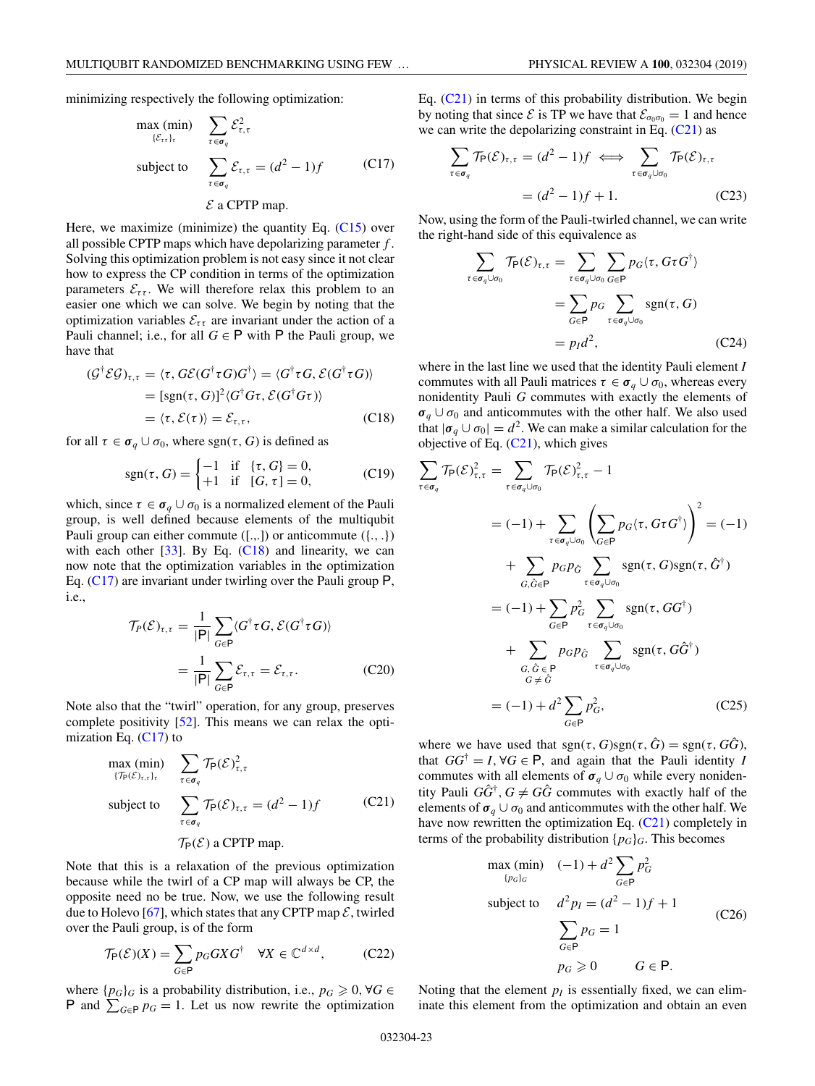<span id="page-23-0"></span>minimizing respectively the following optimization:

$$
\max_{\{\mathcal{E}_{\tau\tau}\}_{\tau}} \min_{\mathcal{E}_{\tau \in \sigma_q}} \sum_{\tau \in \sigma_q} \mathcal{E}_{\tau,\tau}^2
$$
\n
$$
\text{subject to} \quad \sum_{\tau \in \sigma_q} \mathcal{E}_{\tau,\tau} = (d^2 - 1)f \quad (C17)
$$
\n
$$
\mathcal{E} \text{ a CPTP map.}
$$

Here, we maximize (minimize) the quantity Eq. [\(C15\)](#page-22-0) over all possible CPTP maps which have depolarizing parameter *f* . Solving this optimization problem is not easy since it not clear how to express the CP condition in terms of the optimization parameters  $\mathcal{E}_{\tau\tau}$ . We will therefore relax this problem to an easier one which we can solve. We begin by noting that the optimization variables  $\mathcal{E}_{\tau\tau}$  are invariant under the action of a Pauli channel; i.e., for all  $G \in \mathsf{P}$  with  $\mathsf{P}$  the Pauli group, we have that

$$
\begin{aligned} (\mathcal{G}^{\dagger} \mathcal{EG})_{\tau,\tau} &= \langle \tau, G\mathcal{E}(G^{\dagger} \tau G)G^{\dagger} \rangle = \langle G^{\dagger} \tau G, \mathcal{E}(G^{\dagger} \tau G) \rangle \\ &= [\text{sgn}(\tau, G)]^2 \langle G^{\dagger} G \tau, \mathcal{E}(G^{\dagger} G \tau) \rangle \\ &= \langle \tau, \mathcal{E}(\tau) \rangle = \mathcal{E}_{\tau,\tau}, \end{aligned} \tag{C18}
$$

for all  $\tau \in \sigma_q \cup \sigma_0$ , where sgn( $\tau$ , G) is defined as

$$
sgn(\tau, G) = \begin{cases} -1 & \text{if } \{\tau, G\} = 0, \\ +1 & \text{if } [G, \tau] = 0, \end{cases}
$$
 (C19)

which, since  $\tau \in \sigma_q \cup \sigma_0$  is a normalized element of the Pauli group, is well defined because elements of the multiqubit Pauli group can either commute  $([-,-])$  or anticommute  $([-,-])$ with each other  $[33]$ . By Eq.  $(C18)$  and linearity, we can now note that the optimization variables in the optimization Eq. (C17) are invariant under twirling over the Pauli group P, i.e.,

$$
\mathcal{T}_P(\mathcal{E})_{\tau,\tau} = \frac{1}{|P|} \sum_{G \in P} \langle G^\dagger \tau G, \mathcal{E}(G^\dagger \tau G) \rangle
$$

$$
= \frac{1}{|P|} \sum_{G \in P} \mathcal{E}_{\tau,\tau} = \mathcal{E}_{\tau,\tau}.
$$
(C20)

Note also that the "twirl" operation, for any group, preserves complete positivity [\[52\]](#page-31-0). This means we can relax the optimization Eq.  $(C17)$  to

$$
\max_{\{\mathcal{T}_{\mathsf{P}}(\mathcal{E})_{\tau,\tau}\}_\tau} (\min) \sum_{\tau \in \sigma_q} \mathcal{T}_{\mathsf{P}}(\mathcal{E})_{\tau,\tau}^2
$$
\n
$$
\text{subject to} \sum_{\tau \in \sigma_q} \mathcal{T}_{\mathsf{P}}(\mathcal{E})_{\tau,\tau} = (d^2 - 1)f \tag{C21}
$$
\n
$$
\mathcal{T}_{\mathsf{P}}(\mathcal{E}) \text{ a CPTP map.}
$$

Note that this is a relaxation of the previous optimization because while the twirl of a CP map will always be CP, the opposite need no be true. Now, we use the following result due to Holevo [\[67\]](#page-31-0), which states that any CPTP map  $\mathcal{E}$ , twirled over the Pauli group, is of the form

$$
\mathcal{T}_{\mathsf{P}}(\mathcal{E})(X) = \sum_{G \in \mathsf{P}} p_G G X G^{\dagger} \quad \forall X \in \mathbb{C}^{d \times d},\tag{C22}
$$

where  $\{p_G\}_G$  is a probability distribution, i.e.,  $p_G \geqslant 0$ ,  $\forall G \in$ P and  $\sum_{G \in \mathsf{P}} p_G = 1$ . Let us now rewrite the optimization Eq. (C21) in terms of this probability distribution. We begin by noting that since  $\mathcal E$  is TP we have that  $\mathcal E_{\sigma_0\sigma_0} = 1$  and hence we can write the depolarizing constraint in Eq.  $(C21)$  as

$$
\sum_{\tau \in \sigma_q} \mathcal{T}_{\mathsf{P}}(\mathcal{E})_{\tau,\tau} = (d^2 - 1)f \iff \sum_{\tau \in \sigma_q \cup \sigma_0} \mathcal{T}_{\mathsf{P}}(\mathcal{E})_{\tau,\tau}
$$

$$
= (d^2 - 1)f + 1.
$$
 (C23)

Now, using the form of the Pauli-twirled channel, we can write the right-hand side of this equivalence as

$$
\sum_{\tau \in \sigma_q \cup \sigma_0} \mathcal{T}_P(\mathcal{E})_{\tau,\tau} = \sum_{\tau \in \sigma_q \cup \sigma_0} \sum_{G \in P} p_G \langle \tau, G \tau G^{\dagger} \rangle
$$

$$
= \sum_{G \in P} p_G \sum_{\tau \in \sigma_q \cup \sigma_0} \text{sgn}(\tau, G)
$$

$$
= p_I d^2, \qquad (C24)
$$

where in the last line we used that the identity Pauli element *I* commutes with all Pauli matrices  $\tau \in \sigma_q \cup \sigma_0$ , whereas every nonidentity Pauli *G* commutes with exactly the elements of  $\sigma_q \cup \sigma_0$  and anticommutes with the other half. We also used that  $|\sigma_q \cup \sigma_0| = d^2$ . We can make a similar calculation for the objective of Eq.  $(C21)$ , which gives

$$
\sum_{\tau \in \sigma_q} \mathcal{T}_{P}(\mathcal{E})^2_{\tau,\tau} = \sum_{\tau \in \sigma_q \cup \sigma_0} \mathcal{T}_{P}(\mathcal{E})^2_{\tau,\tau} - 1
$$
\n
$$
= (-1) + \sum_{\tau \in \sigma_q \cup \sigma_0} \left( \sum_{G \in P} p_G(\tau, G \tau G^{\dagger}) \right)^2 = (-1)
$$
\n
$$
+ \sum_{G, \hat{G} \in P} p_G p_{\hat{G}} \sum_{\tau \in \sigma_q \cup \sigma_0} \text{sgn}(\tau, G) \text{sgn}(\tau, \hat{G}^{\dagger})
$$
\n
$$
= (-1) + \sum_{G \in P} p_G^2 \sum_{\tau \in \sigma_q \cup \sigma_0} \text{sgn}(\tau, GG^{\dagger})
$$
\n
$$
+ \sum_{\substack{G, \hat{G} \in P \\ G \neq \hat{G}}} p_G p_{\hat{G}} \sum_{\tau \in \sigma_q \cup \sigma_0} \text{sgn}(\tau, G\hat{G}^{\dagger})
$$
\n
$$
= (-1) + d^2 \sum_{G \in P} p_G^2, \qquad (C25)
$$

where we have used that  $sgn(\tau, G)sgn(\tau, \hat{G}) = sgn(\tau, G\hat{G})$ , that  $GG^{\dagger} = I$ ,  $\forall G \in \mathsf{P}$ , and again that the Pauli identity *I* commutes with all elements of  $\sigma_q \cup \sigma_0$  while every nonidentity Pauli  $G\tilde{G}^{\dagger}$ ,  $G \neq G\tilde{G}$  commutes with exactly half of the elements of  $\sigma_q \cup \sigma_0$  and anticommutes with the other half. We have now rewritten the optimization Eq. (C21) completely in terms of the probability distribution  $\{p_G\}_G$ . This becomes

$$
\max_{\{p_G\}_G} (\min) \quad (-1) + d^2 \sum_{G \in \mathsf{P}} p_G^2
$$
\n
$$
\text{subject to} \quad d^2 p_I = (d^2 - 1)f + 1
$$
\n
$$
\sum_{G \in \mathsf{P}} p_G = 1
$$
\n
$$
p_G \geq 0 \qquad G \in \mathsf{P}.
$$
\n( C26)

Noting that the element  $p_I$  is essentially fixed, we can eliminate this element from the optimization and obtain an even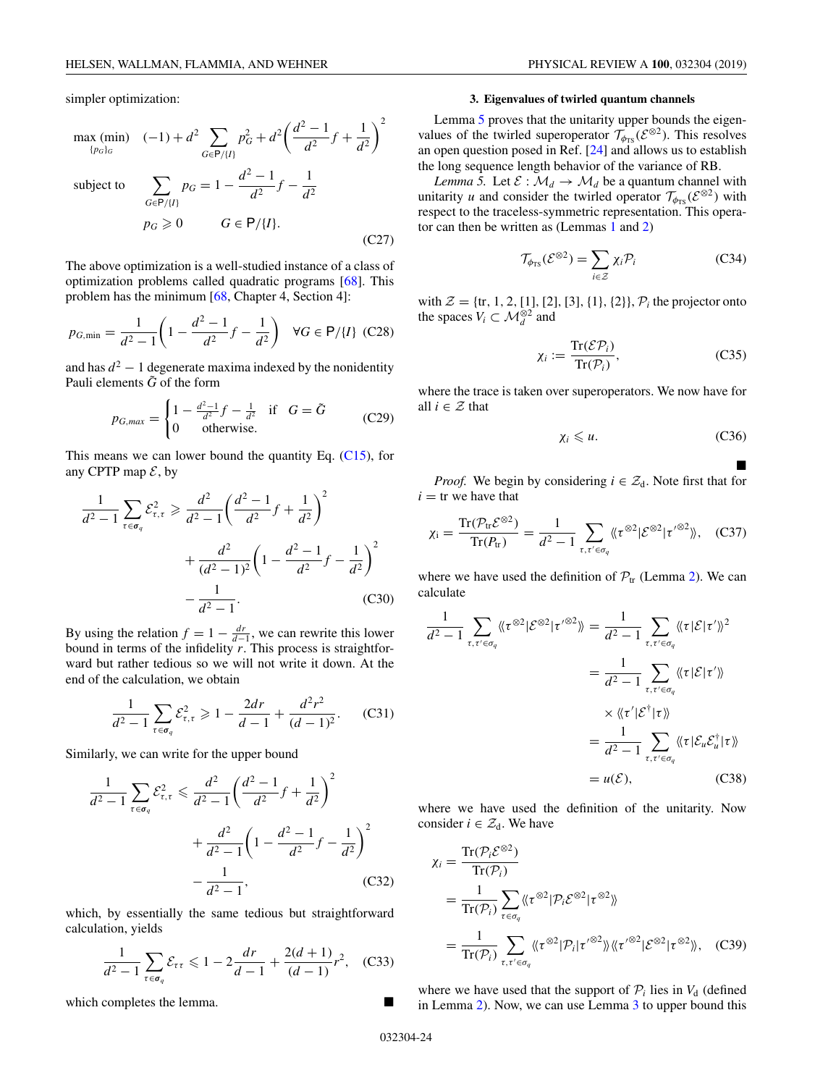<span id="page-24-0"></span>simpler optimization:

$$
\max_{\{p_G\}_G} (\min) \quad (-1) + d^2 \sum_{G \in \mathsf{P}/\{I\}} p_G^2 + d^2 \left(\frac{d^2 - 1}{d^2} f + \frac{1}{d^2}\right)^2
$$

subject to  $\sum$ 

$$
\sum_{G \in P/I} p_G = 1 - \frac{d^2 - 1}{d^2} f - \frac{1}{d^2}
$$
  
\n
$$
p_G \ge 0 \qquad G \in P/I.
$$
 (C27)

The above optimization is a well-studied instance of a class of optimization problems called quadratic programs [\[68\]](#page-31-0). This problem has the minimum [\[68,](#page-31-0) Chapter 4, Section 4]:

$$
p_{G,\min} = \frac{1}{d^2 - 1} \left( 1 - \frac{d^2 - 1}{d^2} f - \frac{1}{d^2} \right) \quad \forall G \in \mathsf{P}/\{I\} \tag{C28}
$$

and has  $d^2 - 1$  degenerate maxima indexed by the nonidentity Pauli elements  $\tilde{G}$  of the form

$$
p_{G,max} = \begin{cases} 1 - \frac{d^2 - 1}{d^2} f - \frac{1}{d^2} & \text{if } G = \tilde{G} \\ 0 & \text{otherwise.} \end{cases}
$$
 (C29)

This means we can lower bound the quantity Eq.  $(C15)$ , for any CPTP map  $\mathcal{E}$ , by

$$
\frac{1}{d^2 - 1} \sum_{\tau \in \sigma_q} \mathcal{E}_{\tau, \tau}^2 \ge \frac{d^2}{d^2 - 1} \left( \frac{d^2 - 1}{d^2} f + \frac{1}{d^2} \right)^2
$$

$$
+ \frac{d^2}{(d^2 - 1)^2} \left( 1 - \frac{d^2 - 1}{d^2} f - \frac{1}{d^2} \right)^2
$$

$$
- \frac{1}{d^2 - 1}.
$$
(C30)

By using the relation  $f = 1 - \frac{dr}{d-1}$ , we can rewrite this lower bound in terms of the infidelity *r*. This process is straightforward but rather tedious so we will not write it down. At the end of the calculation, we obtain

$$
\frac{1}{d^2 - 1} \sum_{\tau \in \sigma_q} \mathcal{E}_{\tau, \tau}^2 \ge 1 - \frac{2dr}{d - 1} + \frac{d^2r^2}{(d - 1)^2}.
$$
 (C31)

Similarly, we can write for the upper bound

$$
\frac{1}{d^2 - 1} \sum_{\tau \in \sigma_q} \mathcal{E}_{\tau, \tau}^2 \leq \frac{d^2}{d^2 - 1} \left( \frac{d^2 - 1}{d^2} f + \frac{1}{d^2} \right)^2
$$

$$
+ \frac{d^2}{d^2 - 1} \left( 1 - \frac{d^2 - 1}{d^2} f - \frac{1}{d^2} \right)^2
$$

$$
- \frac{1}{d^2 - 1}, \tag{C32}
$$

which, by essentially the same tedious but straightforward calculation, yields

$$
\frac{1}{d^2 - 1} \sum_{\tau \in \sigma_q} \mathcal{E}_{\tau \tau} \leq 1 - 2 \frac{dr}{d - 1} + \frac{2(d + 1)}{(d - 1)} r^2, \quad (C33)
$$

which completes the lemma.

#### **3. Eigenvalues of twirled quantum channels**

Lemma 5 proves that the unitarity upper bounds the eigenvalues of the twirled superoperator  $\mathcal{T}_{\phi_{TS}}(\mathcal{E}^{\otimes 2})$ . This resolves an open question posed in Ref. [\[24\]](#page-30-0) and allows us to establish the long sequence length behavior of the variance of RB.

*Lemma 5.* Let  $\mathcal{E}: \mathcal{M}_d \to \mathcal{M}_d$  be a quantum channel with unitarity *u* and consider the twirled operator  $\mathcal{T}_{\phi_{TS}}(\mathcal{E}^{\otimes 2})$  with respect to the traceless-symmetric representation. This operator can then be written as (Lemmas [1](#page-15-0) and [2\)](#page-17-0)

$$
\mathcal{T}_{\phi_{TS}}(\mathcal{E}^{\otimes 2}) = \sum_{i \in \mathcal{Z}} \chi_i \mathcal{P}_i \tag{C34}
$$

with  $\mathcal{Z} = \{tr, 1, 2, [1], [2], [3], \{1\}, \{2\}\}, \mathcal{P}_i$  the projector onto the spaces  $V_i \subset \mathcal{M}_d^{\otimes 2}$  and

$$
\chi_i := \frac{\text{Tr}(\mathcal{E}\mathcal{P}_i)}{\text{Tr}(\mathcal{P}_i)},\tag{C35}
$$

where the trace is taken over superoperators. We now have for all  $i \in \mathcal{Z}$  that

$$
\chi_i \leqslant u. \tag{C36}
$$

-*Proof.* We begin by considering  $i \in \mathcal{Z}_d$ . Note first that for  $i =$  tr we have that

$$
\chi_{\rm i} = \frac{\text{Tr}(\mathcal{P}_{\rm tr}\mathcal{E}^{\otimes 2})}{\text{Tr}(\mathcal{P}_{\rm tr})} = \frac{1}{d^2 - 1} \sum_{\tau, \tau' \in \sigma_q} \langle \langle \tau^{\otimes 2} | \mathcal{E}^{\otimes 2} | \tau'^{\otimes 2} \rangle \rangle, \quad \text{(C37)}
$$

where we have used the definition of  $P_{tr}$  (Lemma [2\)](#page-17-0). We can calculate

$$
\frac{1}{d^2 - 1} \sum_{\tau, \tau' \in \sigma_q} \langle \langle \tau^{\otimes 2} | \mathcal{E}^{\otimes 2} | \tau'^{\otimes 2} \rangle \rangle = \frac{1}{d^2 - 1} \sum_{\tau, \tau' \in \sigma_q} \langle \langle \tau | \mathcal{E} | \tau' \rangle \rangle^2
$$

$$
= \frac{1}{d^2 - 1} \sum_{\tau, \tau' \in \sigma_q} \langle \langle \tau | \mathcal{E} | \tau' \rangle \rangle
$$

$$
= \frac{1}{d^2 - 1} \sum_{\tau, \tau' \in \sigma_q} \langle \langle \tau | \mathcal{E}_u \mathcal{E}_u^{\dagger} | \tau \rangle \rangle
$$

$$
= u(\mathcal{E}), \qquad (C38)
$$

where we have used the definition of the unitarity. Now consider  $i \in \mathcal{Z}_d$ . We have

$$
\chi_{i} = \frac{\text{Tr}(\mathcal{P}_{i}\mathcal{E}^{\otimes 2})}{\text{Tr}(\mathcal{P}_{i})}
$$
\n
$$
= \frac{1}{\text{Tr}(\mathcal{P}_{i})} \sum_{\tau \in \sigma_{q}} \langle \langle \tau^{\otimes 2} | \mathcal{P}_{i}\mathcal{E}^{\otimes 2} | \tau^{\otimes 2} \rangle \rangle
$$
\n
$$
= \frac{1}{\text{Tr}(\mathcal{P}_{i})} \sum_{\tau, \tau' \in \sigma_{q}} \langle \langle \tau^{\otimes 2} | \mathcal{P}_{i} | \tau'^{\otimes 2} \rangle \rangle \langle \langle \tau'^{\otimes 2} | \mathcal{E}^{\otimes 2} | \tau^{\otimes 2} \rangle \rangle, \quad \text{(C39)}
$$

where we have used that the support of  $P_i$  lies in  $V_d$  (defined in Lemma [2\)](#page-17-0). Now, we can use Lemma [3](#page-21-0) to upper bound this

032304-24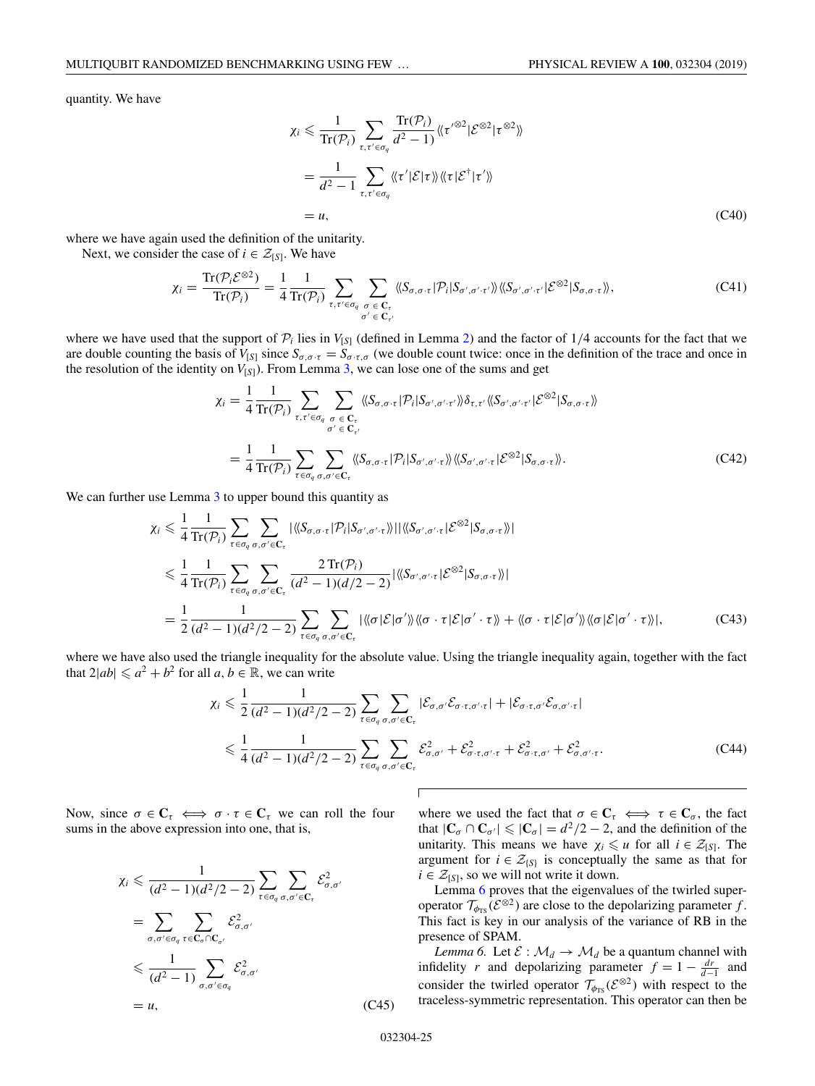<span id="page-25-0"></span>quantity. We have

$$
\chi_i \leq \frac{1}{\text{Tr}(\mathcal{P}_i)} \sum_{\tau, \tau' \in \sigma_q} \frac{\text{Tr}(\mathcal{P}_i)}{d^2 - 1} \langle \tau'^{\otimes 2} | \mathcal{E}^{\otimes 2} | \tau^{\otimes 2} \rangle
$$
  
= 
$$
\frac{1}{d^2 - 1} \sum_{\tau, \tau' \in \sigma_q} \langle \langle \tau' | \mathcal{E} | \tau \rangle \rangle \langle \tau | \mathcal{E}^\dagger | \tau' \rangle \rangle
$$
  
= *u*, (C40)

where we have again used the definition of the unitarity.

Next, we consider the case of  $i \in \mathcal{Z}_{[S]}$ . We have

$$
\chi_{i} = \frac{\text{Tr}(\mathcal{P}_{i}\mathcal{E}^{\otimes 2})}{\text{Tr}(\mathcal{P}_{i})} = \frac{1}{4} \frac{1}{\text{Tr}(\mathcal{P}_{i})} \sum_{\tau,\tau' \in \sigma_{q}} \sum_{\substack{\sigma \in \mathbf{C}_{\tau} \\ \sigma' \in \mathbf{C}_{\tau'}}} \langle \langle S_{\sigma,\sigma\cdot\tau} | \mathcal{P}_{i} | S_{\sigma',\sigma'\cdot\tau'} \rangle \rangle \langle \langle S_{\sigma',\sigma'\cdot\tau'} | \mathcal{E}^{\otimes 2} | S_{\sigma,\sigma\cdot\tau} \rangle \rangle, \tag{C41}
$$

where we have used that the support of  $P_i$  lies in  $V_{[S]}$  (defined in Lemma [2\)](#page-17-0) and the factor of  $1/4$  accounts for the fact that we are double counting the basis of  $V_{[S]}$  since  $S_{\sigma,\sigma,\tau} = S_{\sigma,\tau,\sigma}$  (we double count twice: once in the definition of the trace and once in the resolution of the identity on *V*[*<sup>S</sup>*]). From Lemma [3,](#page-21-0) we can lose one of the sums and get

$$
\chi_{i} = \frac{1}{4} \frac{1}{\text{Tr}(\mathcal{P}_{i})} \sum_{\tau, \tau' \in \sigma_{q}} \sum_{\sigma \in \mathbf{C}_{\tau}} \langle \langle S_{\sigma, \sigma \cdot \tau} | \mathcal{P}_{i} | S_{\sigma', \sigma' \cdot \tau'} \rangle \rangle \delta_{\tau, \tau'} \langle \langle S_{\sigma', \sigma' \cdot \tau'} | \mathcal{E}^{\otimes 2} | S_{\sigma, \sigma \cdot \tau} \rangle \rangle
$$
  
= 
$$
\frac{1}{4} \frac{1}{\text{Tr}(\mathcal{P}_{i})} \sum_{\tau \in \sigma_{q}} \sum_{\sigma, \sigma' \in \mathbf{C}_{\tau}} \langle \langle S_{\sigma, \sigma \cdot \tau} | \mathcal{P}_{i} | S_{\sigma', \sigma' \cdot \tau} \rangle \rangle \langle \langle S_{\sigma', \sigma' \cdot \tau} | \mathcal{E}^{\otimes 2} | S_{\sigma, \sigma \cdot \tau} \rangle \rangle. \tag{C42}
$$

We can further use Lemma [3](#page-21-0) to upper bound this quantity as

$$
\chi_{i} \leq \frac{1}{4} \frac{1}{\text{Tr}(\mathcal{P}_{i})} \sum_{\tau \in \sigma_{q}} \sum_{\sigma,\sigma' \in \mathcal{C}_{\tau}} |\langle \langle S_{\sigma,\sigma \cdot \tau} | \mathcal{P}_{i} | S_{\sigma',\sigma' \cdot \tau} \rangle \rangle| |\langle \langle S_{\sigma',\sigma' \cdot \tau} | \mathcal{E}^{\otimes 2} | S_{\sigma,\sigma \cdot \tau} \rangle \rangle|
$$
  
\n
$$
\leq \frac{1}{4} \frac{1}{\text{Tr}(\mathcal{P}_{i})} \sum_{\tau \in \sigma_{q}} \sum_{\sigma,\sigma' \in \mathcal{C}_{\tau}} \frac{2 \text{Tr}(\mathcal{P}_{i})}{(d^{2} - 1)(d/2 - 2)} |\langle \langle S_{\sigma',\sigma' \cdot \tau} | \mathcal{E}^{\otimes 2} | S_{\sigma,\sigma \cdot \tau} \rangle \rangle|
$$
  
\n
$$
= \frac{1}{2} \frac{1}{(d^{2} - 1)(d^{2}/2 - 2)} \sum_{\tau \in \sigma_{q}} \sum_{\sigma,\sigma' \in \mathcal{C}_{\tau}} |\langle \langle \sigma | \mathcal{E} | \sigma' \rangle \rangle| \langle \sigma \cdot \tau | \mathcal{E} | \sigma' \cdot \tau \rangle \rangle + \langle \langle \sigma \cdot \tau | \mathcal{E} | \sigma' \rangle \rangle \langle \langle \sigma | \mathcal{E} | \sigma' \cdot \tau \rangle \rangle|, \tag{C43}
$$

where we have also used the triangle inequality for the absolute value. Using the triangle inequality again, together with the fact that  $2|ab| \le a^2 + b^2$  for all  $a, b \in \mathbb{R}$ , we can write

 $\sqrt{ }$ 

$$
\chi_{i} \leq \frac{1}{2} \frac{1}{(d^{2}-1)(d^{2}/2-2)} \sum_{\tau \in \sigma_{q}} \sum_{\sigma,\sigma' \in \mathbf{C}_{\tau}} |\mathcal{E}_{\sigma,\sigma'} \mathcal{E}_{\sigma \cdot \tau,\sigma' \cdot \tau}| + |\mathcal{E}_{\sigma \cdot \tau,\sigma'} \mathcal{E}_{\sigma,\sigma' \cdot \tau}|
$$
  

$$
\leq \frac{1}{4} \frac{1}{(d^{2}-1)(d^{2}/2-2)} \sum_{\tau \in \sigma_{q}} \sum_{\sigma,\sigma' \in \mathbf{C}_{\tau}} \mathcal{E}_{\sigma,\sigma'}^{2} + \mathcal{E}_{\sigma \cdot \tau,\sigma' \cdot \tau}^{2} + \mathcal{E}_{\sigma \cdot \tau,\sigma'}^{2} + \mathcal{E}_{\sigma,\sigma' \cdot \tau}^{2}.
$$
 (C44)

Now, since  $\sigma \in \mathbb{C}_{\tau} \iff \sigma \cdot \tau \in \mathbb{C}_{\tau}$  we can roll the four sums in the above expression into one, that is,

$$
\chi_i \leq \frac{1}{(d^2 - 1)(d^2/2 - 2)} \sum_{\tau \in \sigma_q} \sum_{\sigma, \sigma' \in C_{\tau}} \mathcal{E}_{\sigma, \sigma'}^2
$$

$$
= \sum_{\sigma, \sigma' \in \sigma_q} \sum_{\tau \in C_{\sigma} \cap C_{\sigma'}} \mathcal{E}_{\sigma, \sigma'}^2
$$

$$
\leq \frac{1}{(d^2 - 1)} \sum_{\sigma, \sigma' \in \sigma_q} \mathcal{E}_{\sigma, \sigma'}^2
$$

$$
= u,
$$
 (C45)

where we used the fact that  $\sigma \in \mathbb{C}_{\tau} \iff \tau \in \mathbb{C}_{\sigma}$ , the fact that  $|\mathbf{C}_{\sigma} \cap \mathbf{C}_{\sigma'}| \leq |\mathbf{C}_{\sigma}| = d^2/2 - 2$ , and the definition of the unitarity. This means we have  $\chi_i \leq u$  for all  $i \in \mathcal{Z}_{[S]}$ . The argument for  $i \in \mathcal{Z}_{\{S\}}$  is conceptually the same as that for  $i \in \mathcal{Z}_{[S]}$ , so we will not write it down.

Lemma 6 proves that the eigenvalues of the twirled superoperator  $\mathcal{T}_{\phi_{TS}}(\mathcal{E}^{\otimes 2})$  are close to the depolarizing parameter *f*. This fact is key in our analysis of the variance of RB in the presence of SPAM.

*Lemma 6.* Let  $\mathcal{E}: \mathcal{M}_d \to \mathcal{M}_d$  be a quantum channel with infidelity *r* and depolarizing parameter  $f = 1 - \frac{dr}{d-1}$  and consider the twirled operator  $\mathcal{T}_{\phi_{TS}}(\mathcal{E}^{\otimes 2})$  with respect to the traceless-symmetric representation. This operator can then be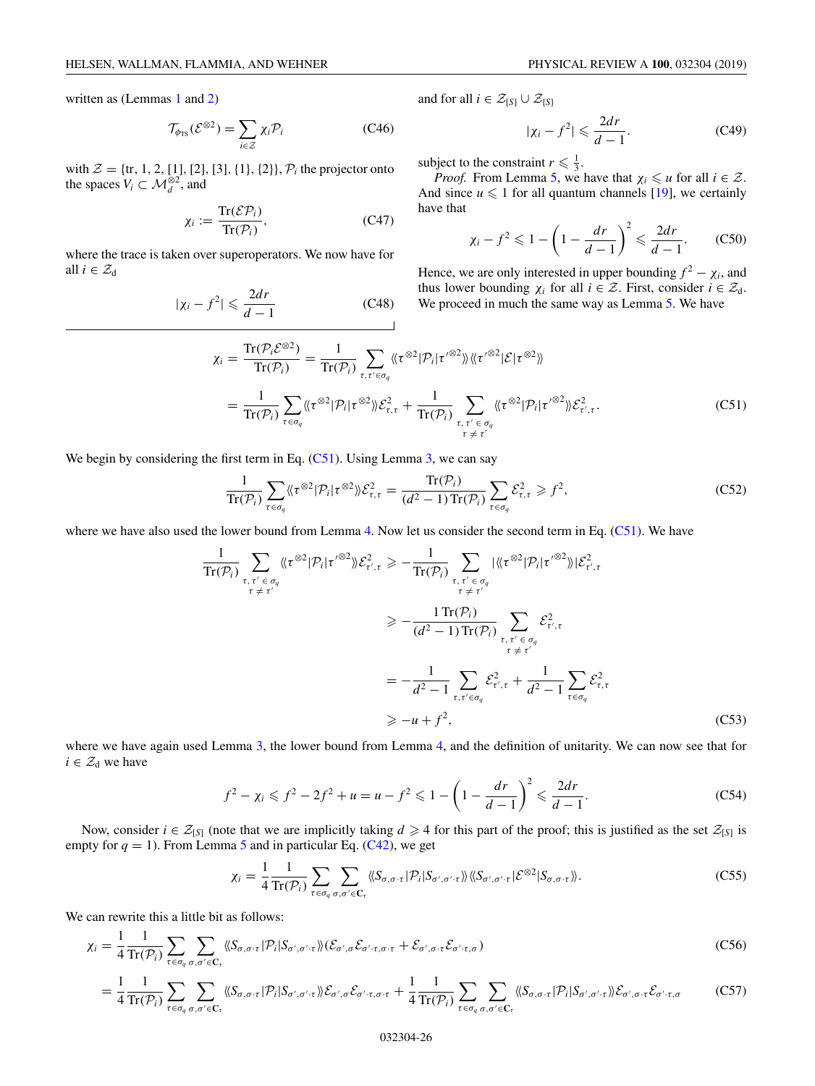written as (Lemmas [1](#page-15-0) and [2\)](#page-17-0)

$$
\mathcal{T}_{\phi_{TS}}(\mathcal{E}^{\otimes 2}) = \sum_{i \in \mathcal{Z}} \chi_i \mathcal{P}_i
$$
 (C46)

with  $\mathcal{Z} = \{tr, 1, 2, [1], [2], [3], \{1\}, \{2\}\}, \mathcal{P}_i$  the projector onto the spaces  $V_i \subset \mathcal{M}_d^{\otimes 2}$ , and

$$
\chi_i := \frac{\operatorname{Tr}(\mathcal{E}\mathcal{P}_i)}{\operatorname{Tr}(\mathcal{P}_i)},\tag{C47}
$$

where the trace is taken over superoperators. We now have for all  $i \in \mathcal{Z}_d$ 

$$
|\chi_i - f^2| \leqslant \frac{2dr}{d-1} \tag{C48}
$$

and for all  $i \in \mathcal{Z}_{[S]} \cup \mathcal{Z}_{\{S\}}$ 

$$
|\chi_i - f^2| \leqslant \frac{2dr}{d-1}.\tag{C49}
$$

subject to the constraint  $r \leq \frac{1}{3}$ .

*Proof.* From Lemma [5,](#page-24-0) we have that  $\chi_i \leq u$  for all  $i \in \mathcal{Z}$ . And since  $u \leq 1$  for all quantum channels [\[19\]](#page-30-0), we certainly have that

$$
\chi_i - f^2 \leq 1 - \left(1 - \frac{dr}{d-1}\right)^2 \leq \frac{2dr}{d-1}.\tag{C50}
$$

Hence, we are only interested in upper bounding  $f^2 - \chi_i$ , and thus lower bounding  $\chi_i$  for all  $i \in \mathcal{Z}$ . First, consider  $i \in \mathcal{Z}_d$ . We proceed in much the same way as Lemma [5.](#page-24-0) We have

$$
\chi_{i} = \frac{\text{Tr}(\mathcal{P}_{i}\mathcal{E}^{\otimes 2})}{\text{Tr}(\mathcal{P}_{i})} = \frac{1}{\text{Tr}(\mathcal{P}_{i})} \sum_{\tau, \tau' \in \sigma_{q}} \langle \langle \tau^{\otimes 2} | \mathcal{P}_{i} | \tau'^{\otimes 2} \rangle \rangle \langle \langle \tau'^{\otimes 2} | \mathcal{E} | \tau^{\otimes 2} \rangle \rangle
$$
  

$$
= \frac{1}{\text{Tr}(\mathcal{P}_{i})} \sum_{\tau \in \sigma_{q}} \langle \langle \tau^{\otimes 2} | \mathcal{P}_{i} | \tau^{\otimes 2} \rangle \rangle \mathcal{E}_{\tau, \tau}^{2} + \frac{1}{\text{Tr}(\mathcal{P}_{i})} \sum_{\substack{\tau, \tau' \in \sigma_{q} \\ \tau \neq \tau'}} \langle \langle \tau^{\otimes 2} | \mathcal{P}_{i} | \tau'^{\otimes 2} \rangle \rangle \mathcal{E}_{\tau', \tau}^{2}. \tag{C51}
$$

We begin by considering the first term in Eq.  $(C51)$ . Using Lemma [3,](#page-21-0) we can say

$$
\frac{1}{\operatorname{Tr}(\mathcal{P}_i)} \sum_{\tau \in \sigma_q} \langle \langle \tau^{\otimes 2} | \mathcal{P}_i | \tau^{\otimes 2} \rangle \rangle \mathcal{E}_{\tau,\tau}^2 = \frac{\operatorname{Tr}(\mathcal{P}_i)}{(d^2 - 1) \operatorname{Tr}(\mathcal{P}_i)} \sum_{\tau \in \sigma_q} \mathcal{E}_{\tau,\tau}^2 \ge f^2,\tag{C52}
$$

where we have also used the lower bound from Lemma [4.](#page-22-0) Now let us consider the second term in Eq. (C51). We have

$$
\frac{1}{\text{Tr}(\mathcal{P}_{i})} \sum_{\substack{\tau, \tau' \in \sigma_{q} \\ \tau \neq \tau' \\ \tau' \neq \tau'}} \langle \langle \tau^{\otimes 2} | \mathcal{P}_{i} | \tau'^{\otimes 2} \rangle \rangle \mathcal{E}_{\tau', \tau}^{2} \geq -\frac{1}{\text{Tr}(\mathcal{P}_{i})} \sum_{\substack{\tau, \tau' \in \sigma_{q} \\ \tau \neq \tau' \\ \tau' \neq \tau' \\ \tau' \neq \tau' \neq \tau'}} |\langle \langle \tau^{\otimes 2} | \mathcal{P}_{i} | \tau'^{\otimes 2} \rangle \rangle |\mathcal{E}_{\tau', \tau}^{2}
$$
\n
$$
\geq -\frac{1 \text{Tr}(\mathcal{P}_{i})}{(d^{2} - 1) \text{Tr}(\mathcal{P}_{i})} \sum_{\substack{\tau, \tau' \in \sigma_{q} \\ \tau \neq \tau' \\ \tau' \neq \tau' \\ d^{2} - 1} \sum_{\tau \in \sigma_{q}} \mathcal{E}_{\tau, \tau}^{2}
$$
\n
$$
\geq -u + f^{2}, \tag{C53}
$$

where we have again used Lemma [3,](#page-21-0) the lower bound from Lemma [4,](#page-22-0) and the definition of unitarity. We can now see that for  $i \in \mathcal{Z}_d$  we have

$$
f^{2} - \chi_{i} \leqslant f^{2} - 2f^{2} + u = u - f^{2} \leqslant 1 - \left(1 - \frac{dr}{d - 1}\right)^{2} \leqslant \frac{2dr}{d - 1}.
$$
 (C54)

Now, consider  $i \in \mathcal{Z}_{[S]}$  (note that we are implicitly taking  $d \geq 4$  for this part of the proof; this is justified as the set  $\mathcal{Z}_{[S]}$  is empty for  $q = 1$ ). From Lemma [5](#page-24-0) and in particular Eq. [\(C42\)](#page-25-0), we get

$$
\chi_i = \frac{1}{4} \frac{1}{\text{Tr}(\mathcal{P}_i)} \sum_{\tau \in \sigma_q} \sum_{\sigma, \sigma' \in \mathbf{C}_{\tau}} \langle \langle S_{\sigma, \sigma \cdot \tau} | \mathcal{P}_i | S_{\sigma', \sigma' \cdot \tau} \rangle \rangle \langle \langle S_{\sigma', \sigma' \cdot \tau} | \mathcal{E}^{\otimes 2} | S_{\sigma, \sigma \cdot \tau} \rangle \rangle. \tag{C55}
$$

We can rewrite this a little bit as follows:

$$
\chi_{i} = \frac{1}{4} \frac{1}{\text{Tr}(\mathcal{P}_{i})} \sum_{\tau \in \sigma_{q}} \sum_{\sigma,\sigma' \in \mathbf{C}_{\tau}} \langle \langle S_{\sigma,\sigma \cdot \tau} | \mathcal{P}_{i} | S_{\sigma',\sigma' \cdot \tau} \rangle \rangle \langle \mathcal{E}_{\sigma',\sigma} \mathcal{E}_{\sigma' \cdot \tau,\sigma \cdot \tau} + \mathcal{E}_{\sigma',\sigma \cdot \tau} \mathcal{E}_{\sigma' \cdot \tau,\sigma} \rangle \tag{C56}
$$

$$
= \frac{1}{4} \frac{1}{\text{Tr}(\mathcal{P}_i)} \sum_{\tau \in \sigma_q} \sum_{\sigma, \sigma' \in \mathbf{C}_{\tau}} \langle \langle S_{\sigma, \sigma \cdot \tau} | \mathcal{P}_i | S_{\sigma', \sigma' \cdot \tau} \rangle \rangle \mathcal{E}_{\sigma', \sigma} \mathcal{E}_{\sigma' \cdot \tau, \sigma \cdot \tau} + \frac{1}{4} \frac{1}{\text{Tr}(\mathcal{P}_i)} \sum_{\tau \in \sigma_q} \sum_{\sigma, \sigma' \in \mathbf{C}_{\tau}} \langle \langle S_{\sigma, \sigma \cdot \tau} | \mathcal{P}_i | S_{\sigma', \sigma' \cdot \tau} \rangle \rangle \mathcal{E}_{\sigma', \sigma \cdot \tau} \mathcal{E}_{\sigma' \cdot \tau, \sigma} \tag{C57}
$$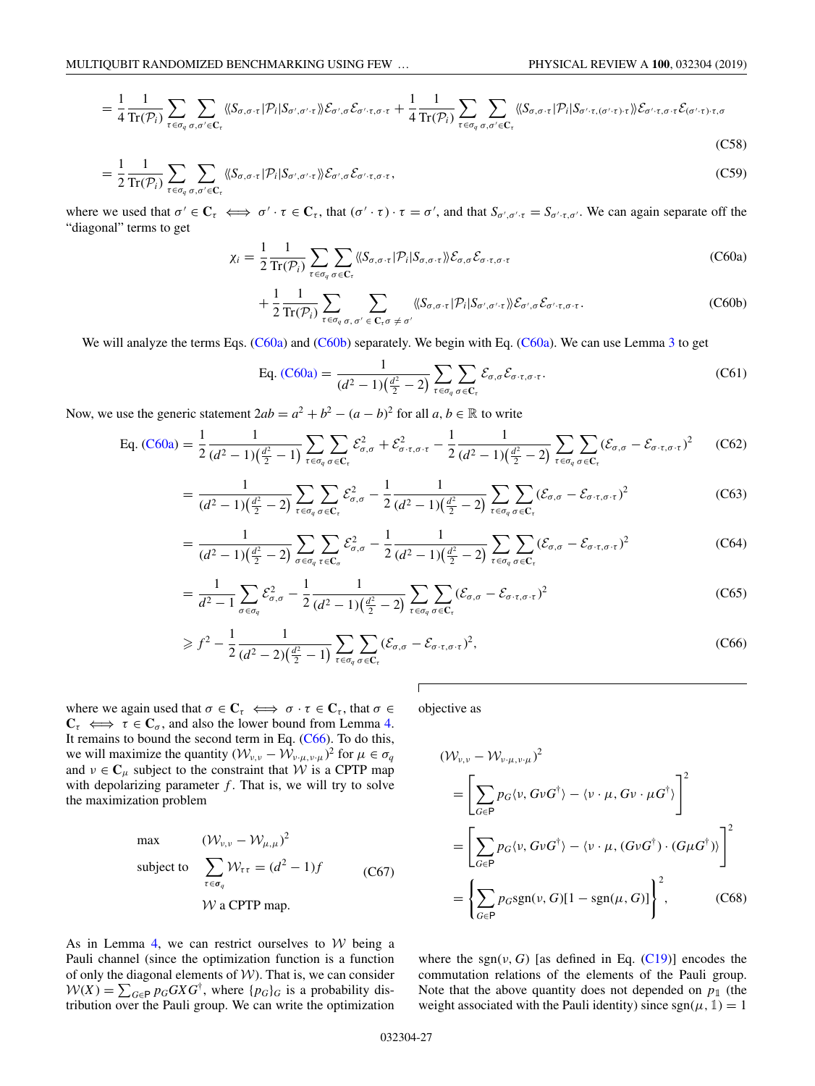<span id="page-27-0"></span>
$$
= \frac{1}{4} \frac{1}{\text{Tr}(\mathcal{P}_i)} \sum_{\tau \in \sigma_q} \sum_{\sigma, \sigma' \in \mathbf{C}_{\tau}} \langle \langle S_{\sigma, \sigma \cdot \tau} | \mathcal{P}_i | S_{\sigma', \sigma', \tau} \rangle \rangle \mathcal{E}_{\sigma', \sigma} \mathcal{E}_{\sigma', \tau, \sigma \cdot \tau} + \frac{1}{4} \frac{1}{\text{Tr}(\mathcal{P}_i)} \sum_{\tau \in \sigma_q} \sum_{\sigma, \sigma' \in \mathbf{C}_{\tau}} \langle \langle S_{\sigma, \sigma \cdot \tau} | \mathcal{P}_i | S_{\sigma', \tau, (\sigma', \tau) \cdot \tau} \rangle \rangle \mathcal{E}_{\sigma', \tau, \sigma \cdot \tau} \mathcal{E}_{(\sigma', \tau) \cdot \tau, \sigma} \tag{C58}
$$

$$
= \frac{1}{2} \frac{1}{\text{Tr}(\mathcal{P}_i)} \sum_{\tau \in \sigma_q} \sum_{\sigma, \sigma' \in \mathbf{C}_{\tau}} \langle \langle S_{\sigma, \sigma \cdot \tau} | \mathcal{P}_i | S_{\sigma', \sigma' \cdot \tau} \rangle \rangle \mathcal{E}_{\sigma', \sigma} \mathcal{E}_{\sigma' \cdot \tau, \sigma \cdot \tau}, \tag{C59}
$$

where we used that  $\sigma' \in \mathbb{C}_{\tau} \iff \sigma' \cdot \tau \in \mathbb{C}_{\tau}$ , that  $(\sigma' \cdot \tau) \cdot \tau = \sigma'$ , and that  $S_{\sigma', \sigma', \tau} = S_{\sigma', \tau, \sigma'}$ . We can again separate off the "diagonal" terms to get

$$
\chi_i = \frac{1}{2} \frac{1}{\text{Tr}(\mathcal{P}_i)} \sum_{\tau \in \sigma_q} \sum_{\sigma \in \mathbf{C}_{\tau}} \langle \langle S_{\sigma, \sigma \cdot \tau} | \mathcal{P}_i | S_{\sigma, \sigma \cdot \tau} \rangle \rangle \mathcal{E}_{\sigma, \sigma} \mathcal{E}_{\sigma \cdot \tau, \sigma \cdot \tau}
$$
(C60a)

$$
+\frac{1}{2}\frac{1}{\operatorname{Tr}(\mathcal{P}_i)}\sum_{\tau\in\sigma_q}\sum_{\sigma,\,\sigma'\,\in\,\mathbf{C}_{\tau}\sigma\,\neq\,\sigma'}\langle\langle S_{\sigma,\sigma\cdot\tau}|\mathcal{P}_i|S_{\sigma',\sigma'\cdot\tau}\rangle\rangle\mathcal{E}_{\sigma',\sigma}\mathcal{E}_{\sigma'\cdot\tau,\sigma\cdot\tau}.\tag{C60b}
$$

We will analyze the terms Eqs. (C60a) and (C60b) separately. We begin with Eq. (C60a). We can use Lemma [3](#page-21-0) to get

Eq. 
$$
(C60a) = \frac{1}{(d^2 - 1)\left(\frac{d^2}{2} - 2\right)} \sum_{\tau \in \sigma_q} \sum_{\sigma \in \mathbb{C}_{\tau}} \mathcal{E}_{\sigma,\sigma} \mathcal{E}_{\sigma \cdot \tau,\sigma \cdot \tau}.
$$
 (C61)

Now, we use the generic statement  $2ab = a^2 + b^2 - (a - b)^2$  for all  $a, b \in \mathbb{R}$  to write

$$
\text{Eq.} \left(\text{C60a}\right) = \frac{1}{2} \frac{1}{(d^2 - 1)\left(\frac{d^2}{2} - 1\right)} \sum_{\tau \in \sigma_q} \sum_{\sigma \in \mathbb{C}_{\tau}} \mathcal{E}_{\sigma,\sigma}^2 + \mathcal{E}_{\sigma \cdot \tau,\sigma \cdot \tau}^2 - \frac{1}{2} \frac{1}{(d^2 - 1)\left(\frac{d^2}{2} - 2\right)} \sum_{\tau \in \sigma_q} \sum_{\sigma \in \mathbb{C}_{\tau}} (\mathcal{E}_{\sigma,\sigma} - \mathcal{E}_{\sigma \cdot \tau,\sigma \cdot \tau})^2 \tag{C62}
$$

$$
=\frac{1}{(d^2-1)\left(\frac{d^2}{2}-2\right)}\sum_{\tau\in\sigma_q}\sum_{\sigma\in\mathbb{C}_{\tau}}\mathcal{E}_{\sigma,\sigma}^2-\frac{1}{2}\frac{1}{(d^2-1)\left(\frac{d^2}{2}-2\right)}\sum_{\tau\in\sigma_q}\sum_{\sigma\in\mathbb{C}_{\tau}}(\mathcal{E}_{\sigma,\sigma}-\mathcal{E}_{\sigma\cdot\tau,\sigma\cdot\tau})^2
$$
(C63)

$$
=\frac{1}{(d^2-1)\left(\frac{d^2}{2}-2\right)}\sum_{\sigma\in\sigma_q}\sum_{\tau\in\mathbb{C}_{\sigma}}\mathcal{E}_{\sigma,\sigma}^2-\frac{1}{2}\frac{1}{(d^2-1)\left(\frac{d^2}{2}-2\right)}\sum_{\tau\in\sigma_q}\sum_{\sigma\in\mathbb{C}_{\tau}}(\mathcal{E}_{\sigma,\sigma}-\mathcal{E}_{\sigma\cdot\tau,\sigma\cdot\tau})^2
$$
(C64)

$$
=\frac{1}{d^2-1}\sum_{\sigma\in\sigma_q}\mathcal{E}_{\sigma,\sigma}^2-\frac{1}{2}\frac{1}{(d^2-1)\left(\frac{d^2}{2}-2\right)}\sum_{\tau\in\sigma_q}\sum_{\sigma\in\mathbf{C}_{\tau}}(\mathcal{E}_{\sigma,\sigma}-\mathcal{E}_{\sigma\cdot\tau,\sigma\cdot\tau})^2
$$
(C65)

$$
\geqslant f^2 - \frac{1}{2} \frac{1}{(d^2 - 2)\left(\frac{d^2}{2} - 1\right)} \sum_{\tau \in \sigma_q} \sum_{\sigma \in \mathbb{C}_{\tau}} (\mathcal{E}_{\sigma, \sigma} - \mathcal{E}_{\sigma \cdot \tau, \sigma \cdot \tau})^2, \tag{C66}
$$

where we again used that  $\sigma \in \mathbb{C}_{\tau} \iff \sigma \cdot \tau \in \mathbb{C}_{\tau}$ , that  $\sigma \in$  $C_{\tau} \iff \tau \in C_{\sigma}$ , and also the lower bound from Lemma [4.](#page-22-0) It remains to bound the second term in Eq. (C66). To do this, we will maximize the quantity  $(W_{\nu,\nu} - W_{\nu,\mu,\nu,\mu})^2$  for  $\mu \in \sigma_q$ and  $v \in \mathbf{C}_{\mu}$  subject to the constraint that W is a CPTP map with depolarizing parameter  $f$ . That is, we will try to solve the maximization problem

max 
$$
(\mathcal{W}_{\nu,\nu} - \mathcal{W}_{\mu,\mu})^2
$$
  
\nsubject to  $\sum_{\tau \in \sigma_q} \mathcal{W}_{\tau\tau} = (d^2 - 1)f$  (C67)  
\n $\mathcal{W}$  a CPTP map.

As in Lemma [4,](#page-22-0) we can restrict ourselves to  $W$  being a Pauli channel (since the optimization function is a function of only the diagonal elements of  $W$ ). That is, we can consider  $W(X) = \sum_{G \in P} p_G G X G^{\dagger}$ , where  $\{p_G\}_G$  is a probability distribution over the Pauli group. We can write the optimization

objective as

$$
\begin{split} (\mathcal{W}_{\nu,\nu} - \mathcal{W}_{\nu,\mu,\nu,\mu})^2 \\ &= \left[ \sum_{G \in \mathsf{P}} p_G \langle \nu, G \nu G^{\dagger} \rangle - \langle \nu \cdot \mu, G \nu \cdot \mu G^{\dagger} \rangle \right]^2 \\ &= \left[ \sum_{G \in \mathsf{P}} p_G \langle \nu, G \nu G^{\dagger} \rangle - \langle \nu \cdot \mu, (G \nu G^{\dagger}) \cdot (G \mu G^{\dagger}) \rangle \right]^2 \\ &= \left\{ \sum_{G \in \mathsf{P}} p_G \text{sgn}(\nu, G) [1 - \text{sgn}(\mu, G)] \right\}^2, \end{split} \tag{C68}
$$

where the sgn( $v$ , *G*) [as defined in Eq. [\(C19\)](#page-23-0)] encodes the commutation relations of the elements of the Pauli group. Note that the above quantity does not depended on  $p_1$  (the weight associated with the Pauli identity) since  $sgn(\mu, 1) = 1$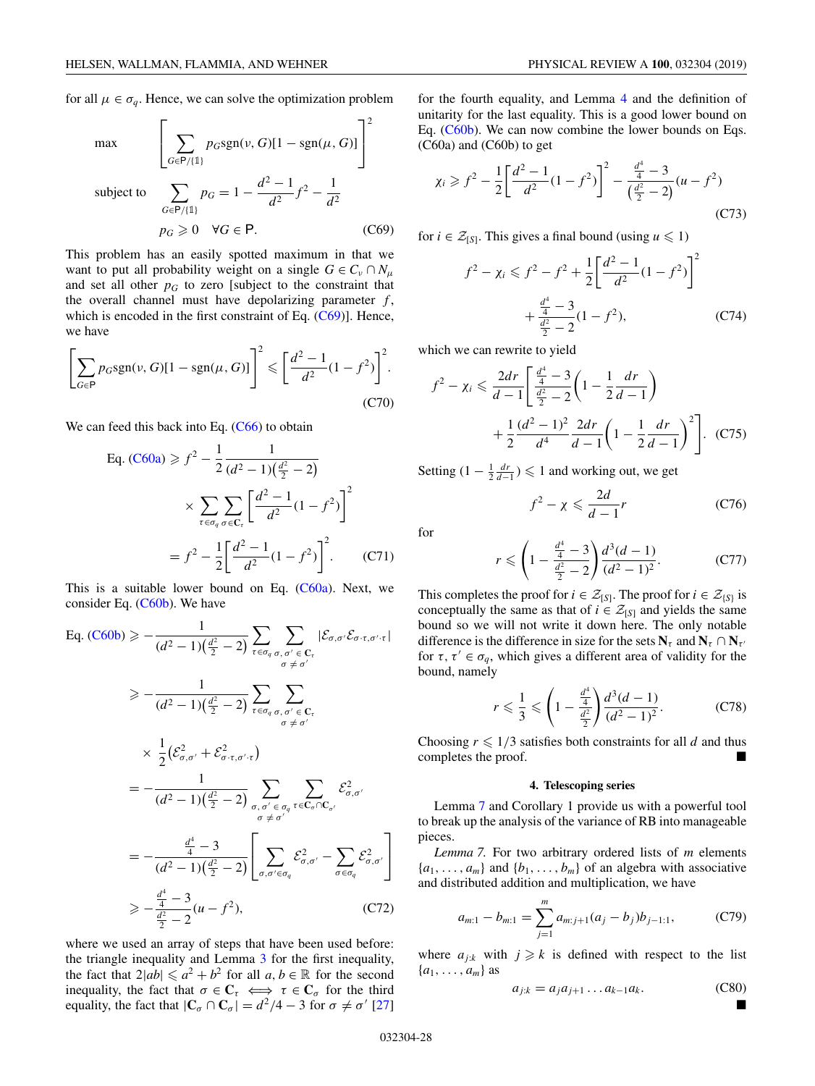$\Gamma$ 

<span id="page-28-0"></span>for all  $\mu \in \sigma_q$ . Hence, we can solve the optimization problem

max

$$
\max \left[ \sum_{G \in P/\{1\}} p_G \text{sgn}(\nu, G)[1 - \text{sgn}(\mu, G)] \right]
$$
  
subject to 
$$
\sum_{G \in P/\{1\}} p_G = 1 - \frac{d^2 - 1}{d^2} f^2 - \frac{1}{d^2}
$$

$$
p_G \ge 0 \quad \forall G \in \mathsf{P}.
$$
 (C69)

⎤

2

This problem has an easily spotted maximum in that we want to put all probability weight on a single  $G \in C_v \cap N_\mu$ and set all other  $p<sub>G</sub>$  to zero [subject to the constraint that the overall channel must have depolarizing parameter *f* , which is encoded in the first constraint of Eq.  $(C69)$ ]. Hence, we have

$$
\left[\sum_{G \in \mathsf{P}} p_G \text{sgn}(\nu, G)[1 - \text{sgn}(\mu, G)]\right]^2 \leq \left[\frac{d^2 - 1}{d^2} (1 - f^2)\right]^2. \tag{C70}
$$

We can feed this back into Eq.  $(C66)$  to obtain

Eq. (C60a) 
$$
\geq f^2 - \frac{1}{2} \frac{1}{(d^2 - 1)(\frac{d^2}{2} - 2)}
$$
  

$$
\times \sum_{\tau \in \sigma_q} \sum_{\sigma \in C_{\tau}} \left[ \frac{d^2 - 1}{d^2} (1 - f^2) \right]^2
$$

$$
= f^2 - \frac{1}{2} \left[ \frac{d^2 - 1}{d^2} (1 - f^2) \right]^2. \tag{C71}
$$

This is a suitable lower bound on Eq.  $(C60a)$ . Next, we consider Eq. [\(C60b\)](#page-27-0). We have

Eq. (C60b) 
$$
\geq -\frac{1}{(d^2 - 1)(\frac{d^2}{2} - 2)} \sum_{\tau \in \sigma_q} \sum_{\sigma, \sigma' \in \mathbf{C}_{\tau}} |\mathcal{E}_{\sigma, \sigma'} \mathcal{E}_{\sigma \cdot \tau, \sigma' \cdot \tau}|
$$
  
\n $\geq -\frac{1}{(d^2 - 1)(\frac{d^2}{2} - 2)} \sum_{\tau \in \sigma_q} \sum_{\substack{\sigma, \sigma' \in \mathbf{C}_{\tau} \\ \sigma \neq \sigma'}} \sum_{\substack{\sigma' \in \mathbf{C}_{\tau} \\ \sigma \neq \sigma'}} \mathcal{E}_{\sigma'}^2$   
\n $\times \frac{1}{2} (\mathcal{E}_{\sigma, \sigma'}^2 + \mathcal{E}_{\sigma \cdot \tau, \sigma' \cdot \tau}^2)$   
\n $= -\frac{1}{(d^2 - 1)(\frac{d^2}{2} - 2)} \sum_{\substack{\sigma, \sigma' \in \sigma_q \\ \sigma \neq \sigma'}} \sum_{\tau \in \mathbf{C}_{\sigma} \cap \mathbf{C}_{\sigma'}} \mathcal{E}_{\sigma, \sigma'}^2$   
\n $= -\frac{\frac{d^4}{4} - 3}{(d^2 - 1)(\frac{d^2}{2} - 2)} \left[ \sum_{\sigma, \sigma' \in \sigma_q} \mathcal{E}_{\sigma, \sigma'}^2 - \sum_{\sigma \in \sigma_q} \mathcal{E}_{\sigma, \sigma'}^2 \right]$   
\n $\geq -\frac{\frac{d^4}{4} - 3}{\frac{d^2}{2} - 2} (u - f^2),$  (C72)

where we used an array of steps that have been used before: the triangle inequality and Lemma [3](#page-21-0) for the first inequality, the fact that  $2|ab| \le a^2 + b^2$  for all  $a, b \in \mathbb{R}$  for the second inequality, the fact that  $\sigma \in \mathbb{C}_{\tau} \iff \tau \in \mathbb{C}_{\sigma}$  for the third equality, the fact that  $|\mathbf{C}_{\sigma} \cap \mathbf{C}_{\sigma}| = d^2/4 - 3$  for  $\sigma \neq \sigma'$  [\[27\]](#page-30-0)

for the fourth equality, and Lemma [4](#page-22-0) and the definition of unitarity for the last equality. This is a good lower bound on Eq. [\(C60b\)](#page-27-0). We can now combine the lower bounds on Eqs. (C60a) and (C60b) to get

$$
\chi_i \ge f^2 - \frac{1}{2} \left[ \frac{d^2 - 1}{d^2} (1 - f^2) \right]^2 - \frac{\frac{d^4}{4} - 3}{\left( \frac{d^2}{2} - 2 \right)} (u - f^2) \tag{C73}
$$

for *i*  $\in \mathcal{Z}_{[S]}$ . This gives a final bound (using *u*  $\leq 1$ )

$$
f^{2} - \chi_{i} \leq f^{2} - f^{2} + \frac{1}{2} \left[ \frac{d^{2} - 1}{d^{2}} (1 - f^{2}) \right]^{2}
$$

$$
+ \frac{\frac{d^{4}}{4} - 3}{\frac{d^{2}}{2} - 2} (1 - f^{2}), \qquad (C74)
$$

which we can rewrite to yield

$$
f^{2} - \chi_{i} \leq \frac{2dr}{d-1} \left[ \frac{\frac{d^{4}}{4} - 3}{\frac{d^{2}}{2} - 2} \left( 1 - \frac{1}{2} \frac{dr}{d-1} \right) + \frac{1}{2} \frac{(d^{2} - 1)^{2}}{d^{4}} \frac{2dr}{d-1} \left( 1 - \frac{1}{2} \frac{dr}{d-1} \right)^{2} \right].
$$
 (C75)

Setting  $(1 - \frac{1}{2} \frac{dr}{d-1})$  ≤ 1 and working out, we get

$$
f^2 - \chi \leqslant \frac{2d}{d-1}r \tag{C76}
$$

for

$$
r \leqslant \left(1 - \frac{\frac{d^4}{4} - 3}{\frac{d^2}{2} - 2}\right) \frac{d^3(d-1)}{(d^2 - 1)^2}.
$$
 (C77)

This completes the proof for  $i \in \mathcal{Z}_{[S]}$ . The proof for  $i \in \mathcal{Z}_{[S]}$  is conceptually the same as that of  $i \in \mathcal{Z}_{[S]}$  and yields the same bound so we will not write it down here. The only notable difference is the difference in size for the sets  $N_{\tau}$  and  $N_{\tau} \cap N_{\tau'}$ for  $\tau, \tau' \in \sigma_q$ , which gives a different area of validity for the bound, namely

$$
r \leqslant \frac{1}{3} \leqslant \left(1 - \frac{\frac{d^4}{4}}{\frac{d^2}{2}}\right) \frac{d^3(d-1)}{(d^2-1)^2}.
$$
 (C78)

Choosing  $r \leq 1/3$  satisfies both constraints for all *d* and thus completes the proof.

#### **4. Telescoping series**

Lemma 7 and Corollary 1 provide us with a powerful tool to break up the analysis of the variance of RB into manageable pieces.

*Lemma 7.* For two arbitrary ordered lists of *m* elements  ${a_1, \ldots, a_m}$  and  ${b_1, \ldots, b_m}$  of an algebra with associative and distributed addition and multiplication, we have

$$
a_{m:1} - b_{m:1} = \sum_{j=1}^{m} a_{m:j+1}(a_j - b_j)b_{j-1:1},
$$
 (C79)

where  $a_{j:k}$  with  $j \ge k$  is defined with respect to the list  ${a_1, \ldots, a_m}$  as

$$
a_{j:k} = a_j a_{j+1} \dots a_{k-1} a_k. \tag{C80}
$$

-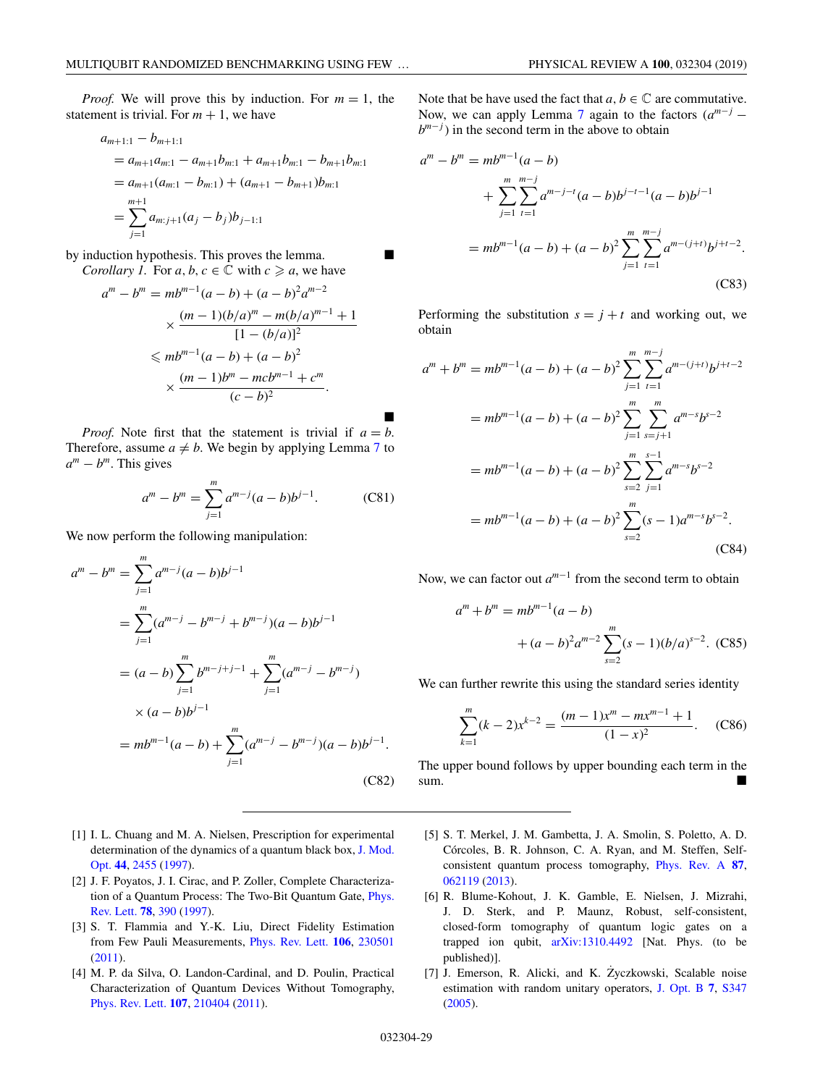<span id="page-29-0"></span>*Proof.* We will prove this by induction. For  $m = 1$ , the statement is trivial. For  $m + 1$ , we have

$$
a_{m+1:1} - b_{m+1:1}
$$
  
=  $a_{m+1}a_{m:1} - a_{m+1}b_{m:1} + a_{m+1}b_{m:1} - b_{m+1}b_{m:1}$   
=  $a_{m+1}(a_{m:1} - b_{m:1}) + (a_{m+1} - b_{m+1})b_{m:1}$   
= 
$$
\sum_{j=1}^{m+1} a_{m:j+1}(a_j - b_j)b_{j-1:1}
$$

by induction hypothesis. This proves the lemma. *Corollary 1.* For  $a, b, c \in \mathbb{C}$  with  $c \geq a$ , we have

$$
a^{m} - b^{m} = mb^{m-1}(a - b) + (a - b)^{2}a^{m-2}
$$

$$
\times \frac{(m - 1)(b/a)^{m} - m(b/a)^{m-1} + 1}{[1 - (b/a)]^{2}}
$$

$$
\leq m b^{m-1}(a - b) + (a - b)^{2}
$$

$$
\times \frac{(m - 1)b^{m} - mcb^{m-1} + c^{m}}{(c - b)^{2}}.
$$

-*Proof.* Note first that the statement is trivial if  $a = b$ . Therefore, assume  $a \neq b$ . We begin by applying Lemma [7](#page-28-0) to  $a^m - b^m$ . This gives

$$
a^{m} - b^{m} = \sum_{j=1}^{m} a^{m-j} (a - b) b^{j-1}.
$$
 (C81)

We now perform the following manipulation:

$$
am - bm = \sum_{j=1}^{m} am-j (a - b) bj-1
$$
  
= 
$$
\sum_{j=1}^{m} (am-j - bm-j + bm-j) (a - b) bj-1
$$
  
= 
$$
(a - b) \sum_{j=1}^{m} bm-j+j-1 + \sum_{j=1}^{m} (am-j - bm-j)
$$
  

$$
\times (a - b) bj-1
$$
  
= 
$$
mbm-1 (a - b) + \sum_{j=1}^{m} (am-j - bm-j) (a - b) bj-1.
$$
 (C82)

- [1] I. L. Chuang and M. A. Nielsen, Prescription for experimental [determination of the dynamics of a quantum black box,](https://doi.org/10.1080/09500349708231894) J. Mod. Opt. **[44](https://doi.org/10.1080/09500349708231894)**, [2455](https://doi.org/10.1080/09500349708231894) [\(1997\)](https://doi.org/10.1080/09500349708231894).
- [2] J. F. Poyatos, J. I. Cirac, and P. Zoller, Complete Characteriza[tion of a Quantum Process: The Two-Bit Quantum Gate,](https://doi.org/10.1103/PhysRevLett.78.390) Phys. Rev. Lett. **[78](https://doi.org/10.1103/PhysRevLett.78.390)**, [390](https://doi.org/10.1103/PhysRevLett.78.390) [\(1997\)](https://doi.org/10.1103/PhysRevLett.78.390).
- [3] S. T. Flammia and Y.-K. Liu, Direct Fidelity Estimation from Few Pauli Measurements, [Phys. Rev. Lett.](https://doi.org/10.1103/PhysRevLett.106.230501) **[106](https://doi.org/10.1103/PhysRevLett.106.230501)**, [230501](https://doi.org/10.1103/PhysRevLett.106.230501) [\(2011\)](https://doi.org/10.1103/PhysRevLett.106.230501).
- [4] M. P. da Silva, O. Landon-Cardinal, and D. Poulin, Practical Characterization of Quantum Devices Without Tomography, [Phys. Rev. Lett.](https://doi.org/10.1103/PhysRevLett.107.210404) **[107](https://doi.org/10.1103/PhysRevLett.107.210404)**, [210404](https://doi.org/10.1103/PhysRevLett.107.210404) [\(2011\)](https://doi.org/10.1103/PhysRevLett.107.210404).

Note that be have used the fact that  $a, b \in \mathbb{C}$  are commutative. Now, we can apply Lemma [7](#page-28-0) again to the factors  $(a^{m-j} - b)$ *b<sup>m−j*</sup>) in the second term in the above to obtain

$$
am - bm = mbm-1(a - b)
$$
  
+ 
$$
\sum_{j=1}^{m} \sum_{t=1}^{m-j} a^{m-j-t} (a - b) b^{j-t-1} (a - b) b^{j-1}
$$
  
= 
$$
mbm-1 (a - b) + (a - b)2 \sum_{j=1}^{m} \sum_{t=1}^{m-j} a^{m-(j+t)} b^{j+t-2}.
$$
 (C83)

Performing the substitution  $s = j + t$  and working out, we obtain

$$
a^{m} + b^{m} = mb^{m-1}(a - b) + (a - b)^{2} \sum_{j=1}^{m} \sum_{t=1}^{m-j} a^{m-(j+t)}b^{j+t-2}
$$
  
=  $mb^{m-1}(a - b) + (a - b)^{2} \sum_{j=1}^{m} \sum_{s=j+1}^{m} a^{m-s}b^{s-2}$   
=  $mb^{m-1}(a - b) + (a - b)^{2} \sum_{s=2}^{m} \sum_{j=1}^{s-1} a^{m-s}b^{s-2}$   
=  $mb^{m-1}(a - b) + (a - b)^{2} \sum_{s=2}^{m} (s - 1)a^{m-s}b^{s-2}$ . (C84)

Now, we can factor out *am*−<sup>1</sup> from the second term to obtain

$$
a^{m} + b^{m} = mb^{m-1}(a - b)
$$
  
+  $(a - b)^{2}a^{m-2} \sum_{s=2}^{m} (s - 1)(b/a)^{s-2}$ . (C85)

We can further rewrite this using the standard series identity

$$
\sum_{k=1}^{m} (k-2)x^{k-2} = \frac{(m-1)x^{m} - mx^{m-1} + 1}{(1-x)^{2}}.
$$
 (C86)

The upper bound follows by upper bounding each term in the sum.

- [5] S. T. Merkel, J. M. Gambetta, J. A. Smolin, S. Poletto, A. D. Córcoles, B. R. Johnson, C. A. Ryan, and M. Steffen, Selfconsistent quantum process tomography, [Phys. Rev. A](https://doi.org/10.1103/PhysRevA.87.062119) **[87](https://doi.org/10.1103/PhysRevA.87.062119)**, [062119](https://doi.org/10.1103/PhysRevA.87.062119) [\(2013\)](https://doi.org/10.1103/PhysRevA.87.062119).
- [6] R. Blume-Kohout, J. K. Gamble, E. Nielsen, J. Mizrahi, J. D. Sterk, and P. Maunz, Robust, self-consistent, closed-form tomography of quantum logic gates on a trapped ion qubit, [arXiv:1310.4492](http://arxiv.org/abs/arXiv:1310.4492) [Nat. Phys. (to be published)].
- [7] J. Emerson, R. Alicki, and K. Zyczkowski, Scalable noise estimation with random unitary operators, [J. Opt. B](https://doi.org/10.1088/1464-4266/7/10/021) **[7](https://doi.org/10.1088/1464-4266/7/10/021)**, [S347](https://doi.org/10.1088/1464-4266/7/10/021) [\(2005\)](https://doi.org/10.1088/1464-4266/7/10/021).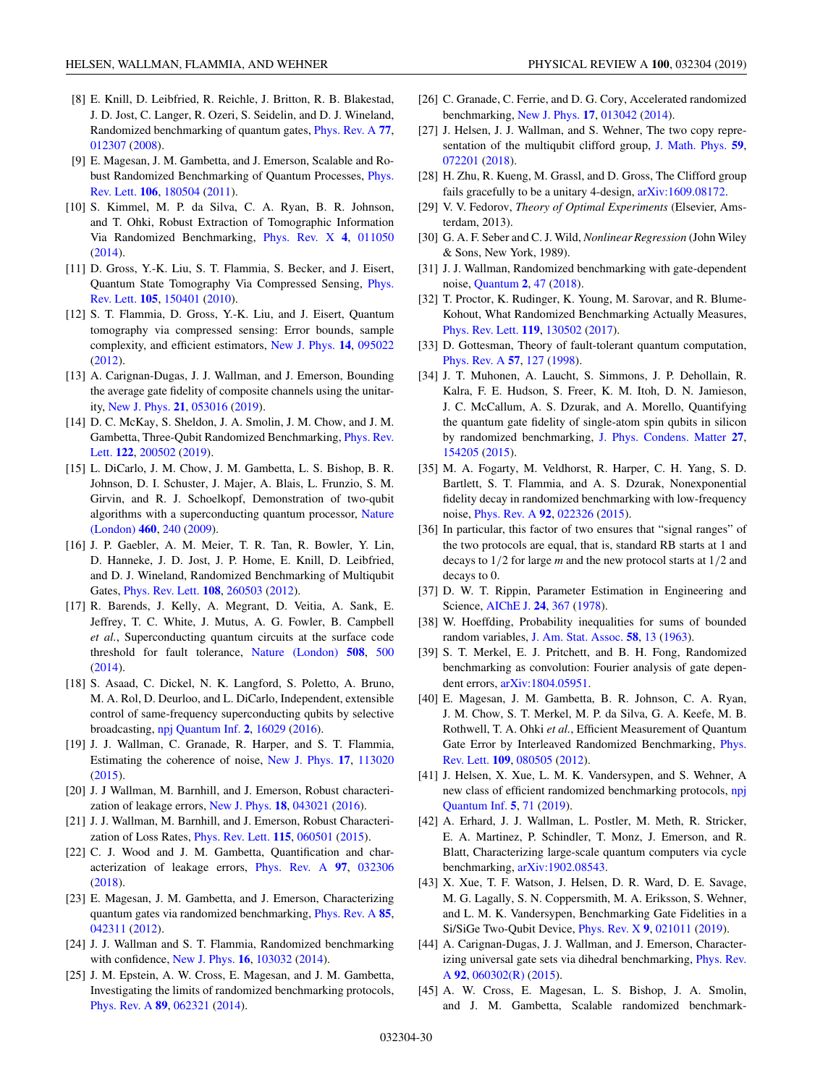- <span id="page-30-0"></span>[8] E. Knill, D. Leibfried, R. Reichle, J. Britton, R. B. Blakestad, J. D. Jost, C. Langer, R. Ozeri, S. Seidelin, and D. J. Wineland, Randomized benchmarking of quantum gates, [Phys. Rev. A](https://doi.org/10.1103/PhysRevA.77.012307) **[77](https://doi.org/10.1103/PhysRevA.77.012307)**, [012307](https://doi.org/10.1103/PhysRevA.77.012307) [\(2008\)](https://doi.org/10.1103/PhysRevA.77.012307).
- [9] E. Magesan, J. M. Gambetta, and J. Emerson, Scalable and Ro[bust Randomized Benchmarking of Quantum Processes,](https://doi.org/10.1103/PhysRevLett.106.180504) Phys. Rev. Lett. **[106](https://doi.org/10.1103/PhysRevLett.106.180504)**, [180504](https://doi.org/10.1103/PhysRevLett.106.180504) [\(2011\)](https://doi.org/10.1103/PhysRevLett.106.180504).
- [10] S. Kimmel, M. P. da Silva, C. A. Ryan, B. R. Johnson, and T. Ohki, Robust Extraction of Tomographic Information Via Randomized Benchmarking, [Phys. Rev. X](https://doi.org/10.1103/PhysRevX.4.011050) **[4](https://doi.org/10.1103/PhysRevX.4.011050)**, [011050](https://doi.org/10.1103/PhysRevX.4.011050) [\(2014\)](https://doi.org/10.1103/PhysRevX.4.011050).
- [11] D. Gross, Y.-K. Liu, S. T. Flammia, S. Becker, and J. Eisert, [Quantum State Tomography Via Compressed Sensing,](https://doi.org/10.1103/PhysRevLett.105.150401) Phys. Rev. Lett. **[105](https://doi.org/10.1103/PhysRevLett.105.150401)**, [150401](https://doi.org/10.1103/PhysRevLett.105.150401) [\(2010\)](https://doi.org/10.1103/PhysRevLett.105.150401).
- [12] S. T. Flammia, D. Gross, Y.-K. Liu, and J. Eisert, Quantum tomography via compressed sensing: Error bounds, sample complexity, and efficient estimators, [New J. Phys.](https://doi.org/10.1088/1367-2630/14/9/095022) **[14](https://doi.org/10.1088/1367-2630/14/9/095022)**, [095022](https://doi.org/10.1088/1367-2630/14/9/095022) [\(2012\)](https://doi.org/10.1088/1367-2630/14/9/095022).
- [13] A. Carignan-Dugas, J. J. Wallman, and J. Emerson, Bounding the average gate fidelity of composite channels using the unitarity, [New J. Phys.](https://doi.org/10.1088/1367-2630/ab1800) **[21](https://doi.org/10.1088/1367-2630/ab1800)**, [053016](https://doi.org/10.1088/1367-2630/ab1800) [\(2019\)](https://doi.org/10.1088/1367-2630/ab1800).
- [14] D. C. McKay, S. Sheldon, J. A. Smolin, J. M. Chow, and J. M. [Gambetta, Three-Qubit Randomized Benchmarking,](https://doi.org/10.1103/PhysRevLett.122.200502) Phys. Rev. Lett. **[122](https://doi.org/10.1103/PhysRevLett.122.200502)**, [200502](https://doi.org/10.1103/PhysRevLett.122.200502) [\(2019\)](https://doi.org/10.1103/PhysRevLett.122.200502).
- [15] L. DiCarlo, J. M. Chow, J. M. Gambetta, L. S. Bishop, B. R. Johnson, D. I. Schuster, J. Majer, A. Blais, L. Frunzio, S. M. Girvin, and R. J. Schoelkopf, Demonstration of two-qubit [algorithms with a superconducting quantum processor,](https://doi.org/10.1038/nature08121) Nature (London) **[460](https://doi.org/10.1038/nature08121)**, [240](https://doi.org/10.1038/nature08121) [\(2009\)](https://doi.org/10.1038/nature08121).
- [16] J. P. Gaebler, A. M. Meier, T. R. Tan, R. Bowler, Y. Lin, D. Hanneke, J. D. Jost, J. P. Home, E. Knill, D. Leibfried, and D. J. Wineland, Randomized Benchmarking of Multiqubit Gates, [Phys. Rev. Lett.](https://doi.org/10.1103/PhysRevLett.108.260503) **[108](https://doi.org/10.1103/PhysRevLett.108.260503)**, [260503](https://doi.org/10.1103/PhysRevLett.108.260503) [\(2012\)](https://doi.org/10.1103/PhysRevLett.108.260503).
- [17] R. Barends, J. Kelly, A. Megrant, D. Veitia, A. Sank, E. Jeffrey, T. C. White, J. Mutus, A. G. Fowler, B. Campbell *et al.*, Superconducting quantum circuits at the surface code threshold for fault tolerance, [Nature \(London\)](https://doi.org/10.1038/nature13171) **[508](https://doi.org/10.1038/nature13171)**, [500](https://doi.org/10.1038/nature13171) [\(2014\)](https://doi.org/10.1038/nature13171).
- [18] S. Asaad, C. Dickel, N. K. Langford, S. Poletto, A. Bruno, M. A. Rol, D. Deurloo, and L. DiCarlo, Independent, extensible control of same-frequency superconducting qubits by selective broadcasting, [npj Quantum Inf.](https://doi.org/10.1038/npjqi.2016.29) **[2](https://doi.org/10.1038/npjqi.2016.29)**, [16029](https://doi.org/10.1038/npjqi.2016.29) [\(2016\)](https://doi.org/10.1038/npjqi.2016.29).
- [19] J. J. Wallman, C. Granade, R. Harper, and S. T. Flammia, Estimating the coherence of noise, [New J. Phys.](https://doi.org/10.1088/1367-2630/17/11/113020) **[17](https://doi.org/10.1088/1367-2630/17/11/113020)**, [113020](https://doi.org/10.1088/1367-2630/17/11/113020)  $(2015)$ .
- [20] J. J Wallman, M. Barnhill, and J. Emerson, Robust characterization of leakage errors, [New J. Phys.](https://doi.org/10.1088/1367-2630/18/4/043021) **[18](https://doi.org/10.1088/1367-2630/18/4/043021)**, [043021](https://doi.org/10.1088/1367-2630/18/4/043021) [\(2016\)](https://doi.org/10.1088/1367-2630/18/4/043021).
- [21] J. J. Wallman, M. Barnhill, and J. Emerson, Robust Characterization of Loss Rates, [Phys. Rev. Lett.](https://doi.org/10.1103/PhysRevLett.115.060501) **[115](https://doi.org/10.1103/PhysRevLett.115.060501)**, [060501](https://doi.org/10.1103/PhysRevLett.115.060501) [\(2015\)](https://doi.org/10.1103/PhysRevLett.115.060501).
- [22] C. J. Wood and J. M. Gambetta, Quantification and characterization of leakage errors, [Phys. Rev. A](https://doi.org/10.1103/PhysRevA.97.032306) **[97](https://doi.org/10.1103/PhysRevA.97.032306)**, [032306](https://doi.org/10.1103/PhysRevA.97.032306) [\(2018\)](https://doi.org/10.1103/PhysRevA.97.032306).
- [23] E. Magesan, J. M. Gambetta, and J. Emerson, Characterizing quantum gates via randomized benchmarking, [Phys. Rev. A](https://doi.org/10.1103/PhysRevA.85.042311) **[85](https://doi.org/10.1103/PhysRevA.85.042311)**, [042311](https://doi.org/10.1103/PhysRevA.85.042311) [\(2012\)](https://doi.org/10.1103/PhysRevA.85.042311).
- [24] J. J. Wallman and S. T. Flammia, Randomized benchmarking with confidence, [New J. Phys.](https://doi.org/10.1088/1367-2630/16/10/103032) **[16](https://doi.org/10.1088/1367-2630/16/10/103032)**, [103032](https://doi.org/10.1088/1367-2630/16/10/103032) [\(2014\)](https://doi.org/10.1088/1367-2630/16/10/103032).
- [25] J. M. Epstein, A. W. Cross, E. Magesan, and J. M. Gambetta, Investigating the limits of randomized benchmarking protocols, [Phys. Rev. A](https://doi.org/10.1103/PhysRevA.89.062321) **[89](https://doi.org/10.1103/PhysRevA.89.062321)**, [062321](https://doi.org/10.1103/PhysRevA.89.062321) [\(2014\)](https://doi.org/10.1103/PhysRevA.89.062321).
- [26] C. Granade, C. Ferrie, and D. G. Cory, Accelerated randomized benchmarking, [New J. Phys.](https://doi.org/10.1088/1367-2630/17/1/013042) **[17](https://doi.org/10.1088/1367-2630/17/1/013042)**, [013042](https://doi.org/10.1088/1367-2630/17/1/013042) [\(2014\)](https://doi.org/10.1088/1367-2630/17/1/013042).
- [27] J. Helsen, J. J. Wallman, and S. Wehner, The two copy representation of the multiqubit clifford group, [J. Math. Phys.](https://doi.org/10.1063/1.4997688) **[59](https://doi.org/10.1063/1.4997688)**, [072201](https://doi.org/10.1063/1.4997688) [\(2018\)](https://doi.org/10.1063/1.4997688).
- [28] H. Zhu, R. Kueng, M. Grassl, and D. Gross, The Clifford group fails gracefully to be a unitary 4-design, [arXiv:1609.08172.](http://arxiv.org/abs/arXiv:1609.08172)
- [29] V. V. Fedorov, *Theory of Optimal Experiments* (Elsevier, Amsterdam, 2013).
- [30] G. A. F. Seber and C. J. Wild, *Nonlinear Regression* (John Wiley & Sons, New York, 1989).
- [31] J. J. Wallman, Randomized benchmarking with gate-dependent noise, [Quantum](https://doi.org/10.22331/q-2018-01-29-47) **[2](https://doi.org/10.22331/q-2018-01-29-47)**, [47](https://doi.org/10.22331/q-2018-01-29-47) [\(2018\)](https://doi.org/10.22331/q-2018-01-29-47).
- [32] T. Proctor, K. Rudinger, K. Young, M. Sarovar, and R. Blume-Kohout, What Randomized Benchmarking Actually Measures, [Phys. Rev. Lett.](https://doi.org/10.1103/PhysRevLett.119.130502) **[119](https://doi.org/10.1103/PhysRevLett.119.130502)**, [130502](https://doi.org/10.1103/PhysRevLett.119.130502) [\(2017\)](https://doi.org/10.1103/PhysRevLett.119.130502).
- [33] D. Gottesman, Theory of fault-tolerant quantum computation, [Phys. Rev. A](https://doi.org/10.1103/PhysRevA.57.127) **[57](https://doi.org/10.1103/PhysRevA.57.127)**, [127](https://doi.org/10.1103/PhysRevA.57.127) [\(1998\)](https://doi.org/10.1103/PhysRevA.57.127).
- [34] J. T. Muhonen, A. Laucht, S. Simmons, J. P. Dehollain, R. Kalra, F. E. Hudson, S. Freer, K. M. Itoh, D. N. Jamieson, J. C. McCallum, A. S. Dzurak, and A. Morello, Quantifying the quantum gate fidelity of single-atom spin qubits in silicon by randomized benchmarking, [J. Phys. Condens. Matter](https://doi.org/10.1088/0953-8984/27/15/154205) **[27](https://doi.org/10.1088/0953-8984/27/15/154205)**, [154205](https://doi.org/10.1088/0953-8984/27/15/154205) [\(2015\)](https://doi.org/10.1088/0953-8984/27/15/154205).
- [35] M. A. Fogarty, M. Veldhorst, R. Harper, C. H. Yang, S. D. Bartlett, S. T. Flammia, and A. S. Dzurak, Nonexponential fidelity decay in randomized benchmarking with low-frequency noise, [Phys. Rev. A](https://doi.org/10.1103/PhysRevA.92.022326) **[92](https://doi.org/10.1103/PhysRevA.92.022326)**, [022326](https://doi.org/10.1103/PhysRevA.92.022326) [\(2015\)](https://doi.org/10.1103/PhysRevA.92.022326).
- [36] In particular, this factor of two ensures that "signal ranges" of the two protocols are equal, that is, standard RB starts at 1 and decays to 1/2 for large *m* and the new protocol starts at 1/2 and decays to 0.
- [37] D. W. T. Rippin, Parameter Estimation in Engineering and Science, [AIChE J.](https://doi.org/10.1002/aic.690240233) **[24](https://doi.org/10.1002/aic.690240233)**, [367](https://doi.org/10.1002/aic.690240233) [\(1978\)](https://doi.org/10.1002/aic.690240233).
- [38] W. Hoeffding, Probability inequalities for sums of bounded random variables, [J. Am. Stat. Assoc.](https://doi.org/10.1080/01621459.1963.10500830) **[58](https://doi.org/10.1080/01621459.1963.10500830)**, [13](https://doi.org/10.1080/01621459.1963.10500830) [\(1963\)](https://doi.org/10.1080/01621459.1963.10500830).
- [39] S. T. Merkel, E. J. Pritchett, and B. H. Fong, Randomized benchmarking as convolution: Fourier analysis of gate dependent errors, [arXiv:1804.05951.](http://arxiv.org/abs/arXiv:1804.05951)
- [40] E. Magesan, J. M. Gambetta, B. R. Johnson, C. A. Ryan, J. M. Chow, S. T. Merkel, M. P. da Silva, G. A. Keefe, M. B. Rothwell, T. A. Ohki *et al.*, Efficient Measurement of Quantum [Gate Error by Interleaved Randomized Benchmarking,](https://doi.org/10.1103/PhysRevLett.109.080505) Phys. Rev. Lett. **[109](https://doi.org/10.1103/PhysRevLett.109.080505)**, [080505](https://doi.org/10.1103/PhysRevLett.109.080505) [\(2012\)](https://doi.org/10.1103/PhysRevLett.109.080505).
- [41] J. Helsen, X. Xue, L. M. K. Vandersypen, and S. Wehner, A [new class of efficient randomized benchmarking protocols,](https://doi.org/10.1038/s41534-019-0182-7) npj Quantum Inf. **[5](https://doi.org/10.1038/s41534-019-0182-7)**, [71](https://doi.org/10.1038/s41534-019-0182-7) [\(2019\)](https://doi.org/10.1038/s41534-019-0182-7).
- [42] A. Erhard, J. J. Wallman, L. Postler, M. Meth, R. Stricker, E. A. Martinez, P. Schindler, T. Monz, J. Emerson, and R. Blatt, Characterizing large-scale quantum computers via cycle benchmarking, [arXiv:1902.08543.](http://arxiv.org/abs/arXiv:1902.08543)
- [43] X. Xue, T. F. Watson, J. Helsen, D. R. Ward, D. E. Savage, M. G. Lagally, S. N. Coppersmith, M. A. Eriksson, S. Wehner, and L. M. K. Vandersypen, Benchmarking Gate Fidelities in a Si/SiGe Two-Qubit Device, [Phys. Rev. X](https://doi.org/10.1103/PhysRevX.9.021011) **[9](https://doi.org/10.1103/PhysRevX.9.021011)**, [021011](https://doi.org/10.1103/PhysRevX.9.021011) [\(2019\)](https://doi.org/10.1103/PhysRevX.9.021011).
- [44] A. Carignan-Dugas, J. J. Wallman, and J. Emerson, Character[izing universal gate sets via dihedral benchmarking,](https://doi.org/10.1103/PhysRevA.92.060302) Phys. Rev. A **[92](https://doi.org/10.1103/PhysRevA.92.060302)**, [060302\(R\)](https://doi.org/10.1103/PhysRevA.92.060302) [\(2015\)](https://doi.org/10.1103/PhysRevA.92.060302).
- [45] A. W. Cross, E. Magesan, L. S. Bishop, J. A. Smolin, and J. M. Gambetta, Scalable randomized benchmark-